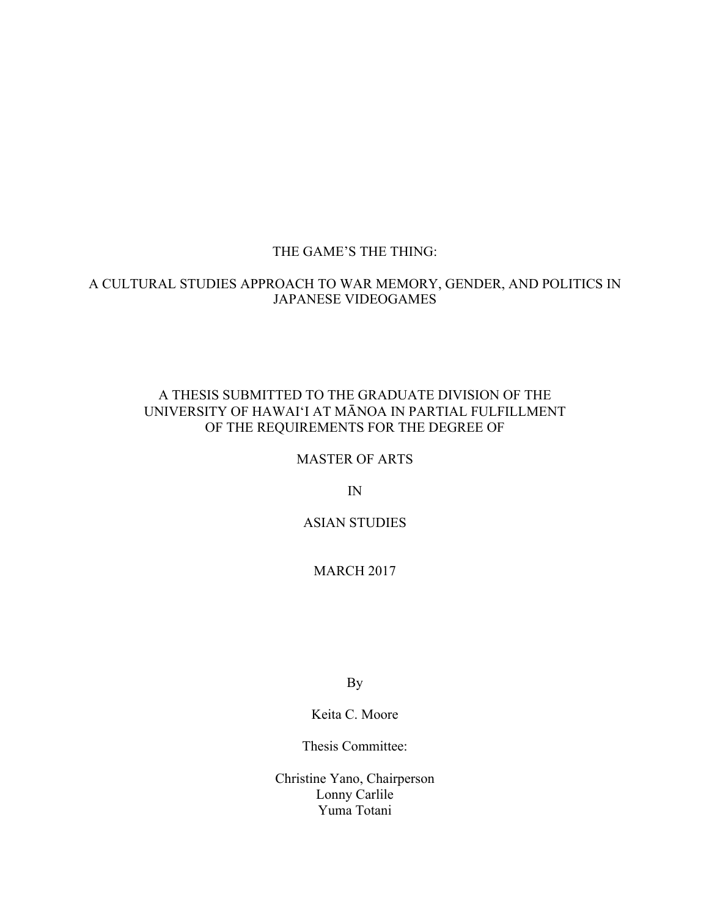# THE GAME'S THE THING:

# A CULTURAL STUDIES APPROACH TO WAR MEMORY, GENDER, AND POLITICS IN JAPANESE VIDEOGAMES

# A THESIS SUBMITTED TO THE GRADUATE DIVISION OF THE UNIVERSITY OF HAWAIʻI AT MĀNOA IN PARTIAL FULFILLMENT OF THE REQUIREMENTS FOR THE DEGREE OF

# MASTER OF ARTS

IN

# ASIAN STUDIES

# MARCH 2017

By

Keita C. Moore

Thesis Committee:

Christine Yano, Chairperson Lonny Carlile Yuma Totani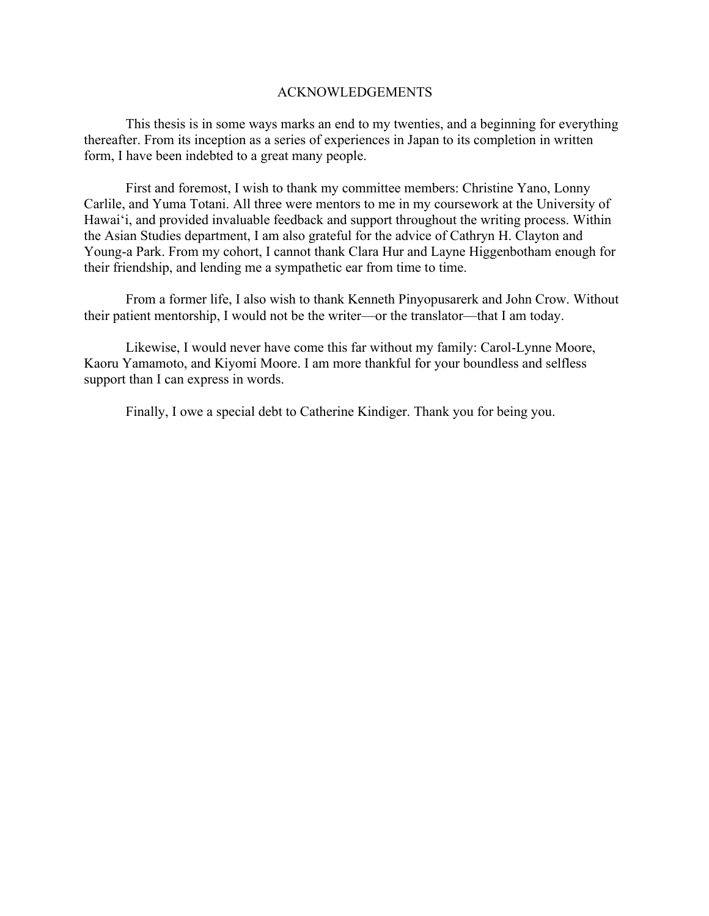### ACKNOWLEDGEMENTS

This thesis is in some ways marks an end to my twenties, and a beginning for everything thereafter. From its inception as a series of experiences in Japan to its completion in written form, I have been indebted to a great many people.

First and foremost, I wish to thank my committee members: Christine Yano, Lonny Carlile, and Yuma Totani. All three were mentors to me in my coursework at the University of Hawaiʻi, and provided invaluable feedback and support throughout the writing process. Within the Asian Studies department, I am also grateful for the advice of Cathryn H. Clayton and Young-a Park. From my cohort, I cannot thank Clara Hur and Layne Higgenbotham enough for their friendship, and lending me a sympathetic ear from time to time.

From a former life, I also wish to thank Kenneth Pinyopusarerk and John Crow. Without their patient mentorship, I would not be the writer—or the translator—that I am today.

Likewise, I would never have come this far without my family: Carol-Lynne Moore, Kaoru Yamamoto, and Kiyomi Moore. I am more thankful for your boundless and selfless support than I can express in words.

Finally, I owe a special debt to Catherine Kindiger. Thank you for being you.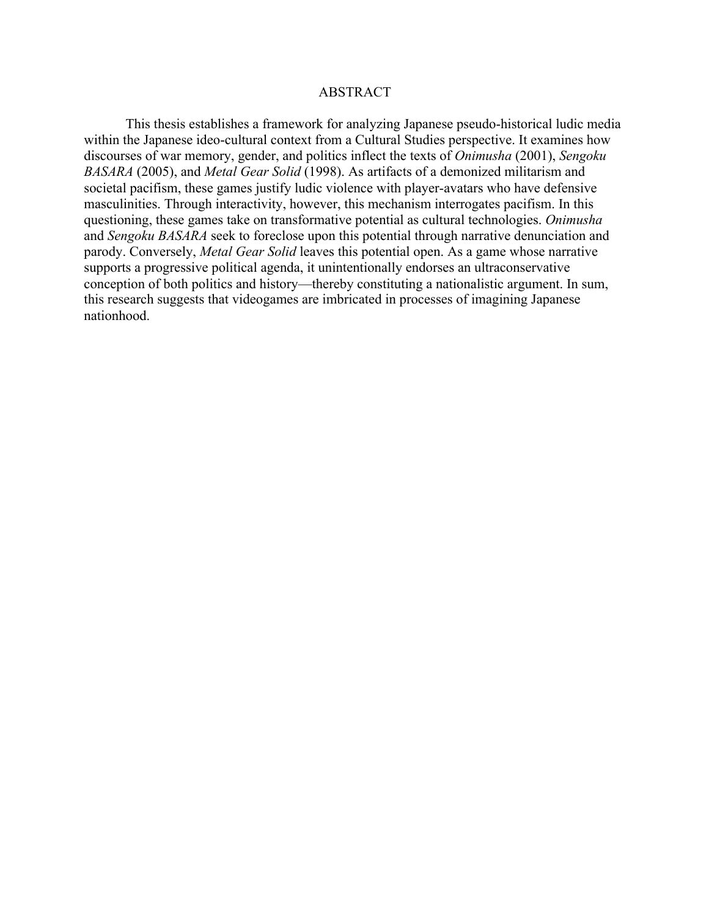## ABSTRACT

This thesis establishes a framework for analyzing Japanese pseudo-historical ludic media within the Japanese ideo-cultural context from a Cultural Studies perspective. It examines how discourses of war memory, gender, and politics inflect the texts of *Onimusha* (2001), *Sengoku BASARA* (2005), and *Metal Gear Solid* (1998). As artifacts of a demonized militarism and societal pacifism, these games justify ludic violence with player-avatars who have defensive masculinities. Through interactivity, however, this mechanism interrogates pacifism. In this questioning, these games take on transformative potential as cultural technologies. *Onimusha* and *Sengoku BASARA* seek to foreclose upon this potential through narrative denunciation and parody. Conversely, *Metal Gear Solid* leaves this potential open. As a game whose narrative supports a progressive political agenda, it unintentionally endorses an ultraconservative conception of both politics and history—thereby constituting a nationalistic argument. In sum, this research suggests that videogames are imbricated in processes of imagining Japanese nationhood.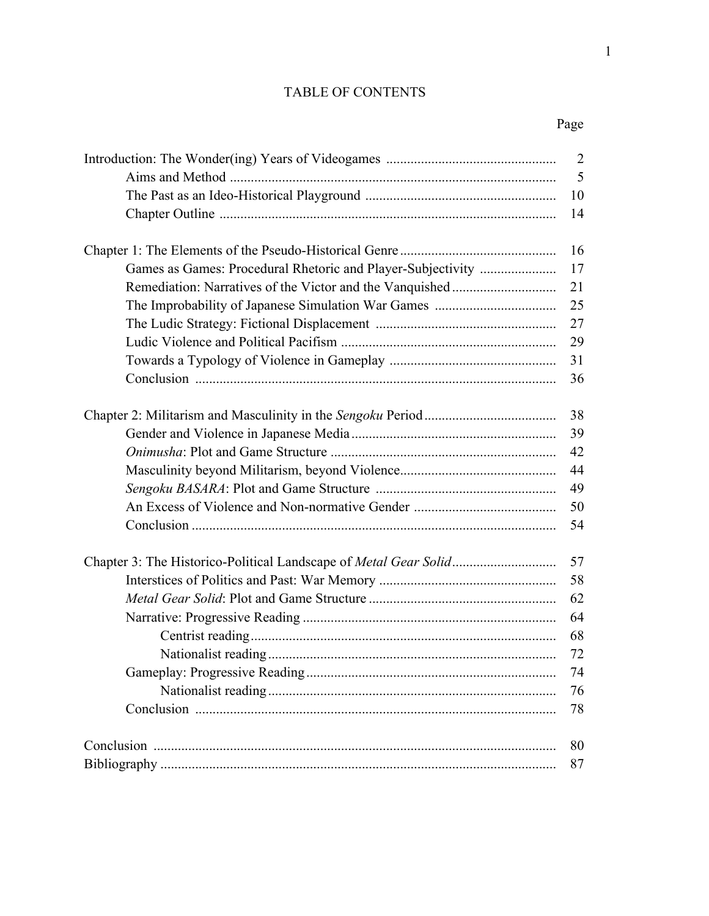| <b>TABLE OF CONTENTS</b> |  |
|--------------------------|--|
|                          |  |

Page **Page** 

| 15 |  |  |  |
|----|--|--|--|
|    |  |  |  |
|    |  |  |  |

| $\overline{2}$ |
|----------------|
| 5              |
| 10             |
| 14             |
| 16             |
| 17             |
| 21             |
| 25             |
| 27             |
| 29             |
| 31             |
| 36             |
| 38             |
| 39             |
| 42             |
| 44             |
| 49             |
| 50             |
| 54             |
| 57             |
| 58             |
| 62             |
| 64             |
| 68             |
| 72             |
| 74             |
| 76             |
| 78             |
| 80             |
| 87             |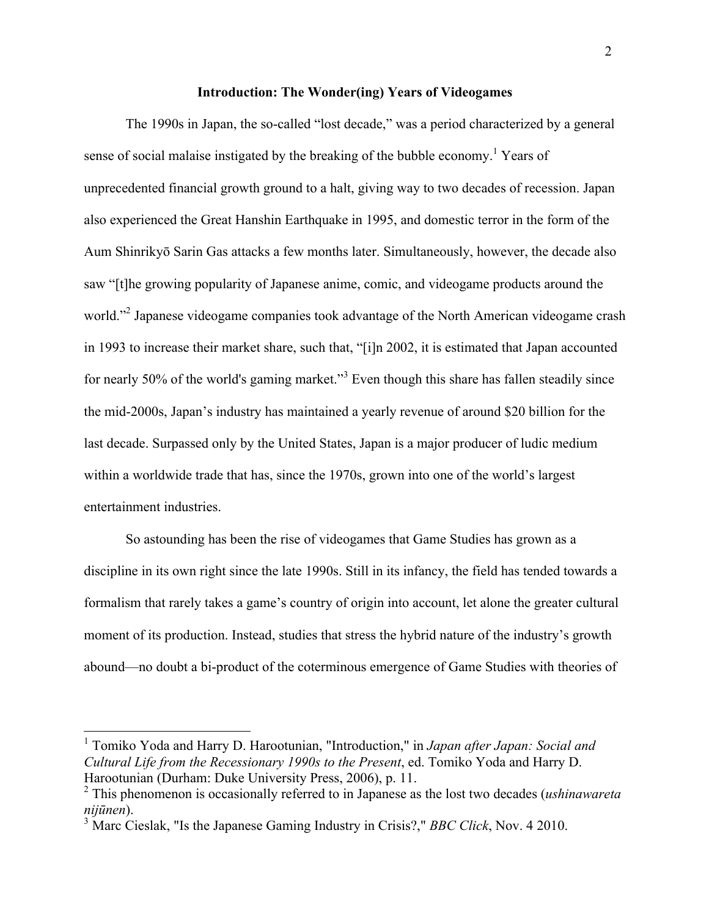#### **Introduction: The Wonder(ing) Years of Videogames**

The 1990s in Japan, the so-called "lost decade," was a period characterized by a general sense of social malaise instigated by the breaking of the bubble economy.<sup>1</sup> Years of unprecedented financial growth ground to a halt, giving way to two decades of recession. Japan also experienced the Great Hanshin Earthquake in 1995, and domestic terror in the form of the Aum Shinrikyō Sarin Gas attacks a few months later. Simultaneously, however, the decade also saw "[t]he growing popularity of Japanese anime, comic, and videogame products around the world."<sup>2</sup> Japanese videogame companies took advantage of the North American videogame crash in 1993 to increase their market share, such that, "[i]n 2002, it is estimated that Japan accounted for nearly 50% of the world's gaming market."<sup>3</sup> Even though this share has fallen steadily since the mid-2000s, Japan's industry has maintained a yearly revenue of around \$20 billion for the last decade. Surpassed only by the United States, Japan is a major producer of ludic medium within a worldwide trade that has, since the 1970s, grown into one of the world's largest entertainment industries.

So astounding has been the rise of videogames that Game Studies has grown as a discipline in its own right since the late 1990s. Still in its infancy, the field has tended towards a formalism that rarely takes a game's country of origin into account, let alone the greater cultural moment of its production. Instead, studies that stress the hybrid nature of the industry's growth abound—no doubt a bi-product of the coterminous emergence of Game Studies with theories of

 <sup>1</sup> Tomiko Yoda and Harry D. Harootunian, "Introduction," in *Japan after Japan: Social and Cultural Life from the Recessionary 1990s to the Present*, ed. Tomiko Yoda and Harry D. Harootunian (Durham: Duke University Press, 2006), p. 11.

<sup>2</sup> This phenomenon is occasionally referred to in Japanese as the lost two decades (*ushinawareta nijūnen*).

<sup>3</sup> Marc Cieslak, "Is the Japanese Gaming Industry in Crisis?," *BBC Click*, Nov. 4 2010.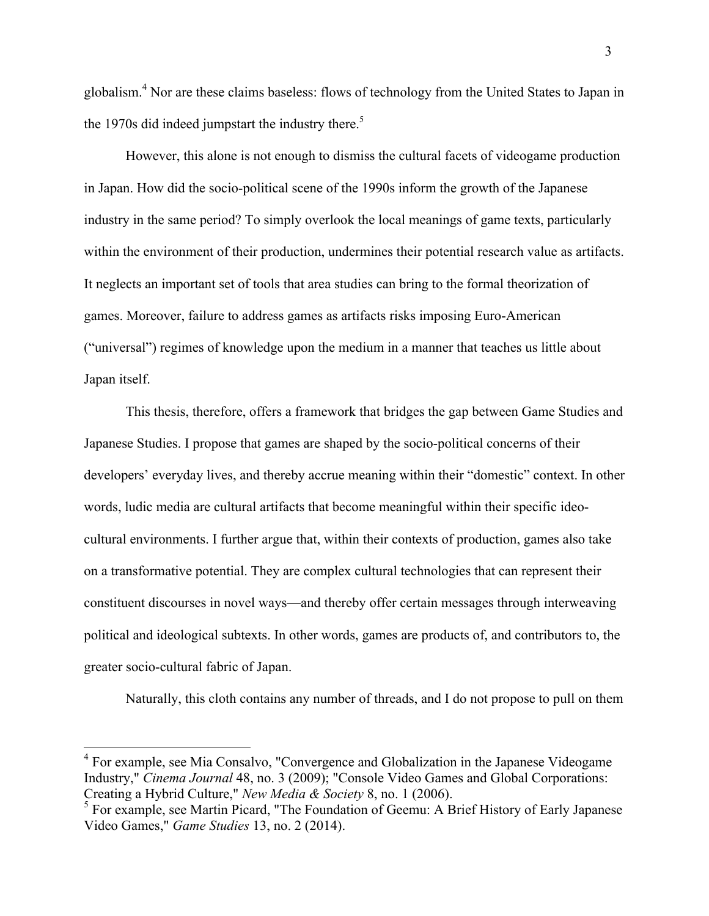globalism.<sup>4</sup> Nor are these claims baseless: flows of technology from the United States to Japan in the 1970s did indeed jumpstart the industry there.<sup>5</sup>

However, this alone is not enough to dismiss the cultural facets of videogame production in Japan. How did the socio-political scene of the 1990s inform the growth of the Japanese industry in the same period? To simply overlook the local meanings of game texts, particularly within the environment of their production, undermines their potential research value as artifacts. It neglects an important set of tools that area studies can bring to the formal theorization of games. Moreover, failure to address games as artifacts risks imposing Euro-American ("universal") regimes of knowledge upon the medium in a manner that teaches us little about Japan itself.

This thesis, therefore, offers a framework that bridges the gap between Game Studies and Japanese Studies. I propose that games are shaped by the socio-political concerns of their developers' everyday lives, and thereby accrue meaning within their "domestic" context. In other words, ludic media are cultural artifacts that become meaningful within their specific ideocultural environments. I further argue that, within their contexts of production, games also take on a transformative potential. They are complex cultural technologies that can represent their constituent discourses in novel ways—and thereby offer certain messages through interweaving political and ideological subtexts. In other words, games are products of, and contributors to, the greater socio-cultural fabric of Japan.

Naturally, this cloth contains any number of threads, and I do not propose to pull on them

<sup>&</sup>lt;sup>4</sup> For example, see Mia Consalvo, "Convergence and Globalization in the Japanese Videogame Industry," *Cinema Journal* 48, no. 3 (2009); "Console Video Games and Global Corporations: Creating a Hybrid Culture," *New Media & Society* 8, no. 1 (2006).

<sup>&</sup>lt;sup>5</sup> For example, see Martin Picard, "The Foundation of Geemu: A Brief History of Early Japanese Video Games," *Game Studies* 13, no. 2 (2014).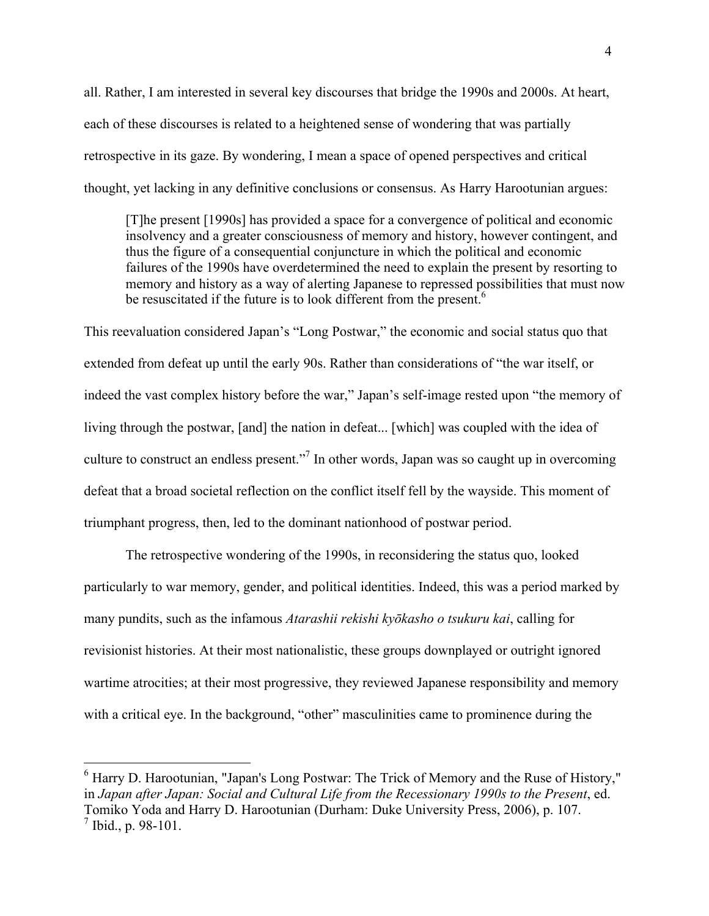all. Rather, I am interested in several key discourses that bridge the 1990s and 2000s. At heart, each of these discourses is related to a heightened sense of wondering that was partially retrospective in its gaze. By wondering, I mean a space of opened perspectives and critical thought, yet lacking in any definitive conclusions or consensus. As Harry Harootunian argues:

[T]he present [1990s] has provided a space for a convergence of political and economic insolvency and a greater consciousness of memory and history, however contingent, and thus the figure of a consequential conjuncture in which the political and economic failures of the 1990s have overdetermined the need to explain the present by resorting to memory and history as a way of alerting Japanese to repressed possibilities that must now be resuscitated if the future is to look different from the present.<sup>6</sup>

This reevaluation considered Japan's "Long Postwar," the economic and social status quo that extended from defeat up until the early 90s. Rather than considerations of "the war itself, or indeed the vast complex history before the war," Japan's self-image rested upon "the memory of living through the postwar, [and] the nation in defeat... [which] was coupled with the idea of culture to construct an endless present."<sup>7</sup> In other words, Japan was so caught up in overcoming defeat that a broad societal reflection on the conflict itself fell by the wayside. This moment of triumphant progress, then, led to the dominant nationhood of postwar period.

The retrospective wondering of the 1990s, in reconsidering the status quo, looked particularly to war memory, gender, and political identities. Indeed, this was a period marked by many pundits, such as the infamous *Atarashii rekishi kyōkasho o tsukuru kai*, calling for revisionist histories. At their most nationalistic, these groups downplayed or outright ignored wartime atrocities; at their most progressive, they reviewed Japanese responsibility and memory with a critical eye. In the background, "other" masculinities came to prominence during the

 $6$  Harry D. Harootunian, "Japan's Long Postwar: The Trick of Memory and the Ruse of History," in *Japan after Japan: Social and Cultural Life from the Recessionary 1990s to the Present*, ed. Tomiko Yoda and Harry D. Harootunian (Durham: Duke University Press, 2006), p. 107.  $^7$  Ibid., p. 98-101.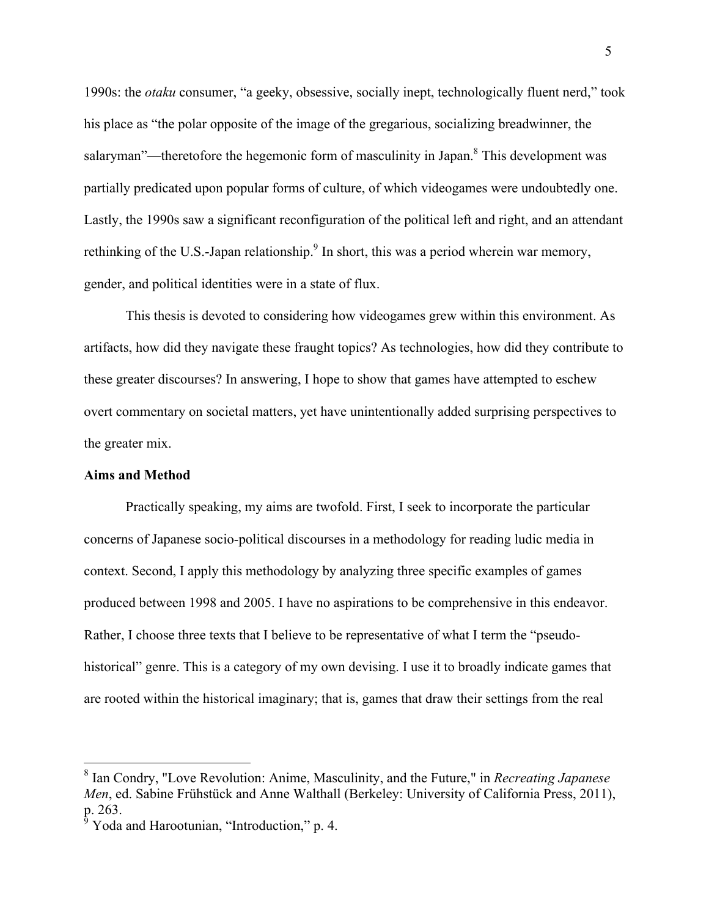1990s: the *otaku* consumer, "a geeky, obsessive, socially inept, technologically fluent nerd," took his place as "the polar opposite of the image of the gregarious, socializing breadwinner, the salaryman"—theretofore the hegemonic form of masculinity in Japan. $\delta$  This development was partially predicated upon popular forms of culture, of which videogames were undoubtedly one. Lastly, the 1990s saw a significant reconfiguration of the political left and right, and an attendant rethinking of the U.S.-Japan relationship.<sup>9</sup> In short, this was a period wherein war memory, gender, and political identities were in a state of flux.

This thesis is devoted to considering how videogames grew within this environment. As artifacts, how did they navigate these fraught topics? As technologies, how did they contribute to these greater discourses? In answering, I hope to show that games have attempted to eschew overt commentary on societal matters, yet have unintentionally added surprising perspectives to the greater mix.

### **Aims and Method**

Practically speaking, my aims are twofold. First, I seek to incorporate the particular concerns of Japanese socio-political discourses in a methodology for reading ludic media in context. Second, I apply this methodology by analyzing three specific examples of games produced between 1998 and 2005. I have no aspirations to be comprehensive in this endeavor. Rather, I choose three texts that I believe to be representative of what I term the "pseudohistorical" genre. This is a category of my own devising. I use it to broadly indicate games that are rooted within the historical imaginary; that is, games that draw their settings from the real

 <sup>8</sup> Ian Condry, "Love Revolution: Anime, Masculinity, and the Future," in *Recreating Japanese Men*, ed. Sabine Frühstück and Anne Walthall (Berkeley: University of California Press, 2011), p. 263.

<sup>9</sup> Yoda and Harootunian, "Introduction," p. 4.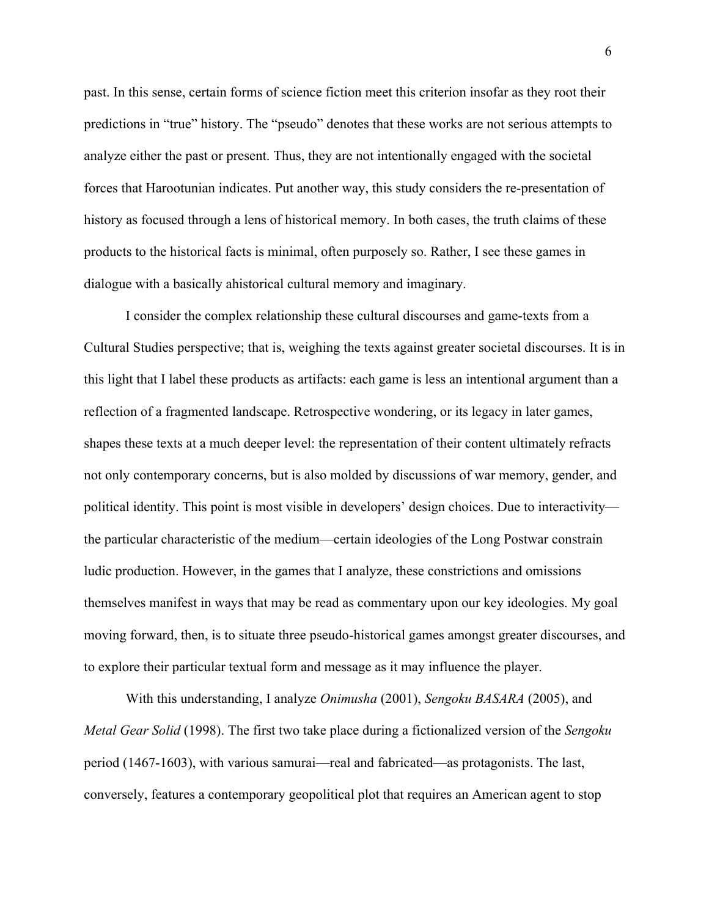past. In this sense, certain forms of science fiction meet this criterion insofar as they root their predictions in "true" history. The "pseudo" denotes that these works are not serious attempts to analyze either the past or present. Thus, they are not intentionally engaged with the societal forces that Harootunian indicates. Put another way, this study considers the re-presentation of history as focused through a lens of historical memory. In both cases, the truth claims of these products to the historical facts is minimal, often purposely so. Rather, I see these games in dialogue with a basically ahistorical cultural memory and imaginary.

I consider the complex relationship these cultural discourses and game-texts from a Cultural Studies perspective; that is, weighing the texts against greater societal discourses. It is in this light that I label these products as artifacts: each game is less an intentional argument than a reflection of a fragmented landscape. Retrospective wondering, or its legacy in later games, shapes these texts at a much deeper level: the representation of their content ultimately refracts not only contemporary concerns, but is also molded by discussions of war memory, gender, and political identity. This point is most visible in developers' design choices. Due to interactivity the particular characteristic of the medium—certain ideologies of the Long Postwar constrain ludic production. However, in the games that I analyze, these constrictions and omissions themselves manifest in ways that may be read as commentary upon our key ideologies. My goal moving forward, then, is to situate three pseudo-historical games amongst greater discourses, and to explore their particular textual form and message as it may influence the player.

With this understanding, I analyze *Onimusha* (2001), *Sengoku BASARA* (2005), and *Metal Gear Solid* (1998). The first two take place during a fictionalized version of the *Sengoku*  period (1467-1603), with various samurai—real and fabricated—as protagonists. The last, conversely, features a contemporary geopolitical plot that requires an American agent to stop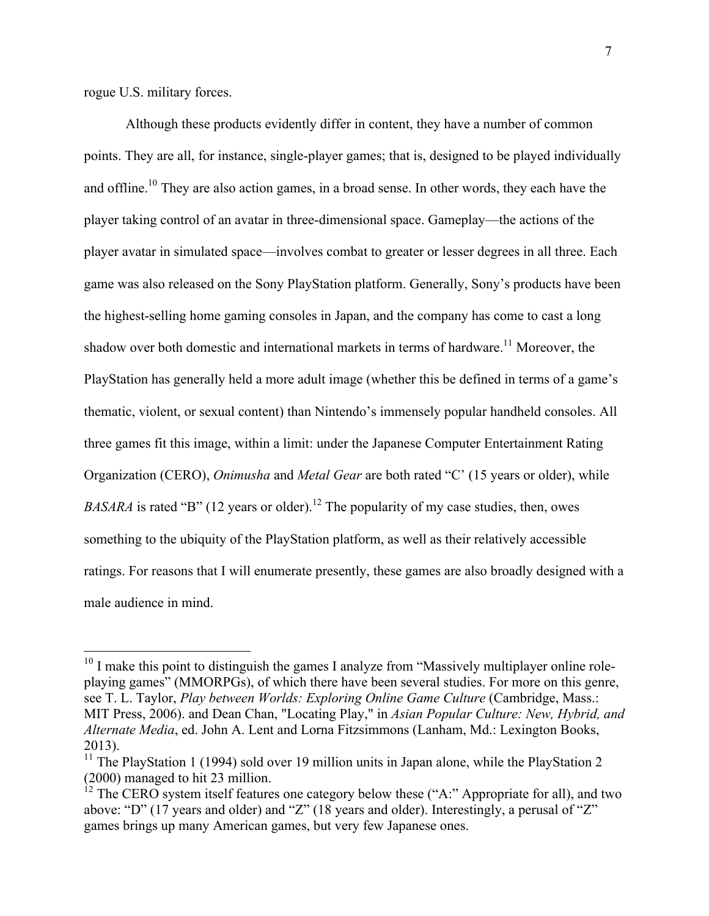rogue U.S. military forces.

Although these products evidently differ in content, they have a number of common points. They are all, for instance, single-player games; that is, designed to be played individually and offline.<sup>10</sup> They are also action games, in a broad sense. In other words, they each have the player taking control of an avatar in three-dimensional space. Gameplay—the actions of the player avatar in simulated space—involves combat to greater or lesser degrees in all three. Each game was also released on the Sony PlayStation platform. Generally, Sony's products have been the highest-selling home gaming consoles in Japan, and the company has come to cast a long shadow over both domestic and international markets in terms of hardware.<sup>11</sup> Moreover, the PlayStation has generally held a more adult image (whether this be defined in terms of a game's thematic, violent, or sexual content) than Nintendo's immensely popular handheld consoles. All three games fit this image, within a limit: under the Japanese Computer Entertainment Rating Organization (CERO), *Onimusha* and *Metal Gear* are both rated "C' (15 years or older), while *BASARA* is rated "B" (12 years or older).<sup>12</sup> The popularity of my case studies, then, owes something to the ubiquity of the PlayStation platform, as well as their relatively accessible ratings. For reasons that I will enumerate presently, these games are also broadly designed with a male audience in mind.

<sup>&</sup>lt;sup>10</sup> I make this point to distinguish the games I analyze from "Massively multiplayer online roleplaying games" (MMORPGs), of which there have been several studies. For more on this genre, see T. L. Taylor, *Play between Worlds: Exploring Online Game Culture* (Cambridge, Mass.: MIT Press, 2006). and Dean Chan, "Locating Play," in *Asian Popular Culture: New, Hybrid, and Alternate Media*, ed. John A. Lent and Lorna Fitzsimmons (Lanham, Md.: Lexington Books, 2013).

<sup>&</sup>lt;sup>11</sup> The PlayStation 1 (1994) sold over 19 million units in Japan alone, while the PlayStation 2 (2000) managed to hit 23 million.

 $12$  The CERO system itself features one category below these ("A:" Appropriate for all), and two above: "D" (17 years and older) and "Z" (18 years and older). Interestingly, a perusal of "Z" games brings up many American games, but very few Japanese ones.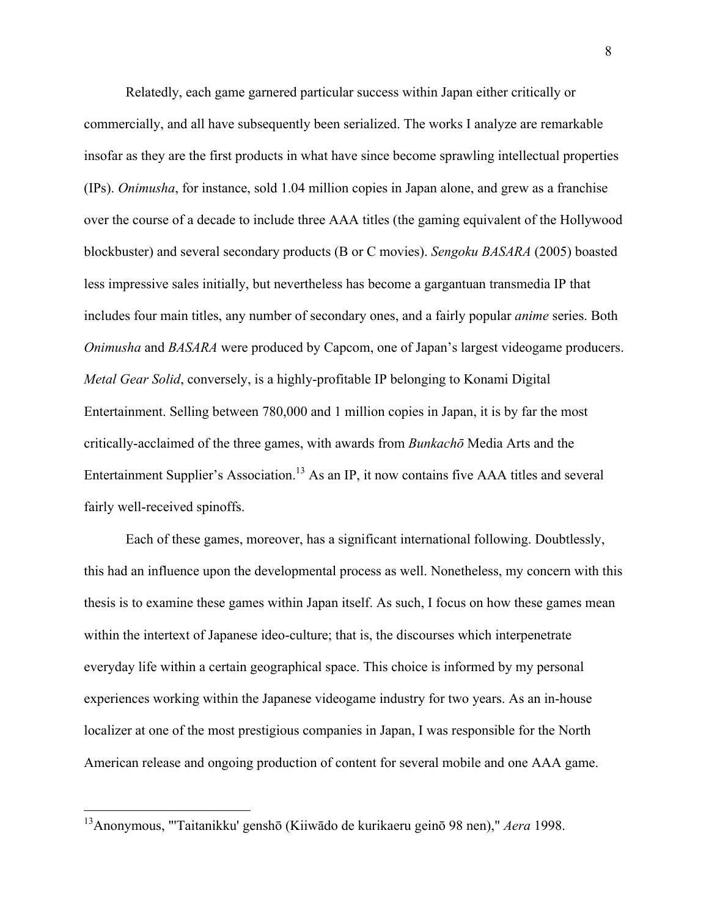Relatedly, each game garnered particular success within Japan either critically or commercially, and all have subsequently been serialized. The works I analyze are remarkable insofar as they are the first products in what have since become sprawling intellectual properties (IPs). *Onimusha*, for instance, sold 1.04 million copies in Japan alone, and grew as a franchise over the course of a decade to include three AAA titles (the gaming equivalent of the Hollywood blockbuster) and several secondary products (B or C movies). *Sengoku BASARA* (2005) boasted less impressive sales initially, but nevertheless has become a gargantuan transmedia IP that includes four main titles, any number of secondary ones, and a fairly popular *anime* series. Both *Onimusha* and *BASARA* were produced by Capcom, one of Japan's largest videogame producers. *Metal Gear Solid*, conversely, is a highly-profitable IP belonging to Konami Digital Entertainment. Selling between 780,000 and 1 million copies in Japan, it is by far the most critically-acclaimed of the three games, with awards from *Bunkachō* Media Arts and the Entertainment Supplier's Association.<sup>13</sup> As an IP, it now contains five AAA titles and several fairly well-received spinoffs.

Each of these games, moreover, has a significant international following. Doubtlessly, this had an influence upon the developmental process as well. Nonetheless, my concern with this thesis is to examine these games within Japan itself. As such, I focus on how these games mean within the intertext of Japanese ideo-culture; that is, the discourses which interpenetrate everyday life within a certain geographical space. This choice is informed by my personal experiences working within the Japanese videogame industry for two years. As an in-house localizer at one of the most prestigious companies in Japan, I was responsible for the North American release and ongoing production of content for several mobile and one AAA game.

 <sup>13</sup>Anonymous, "'Taitanikku' genshō (Kiiwādo de kurikaeru geinō 98 nen)," *Aera* 1998.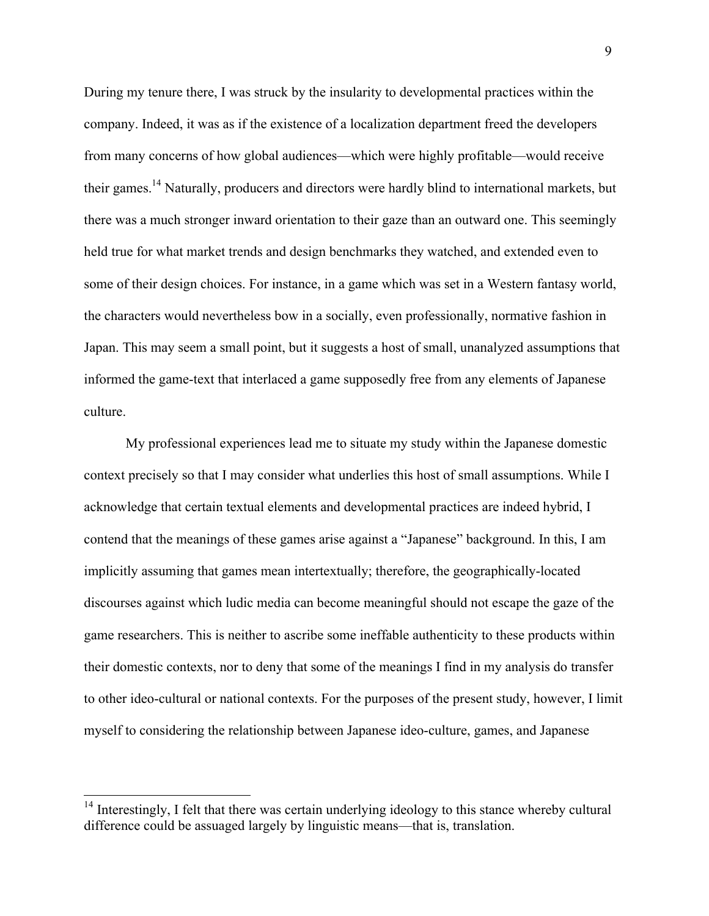During my tenure there, I was struck by the insularity to developmental practices within the company. Indeed, it was as if the existence of a localization department freed the developers from many concerns of how global audiences—which were highly profitable—would receive their games.<sup>14</sup> Naturally, producers and directors were hardly blind to international markets, but there was a much stronger inward orientation to their gaze than an outward one. This seemingly held true for what market trends and design benchmarks they watched, and extended even to some of their design choices. For instance, in a game which was set in a Western fantasy world, the characters would nevertheless bow in a socially, even professionally, normative fashion in Japan. This may seem a small point, but it suggests a host of small, unanalyzed assumptions that informed the game-text that interlaced a game supposedly free from any elements of Japanese culture.

My professional experiences lead me to situate my study within the Japanese domestic context precisely so that I may consider what underlies this host of small assumptions. While I acknowledge that certain textual elements and developmental practices are indeed hybrid, I contend that the meanings of these games arise against a "Japanese" background. In this, I am implicitly assuming that games mean intertextually; therefore, the geographically-located discourses against which ludic media can become meaningful should not escape the gaze of the game researchers. This is neither to ascribe some ineffable authenticity to these products within their domestic contexts, nor to deny that some of the meanings I find in my analysis do transfer to other ideo-cultural or national contexts. For the purposes of the present study, however, I limit myself to considering the relationship between Japanese ideo-culture, games, and Japanese

<sup>&</sup>lt;sup>14</sup> Interestingly, I felt that there was certain underlying ideology to this stance whereby cultural difference could be assuaged largely by linguistic means—that is, translation.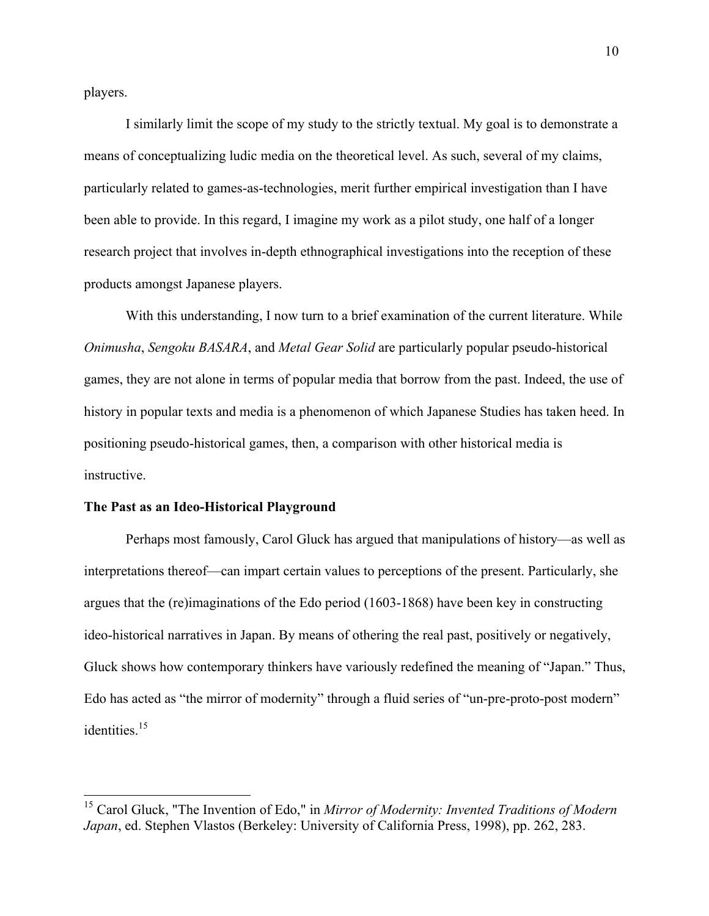players.

I similarly limit the scope of my study to the strictly textual. My goal is to demonstrate a means of conceptualizing ludic media on the theoretical level. As such, several of my claims, particularly related to games-as-technologies, merit further empirical investigation than I have been able to provide. In this regard, I imagine my work as a pilot study, one half of a longer research project that involves in-depth ethnographical investigations into the reception of these products amongst Japanese players.

With this understanding, I now turn to a brief examination of the current literature. While *Onimusha*, *Sengoku BASARA*, and *Metal Gear Solid* are particularly popular pseudo-historical games, they are not alone in terms of popular media that borrow from the past. Indeed, the use of history in popular texts and media is a phenomenon of which Japanese Studies has taken heed. In positioning pseudo-historical games, then, a comparison with other historical media is instructive.

### **The Past as an Ideo-Historical Playground**

Perhaps most famously, Carol Gluck has argued that manipulations of history—as well as interpretations thereof—can impart certain values to perceptions of the present. Particularly, she argues that the (re)imaginations of the Edo period (1603-1868) have been key in constructing ideo-historical narratives in Japan. By means of othering the real past, positively or negatively, Gluck shows how contemporary thinkers have variously redefined the meaning of "Japan." Thus, Edo has acted as "the mirror of modernity" through a fluid series of "un-pre-proto-post modern" identities.<sup>15</sup>

 <sup>15</sup> Carol Gluck, "The Invention of Edo," in *Mirror of Modernity: Invented Traditions of Modern Japan*, ed. Stephen Vlastos (Berkeley: University of California Press, 1998), pp. 262, 283.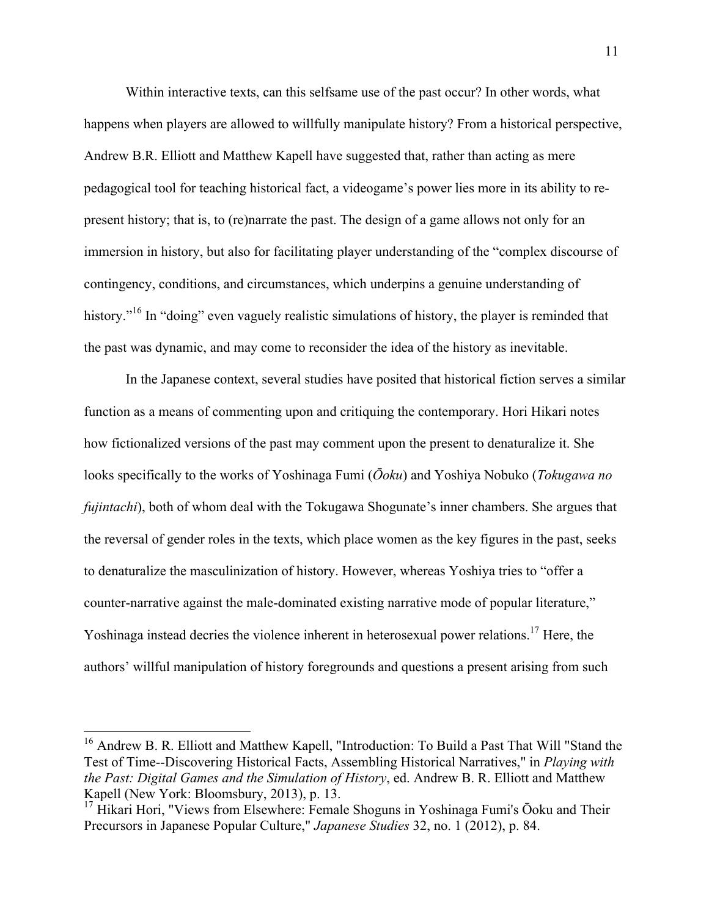Within interactive texts, can this selfsame use of the past occur? In other words, what happens when players are allowed to willfully manipulate history? From a historical perspective, Andrew B.R. Elliott and Matthew Kapell have suggested that, rather than acting as mere pedagogical tool for teaching historical fact, a videogame's power lies more in its ability to represent history; that is, to (re)narrate the past. The design of a game allows not only for an immersion in history, but also for facilitating player understanding of the "complex discourse of contingency, conditions, and circumstances, which underpins a genuine understanding of history.<sup>"16</sup> In "doing" even vaguely realistic simulations of history, the player is reminded that the past was dynamic, and may come to reconsider the idea of the history as inevitable.

In the Japanese context, several studies have posited that historical fiction serves a similar function as a means of commenting upon and critiquing the contemporary. Hori Hikari notes how fictionalized versions of the past may comment upon the present to denaturalize it. She looks specifically to the works of Yoshinaga Fumi (*Ōoku*) and Yoshiya Nobuko (*Tokugawa no fujintachi*), both of whom deal with the Tokugawa Shogunate's inner chambers. She argues that the reversal of gender roles in the texts, which place women as the key figures in the past, seeks to denaturalize the masculinization of history. However, whereas Yoshiya tries to "offer a counter-narrative against the male-dominated existing narrative mode of popular literature," Yoshinaga instead decries the violence inherent in heterosexual power relations.<sup>17</sup> Here, the authors' willful manipulation of history foregrounds and questions a present arising from such

<sup>&</sup>lt;sup>16</sup> Andrew B. R. Elliott and Matthew Kapell, "Introduction: To Build a Past That Will "Stand the Test of Time--Discovering Historical Facts, Assembling Historical Narratives," in *Playing with the Past: Digital Games and the Simulation of History*, ed. Andrew B. R. Elliott and Matthew Kapell (New York: Bloomsbury, 2013), p. 13.

<sup>&</sup>lt;sup>17</sup> Hikari Hori, "Views from Elsewhere: Female Shoguns in Yoshinaga Fumi's Ōoku and Their Precursors in Japanese Popular Culture," *Japanese Studies* 32, no. 1 (2012), p. 84.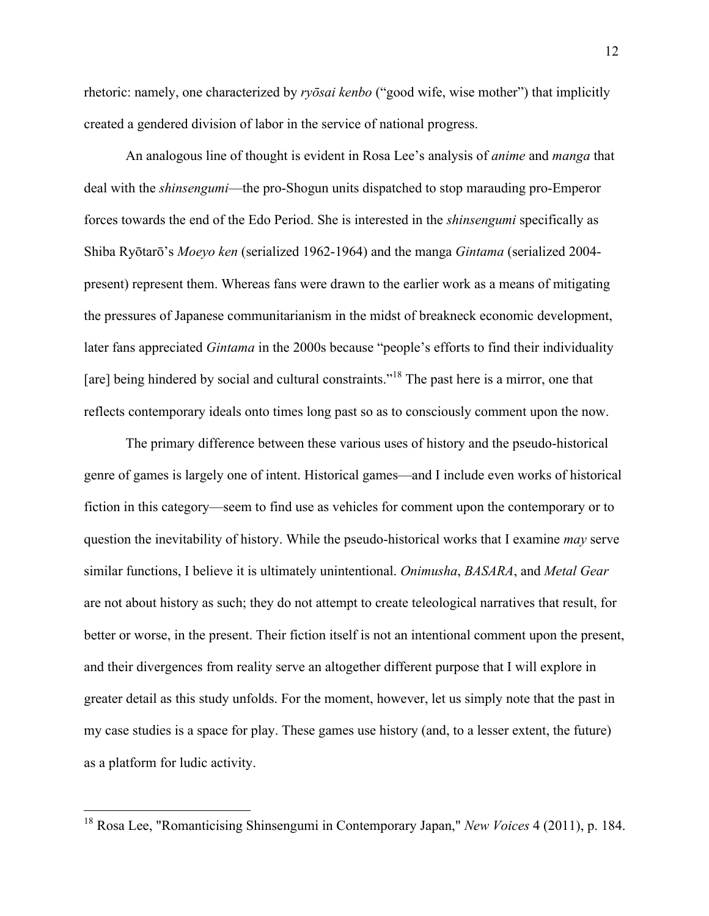rhetoric: namely, one characterized by *ryōsai kenbo* ("good wife, wise mother") that implicitly created a gendered division of labor in the service of national progress.

An analogous line of thought is evident in Rosa Lee's analysis of *anime* and *manga* that deal with the *shinsengumi*—the pro-Shogun units dispatched to stop marauding pro-Emperor forces towards the end of the Edo Period. She is interested in the *shinsengumi* specifically as Shiba Ryōtarō's *Moeyo ken* (serialized 1962-1964) and the manga *Gintama* (serialized 2004 present) represent them. Whereas fans were drawn to the earlier work as a means of mitigating the pressures of Japanese communitarianism in the midst of breakneck economic development, later fans appreciated *Gintama* in the 2000s because "people's efforts to find their individuality [are] being hindered by social and cultural constraints."<sup>18</sup> The past here is a mirror, one that reflects contemporary ideals onto times long past so as to consciously comment upon the now.

The primary difference between these various uses of history and the pseudo-historical genre of games is largely one of intent. Historical games—and I include even works of historical fiction in this category—seem to find use as vehicles for comment upon the contemporary or to question the inevitability of history. While the pseudo-historical works that I examine *may* serve similar functions, I believe it is ultimately unintentional. *Onimusha*, *BASARA*, and *Metal Gear*  are not about history as such; they do not attempt to create teleological narratives that result, for better or worse, in the present. Their fiction itself is not an intentional comment upon the present, and their divergences from reality serve an altogether different purpose that I will explore in greater detail as this study unfolds. For the moment, however, let us simply note that the past in my case studies is a space for play. These games use history (and, to a lesser extent, the future) as a platform for ludic activity.

 <sup>18</sup> Rosa Lee, "Romanticising Shinsengumi in Contemporary Japan," *New Voices* 4 (2011), p. 184.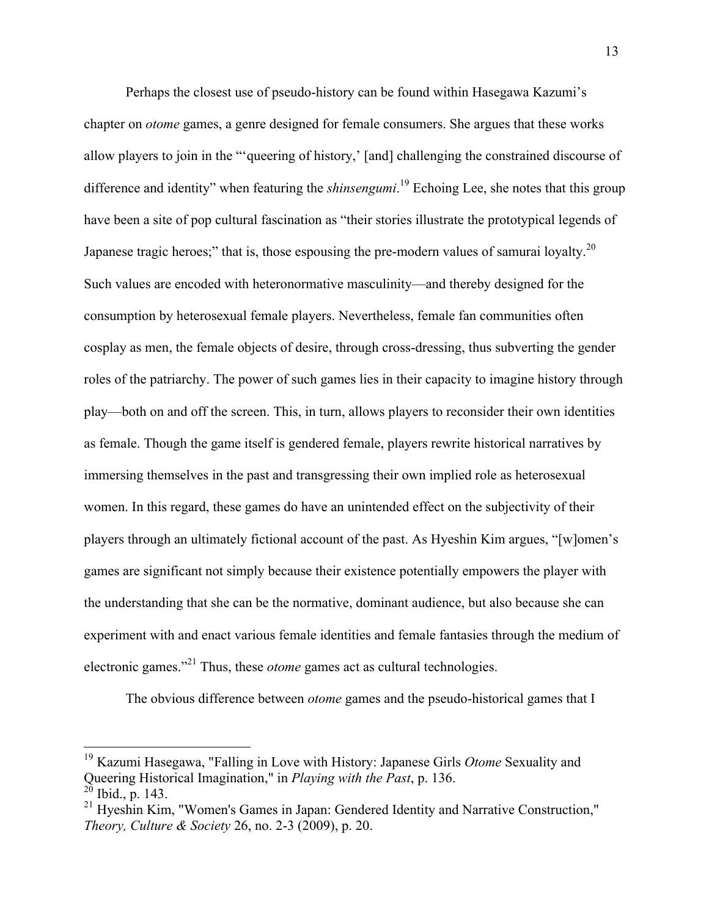Perhaps the closest use of pseudo-history can be found within Hasegawa Kazumi's chapter on *otome* games, a genre designed for female consumers. She argues that these works allow players to join in the "'queering of history,' [and] challenging the constrained discourse of difference and identity" when featuring the *shinsengumi*. <sup>19</sup> Echoing Lee, she notes that this group have been a site of pop cultural fascination as "their stories illustrate the prototypical legends of Japanese tragic heroes;" that is, those espousing the pre-modern values of samurai loyalty.<sup>20</sup> Such values are encoded with heteronormative masculinity—and thereby designed for the consumption by heterosexual female players. Nevertheless, female fan communities often cosplay as men, the female objects of desire, through cross-dressing, thus subverting the gender roles of the patriarchy. The power of such games lies in their capacity to imagine history through play—both on and off the screen. This, in turn, allows players to reconsider their own identities as female. Though the game itself is gendered female, players rewrite historical narratives by immersing themselves in the past and transgressing their own implied role as heterosexual women. In this regard, these games do have an unintended effect on the subjectivity of their players through an ultimately fictional account of the past. As Hyeshin Kim argues, "[w]omen's games are significant not simply because their existence potentially empowers the player with the understanding that she can be the normative, dominant audience, but also because she can experiment with and enact various female identities and female fantasies through the medium of electronic games."21 Thus, these *otome* games act as cultural technologies.

The obvious difference between *otome* games and the pseudo-historical games that I

 <sup>19</sup> Kazumi Hasegawa, "Falling in Love with History: Japanese Girls *Otome* Sexuality and Queering Historical Imagination," in *Playing with the Past*, p. 136.  $^{20}$  Ibid., p. 143.

<sup>&</sup>lt;sup>21</sup> Hyeshin Kim, "Women's Games in Japan: Gendered Identity and Narrative Construction," *Theory, Culture & Society* 26, no. 2-3 (2009), p. 20.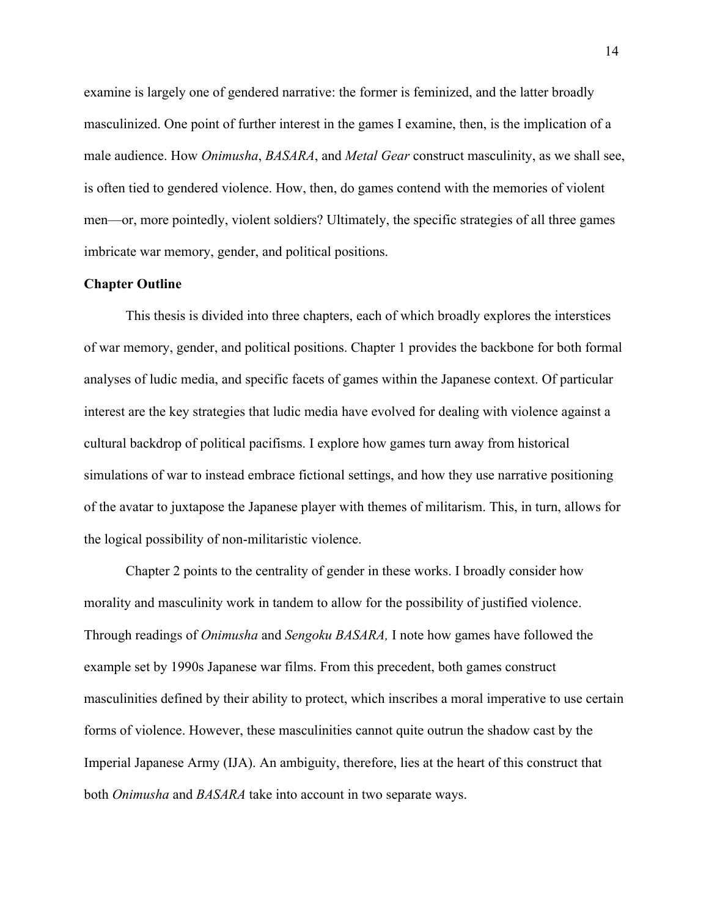examine is largely one of gendered narrative: the former is feminized, and the latter broadly masculinized. One point of further interest in the games I examine, then, is the implication of a male audience. How *Onimusha*, *BASARA*, and *Metal Gear* construct masculinity, as we shall see, is often tied to gendered violence. How, then, do games contend with the memories of violent men—or, more pointedly, violent soldiers? Ultimately, the specific strategies of all three games imbricate war memory, gender, and political positions.

#### **Chapter Outline**

This thesis is divided into three chapters, each of which broadly explores the interstices of war memory, gender, and political positions. Chapter 1 provides the backbone for both formal analyses of ludic media, and specific facets of games within the Japanese context. Of particular interest are the key strategies that ludic media have evolved for dealing with violence against a cultural backdrop of political pacifisms. I explore how games turn away from historical simulations of war to instead embrace fictional settings, and how they use narrative positioning of the avatar to juxtapose the Japanese player with themes of militarism. This, in turn, allows for the logical possibility of non-militaristic violence.

Chapter 2 points to the centrality of gender in these works. I broadly consider how morality and masculinity work in tandem to allow for the possibility of justified violence. Through readings of *Onimusha* and *Sengoku BASARA,* I note how games have followed the example set by 1990s Japanese war films. From this precedent, both games construct masculinities defined by their ability to protect, which inscribes a moral imperative to use certain forms of violence. However, these masculinities cannot quite outrun the shadow cast by the Imperial Japanese Army (IJA). An ambiguity, therefore, lies at the heart of this construct that both *Onimusha* and *BASARA* take into account in two separate ways.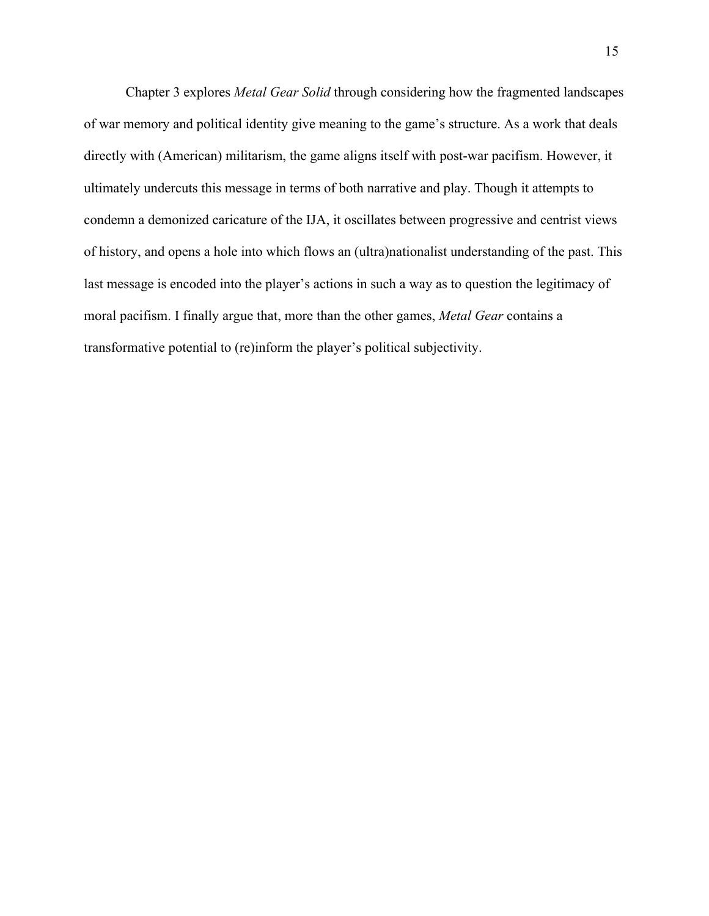Chapter 3 explores *Metal Gear Solid* through considering how the fragmented landscapes of war memory and political identity give meaning to the game's structure. As a work that deals directly with (American) militarism, the game aligns itself with post-war pacifism. However, it ultimately undercuts this message in terms of both narrative and play. Though it attempts to condemn a demonized caricature of the IJA, it oscillates between progressive and centrist views of history, and opens a hole into which flows an (ultra)nationalist understanding of the past. This last message is encoded into the player's actions in such a way as to question the legitimacy of moral pacifism. I finally argue that, more than the other games, *Metal Gear* contains a transformative potential to (re)inform the player's political subjectivity.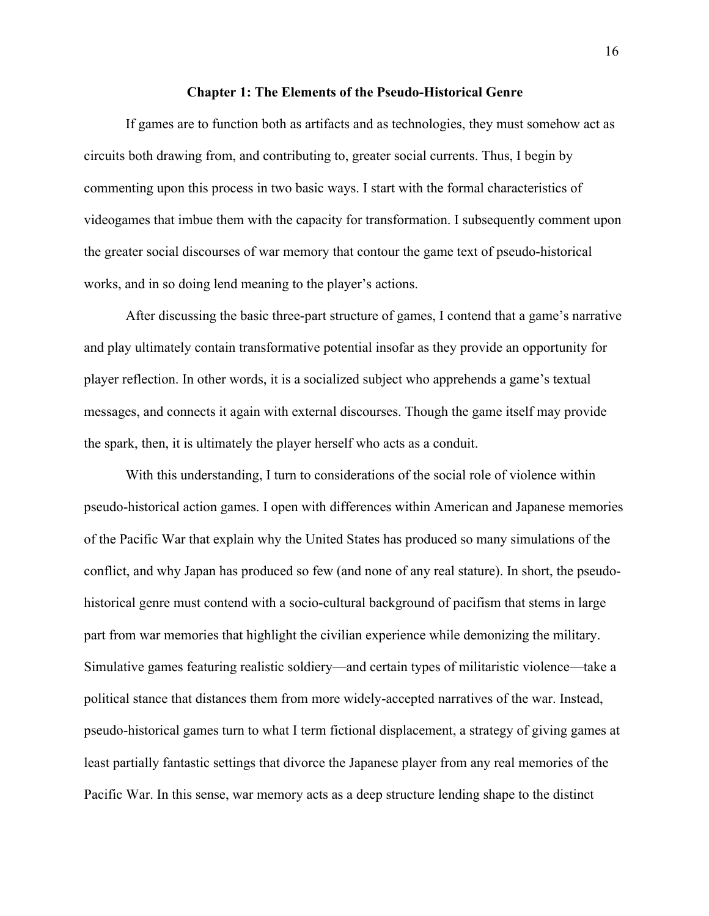#### **Chapter 1: The Elements of the Pseudo-Historical Genre**

If games are to function both as artifacts and as technologies, they must somehow act as circuits both drawing from, and contributing to, greater social currents. Thus, I begin by commenting upon this process in two basic ways. I start with the formal characteristics of videogames that imbue them with the capacity for transformation. I subsequently comment upon the greater social discourses of war memory that contour the game text of pseudo-historical works, and in so doing lend meaning to the player's actions.

After discussing the basic three-part structure of games, I contend that a game's narrative and play ultimately contain transformative potential insofar as they provide an opportunity for player reflection. In other words, it is a socialized subject who apprehends a game's textual messages, and connects it again with external discourses. Though the game itself may provide the spark, then, it is ultimately the player herself who acts as a conduit.

With this understanding, I turn to considerations of the social role of violence within pseudo-historical action games. I open with differences within American and Japanese memories of the Pacific War that explain why the United States has produced so many simulations of the conflict, and why Japan has produced so few (and none of any real stature). In short, the pseudohistorical genre must contend with a socio-cultural background of pacifism that stems in large part from war memories that highlight the civilian experience while demonizing the military. Simulative games featuring realistic soldiery—and certain types of militaristic violence—take a political stance that distances them from more widely-accepted narratives of the war. Instead, pseudo-historical games turn to what I term fictional displacement, a strategy of giving games at least partially fantastic settings that divorce the Japanese player from any real memories of the Pacific War. In this sense, war memory acts as a deep structure lending shape to the distinct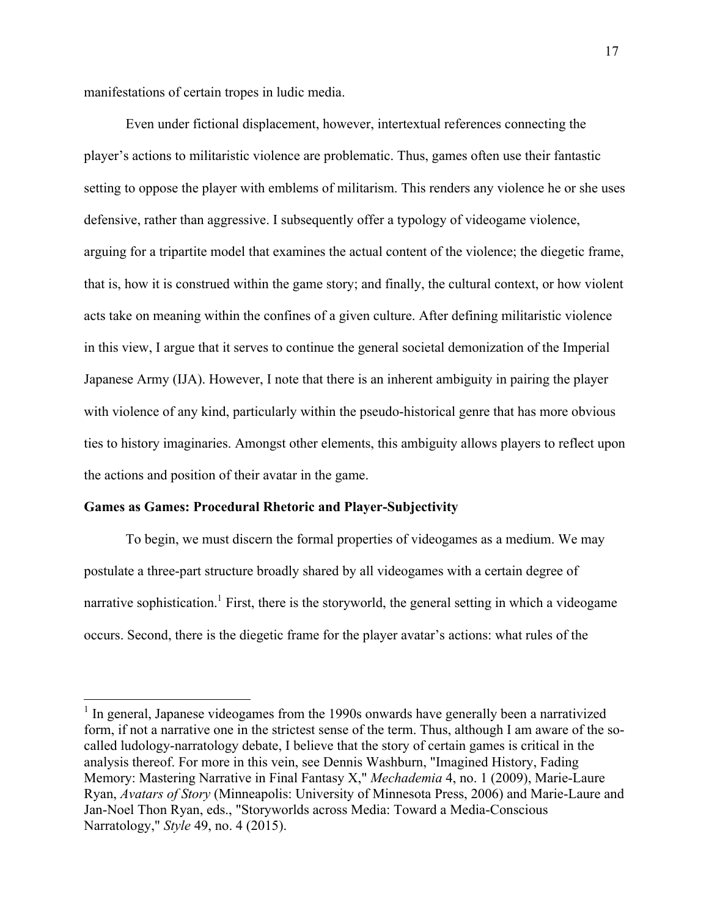manifestations of certain tropes in ludic media.

Even under fictional displacement, however, intertextual references connecting the player's actions to militaristic violence are problematic. Thus, games often use their fantastic setting to oppose the player with emblems of militarism. This renders any violence he or she uses defensive, rather than aggressive. I subsequently offer a typology of videogame violence, arguing for a tripartite model that examines the actual content of the violence; the diegetic frame, that is, how it is construed within the game story; and finally, the cultural context, or how violent acts take on meaning within the confines of a given culture. After defining militaristic violence in this view, I argue that it serves to continue the general societal demonization of the Imperial Japanese Army (IJA). However, I note that there is an inherent ambiguity in pairing the player with violence of any kind, particularly within the pseudo-historical genre that has more obvious ties to history imaginaries. Amongst other elements, this ambiguity allows players to reflect upon the actions and position of their avatar in the game.

#### **Games as Games: Procedural Rhetoric and Player-Subjectivity**

To begin, we must discern the formal properties of videogames as a medium. We may postulate a three-part structure broadly shared by all videogames with a certain degree of narrative sophistication.<sup>1</sup> First, there is the storyworld, the general setting in which a videogame occurs. Second, there is the diegetic frame for the player avatar's actions: what rules of the

<sup>&</sup>lt;sup>1</sup> In general, Japanese videogames from the 1990s onwards have generally been a narrativized form, if not a narrative one in the strictest sense of the term. Thus, although I am aware of the socalled ludology-narratology debate, I believe that the story of certain games is critical in the analysis thereof. For more in this vein, see Dennis Washburn, "Imagined History, Fading Memory: Mastering Narrative in Final Fantasy X," *Mechademia* 4, no. 1 (2009), Marie-Laure Ryan, *Avatars of Story* (Minneapolis: University of Minnesota Press, 2006) and Marie-Laure and Jan-Noel Thon Ryan, eds., "Storyworlds across Media: Toward a Media-Conscious Narratology," *Style* 49, no. 4 (2015).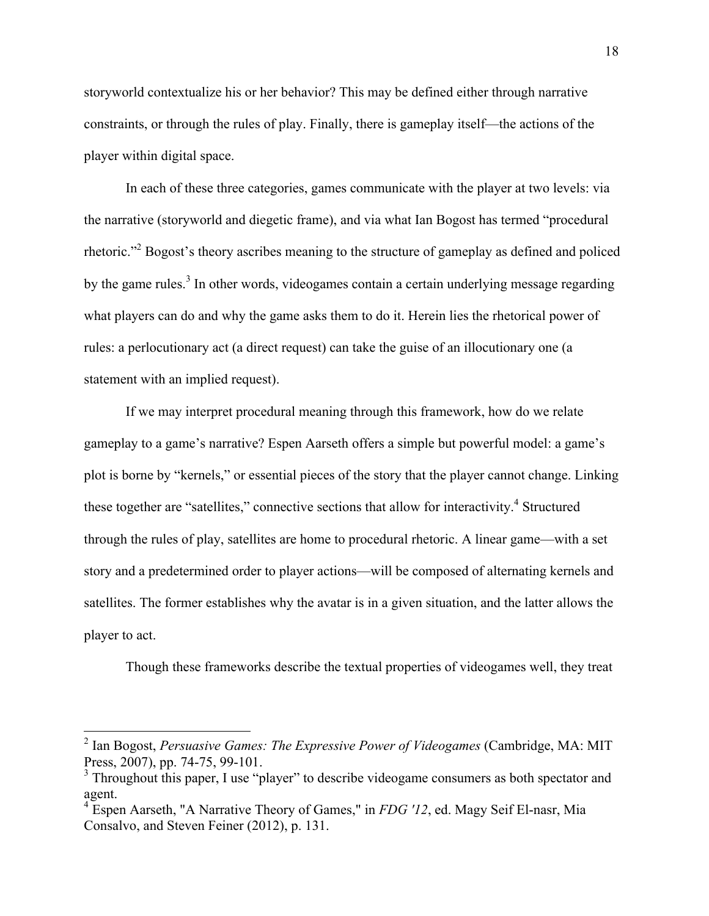storyworld contextualize his or her behavior? This may be defined either through narrative constraints, or through the rules of play. Finally, there is gameplay itself—the actions of the player within digital space.

In each of these three categories, games communicate with the player at two levels: via the narrative (storyworld and diegetic frame), and via what Ian Bogost has termed "procedural rhetoric."2 Bogost's theory ascribes meaning to the structure of gameplay as defined and policed by the game rules.<sup>3</sup> In other words, videogames contain a certain underlying message regarding what players can do and why the game asks them to do it. Herein lies the rhetorical power of rules: a perlocutionary act (a direct request) can take the guise of an illocutionary one (a statement with an implied request).

If we may interpret procedural meaning through this framework, how do we relate gameplay to a game's narrative? Espen Aarseth offers a simple but powerful model: a game's plot is borne by "kernels," or essential pieces of the story that the player cannot change. Linking these together are "satellites," connective sections that allow for interactivity. $4$  Structured through the rules of play, satellites are home to procedural rhetoric. A linear game—with a set story and a predetermined order to player actions—will be composed of alternating kernels and satellites. The former establishes why the avatar is in a given situation, and the latter allows the player to act.

Though these frameworks describe the textual properties of videogames well, they treat

 <sup>2</sup> Ian Bogost, *Persuasive Games: The Expressive Power of Videogames* (Cambridge, MA: MIT Press, 2007), pp. 74-75, 99-101.

 $3$  Throughout this paper, I use "player" to describe videogame consumers as both spectator and agent.

<sup>4</sup> Espen Aarseth, "A Narrative Theory of Games," in *FDG '12*, ed. Magy Seif El-nasr, Mia Consalvo, and Steven Feiner (2012), p. 131.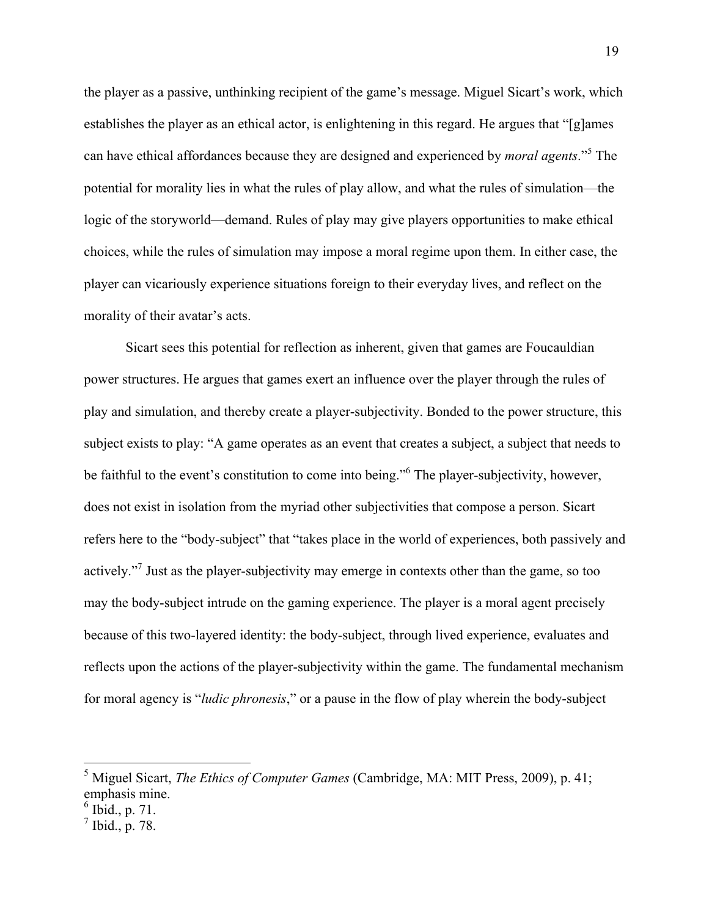the player as a passive, unthinking recipient of the game's message. Miguel Sicart's work, which establishes the player as an ethical actor, is enlightening in this regard. He argues that "[g]ames can have ethical affordances because they are designed and experienced by *moral agents*."<sup>5</sup> The potential for morality lies in what the rules of play allow, and what the rules of simulation—the logic of the storyworld—demand. Rules of play may give players opportunities to make ethical choices, while the rules of simulation may impose a moral regime upon them. In either case, the player can vicariously experience situations foreign to their everyday lives, and reflect on the morality of their avatar's acts.

Sicart sees this potential for reflection as inherent, given that games are Foucauldian power structures. He argues that games exert an influence over the player through the rules of play and simulation, and thereby create a player-subjectivity. Bonded to the power structure, this subject exists to play: "A game operates as an event that creates a subject, a subject that needs to be faithful to the event's constitution to come into being."6 The player-subjectivity, however, does not exist in isolation from the myriad other subjectivities that compose a person. Sicart refers here to the "body-subject" that "takes place in the world of experiences, both passively and actively."<sup>7</sup> Just as the player-subjectivity may emerge in contexts other than the game, so too may the body-subject intrude on the gaming experience. The player is a moral agent precisely because of this two-layered identity: the body-subject, through lived experience, evaluates and reflects upon the actions of the player-subjectivity within the game. The fundamental mechanism for moral agency is "*ludic phronesis*," or a pause in the flow of play wherein the body-subject

 <sup>5</sup> Miguel Sicart, *The Ethics of Computer Games* (Cambridge, MA: MIT Press, 2009), p. 41; emphasis mine.

 $6$  Ibid., p. 71.

 $^7$  Ibid., p. 78.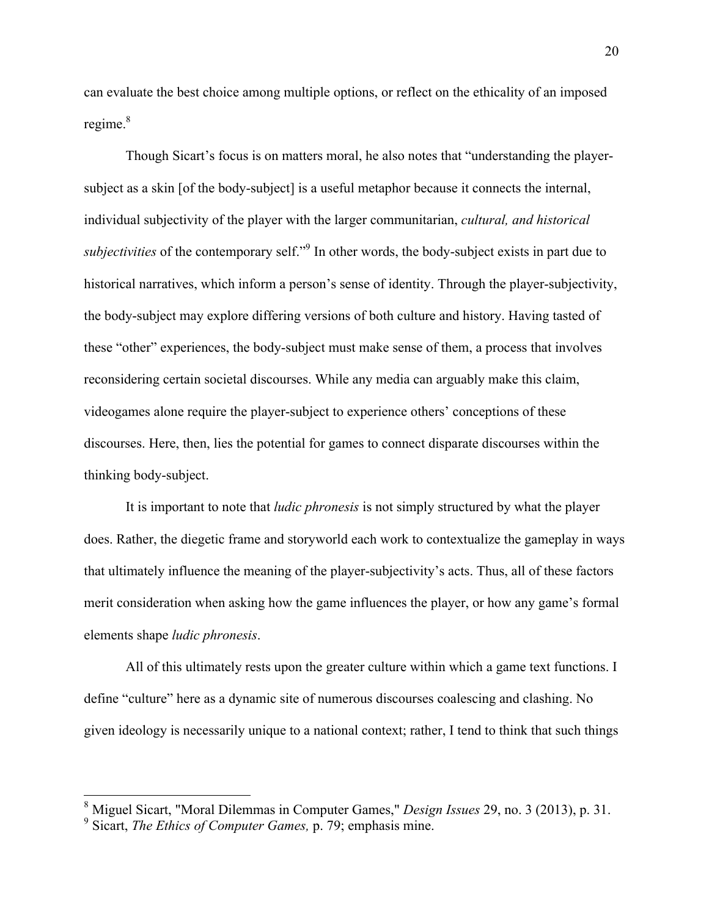can evaluate the best choice among multiple options, or reflect on the ethicality of an imposed regime.<sup>8</sup>

Though Sicart's focus is on matters moral, he also notes that "understanding the playersubject as a skin [of the body-subject] is a useful metaphor because it connects the internal, individual subjectivity of the player with the larger communitarian, *cultural, and historical subjectivities* of the contemporary self."<sup>9</sup> In other words, the body-subject exists in part due to historical narratives, which inform a person's sense of identity. Through the player-subjectivity, the body-subject may explore differing versions of both culture and history. Having tasted of these "other" experiences, the body-subject must make sense of them, a process that involves reconsidering certain societal discourses. While any media can arguably make this claim, videogames alone require the player-subject to experience others' conceptions of these discourses. Here, then, lies the potential for games to connect disparate discourses within the thinking body-subject.

It is important to note that *ludic phronesis* is not simply structured by what the player does. Rather, the diegetic frame and storyworld each work to contextualize the gameplay in ways that ultimately influence the meaning of the player-subjectivity's acts. Thus, all of these factors merit consideration when asking how the game influences the player, or how any game's formal elements shape *ludic phronesis*.

All of this ultimately rests upon the greater culture within which a game text functions. I define "culture" here as a dynamic site of numerous discourses coalescing and clashing. No given ideology is necessarily unique to a national context; rather, I tend to think that such things

 <sup>8</sup> Miguel Sicart, "Moral Dilemmas in Computer Games," *Design Issues* 29, no. 3 (2013), p. 31.

<sup>9</sup> Sicart, *The Ethics of Computer Games,* p. 79; emphasis mine.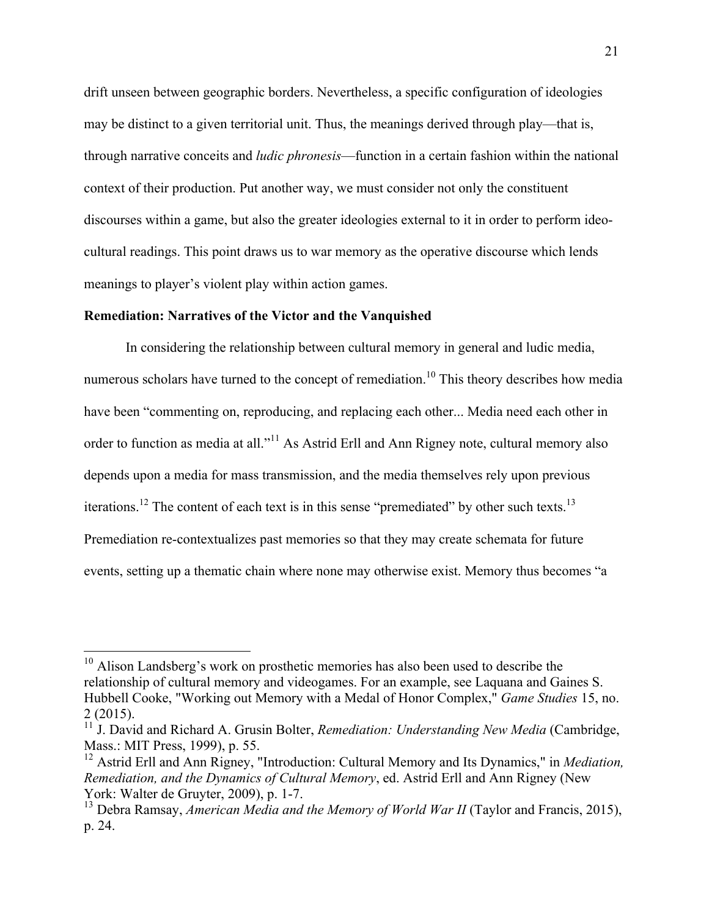drift unseen between geographic borders. Nevertheless, a specific configuration of ideologies may be distinct to a given territorial unit. Thus, the meanings derived through play—that is, through narrative conceits and *ludic phronesis*—function in a certain fashion within the national context of their production. Put another way, we must consider not only the constituent discourses within a game, but also the greater ideologies external to it in order to perform ideocultural readings. This point draws us to war memory as the operative discourse which lends meanings to player's violent play within action games.

#### **Remediation: Narratives of the Victor and the Vanquished**

In considering the relationship between cultural memory in general and ludic media, numerous scholars have turned to the concept of remediation.<sup>10</sup> This theory describes how media have been "commenting on, reproducing, and replacing each other... Media need each other in order to function as media at all."<sup>11</sup> As Astrid Erll and Ann Rigney note, cultural memory also depends upon a media for mass transmission, and the media themselves rely upon previous iterations.<sup>12</sup> The content of each text is in this sense "premediated" by other such texts.<sup>13</sup> Premediation re-contextualizes past memories so that they may create schemata for future events, setting up a thematic chain where none may otherwise exist. Memory thus becomes "a

 $10$  Alison Landsberg's work on prosthetic memories has also been used to describe the relationship of cultural memory and videogames. For an example, see Laquana and Gaines S. Hubbell Cooke, "Working out Memory with a Medal of Honor Complex," *Game Studies* 15, no. 2 (2015).

<sup>11</sup> J. David and Richard A. Grusin Bolter, *Remediation: Understanding New Media* (Cambridge, Mass.: MIT Press, 1999), p. 55.

<sup>&</sup>lt;sup>12</sup> Astrid Erll and Ann Rigney, "Introduction: Cultural Memory and Its Dynamics," in *Mediation*, *Remediation, and the Dynamics of Cultural Memory*, ed. Astrid Erll and Ann Rigney (New York: Walter de Gruyter, 2009), p. 1-7.

<sup>&</sup>lt;sup>13</sup> Debra Ramsay, *American Media and the Memory of World War II* (Taylor and Francis, 2015), p. 24.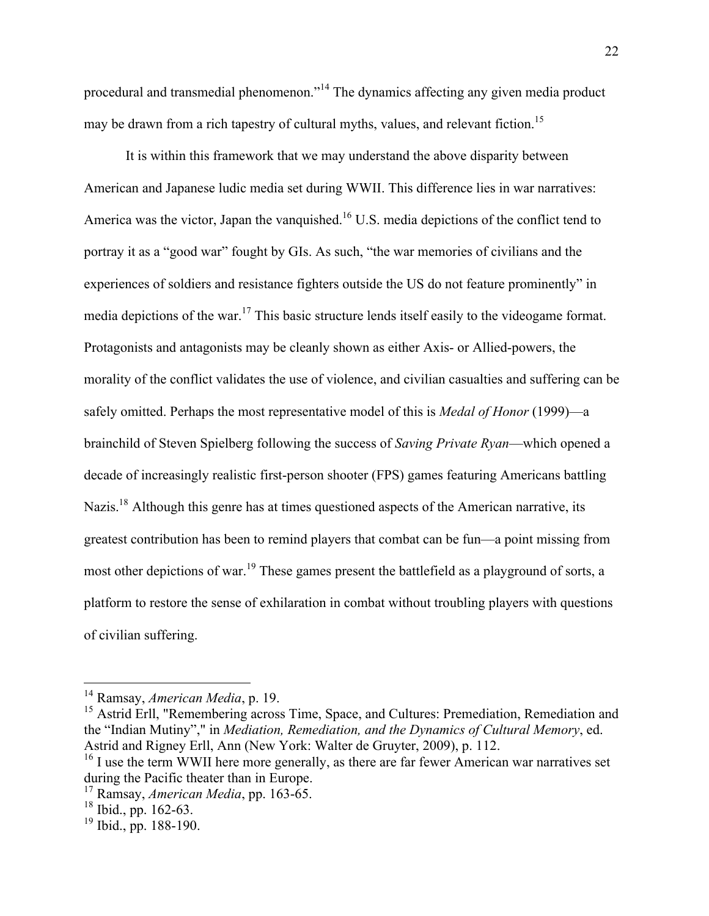procedural and transmedial phenomenon."<sup>14</sup> The dynamics affecting any given media product may be drawn from a rich tapestry of cultural myths, values, and relevant fiction.<sup>15</sup>

It is within this framework that we may understand the above disparity between American and Japanese ludic media set during WWII. This difference lies in war narratives: America was the victor, Japan the vanquished.<sup>16</sup> U.S. media depictions of the conflict tend to portray it as a "good war" fought by GIs. As such, "the war memories of civilians and the experiences of soldiers and resistance fighters outside the US do not feature prominently" in media depictions of the war.<sup>17</sup> This basic structure lends itself easily to the videogame format. Protagonists and antagonists may be cleanly shown as either Axis- or Allied-powers, the morality of the conflict validates the use of violence, and civilian casualties and suffering can be safely omitted. Perhaps the most representative model of this is *Medal of Honor* (1999)—a brainchild of Steven Spielberg following the success of *Saving Private Ryan*—which opened a decade of increasingly realistic first-person shooter (FPS) games featuring Americans battling Nazis.<sup>18</sup> Although this genre has at times questioned aspects of the American narrative, its greatest contribution has been to remind players that combat can be fun—a point missing from most other depictions of war.<sup>19</sup> These games present the battlefield as a playground of sorts, a platform to restore the sense of exhilaration in combat without troubling players with questions of civilian suffering.

<sup>15</sup> Astrid Erll, "Remembering across Time, Space, and Cultures: Premediation, Remediation and the "Indian Mutiny"," in *Mediation, Remediation, and the Dynamics of Cultural Memory*, ed. Astrid and Rigney Erll, Ann (New York: Walter de Gruyter, 2009), p. 112.

 <sup>14</sup> Ramsay, *American Media*, p. 19.

<sup>&</sup>lt;sup>16</sup> I use the term WWII here more generally, as there are far fewer American war narratives set during the Pacific theater than in Europe.

<sup>17</sup> Ramsay, *American Media*, pp. 163-65.

 $18$  Ibid., pp. 162-63.

 $19$  Ibid., pp. 188-190.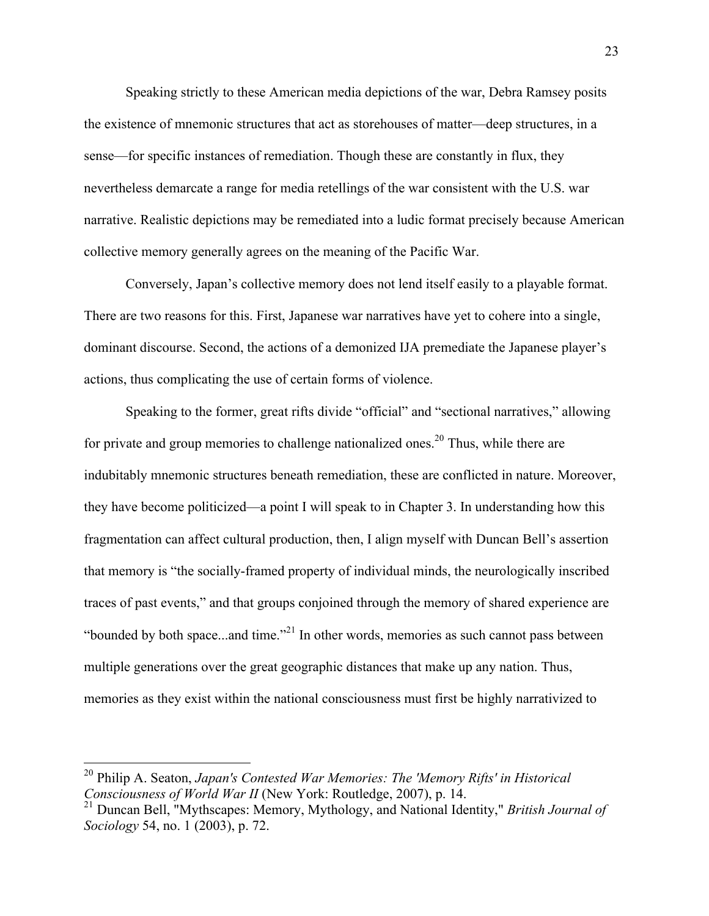Speaking strictly to these American media depictions of the war, Debra Ramsey posits the existence of mnemonic structures that act as storehouses of matter—deep structures, in a sense—for specific instances of remediation. Though these are constantly in flux, they nevertheless demarcate a range for media retellings of the war consistent with the U.S. war narrative. Realistic depictions may be remediated into a ludic format precisely because American collective memory generally agrees on the meaning of the Pacific War.

Conversely, Japan's collective memory does not lend itself easily to a playable format. There are two reasons for this. First, Japanese war narratives have yet to cohere into a single, dominant discourse. Second, the actions of a demonized IJA premediate the Japanese player's actions, thus complicating the use of certain forms of violence.

Speaking to the former, great rifts divide "official" and "sectional narratives," allowing for private and group memories to challenge nationalized ones.<sup>20</sup> Thus, while there are indubitably mnemonic structures beneath remediation, these are conflicted in nature. Moreover, they have become politicized—a point I will speak to in Chapter 3. In understanding how this fragmentation can affect cultural production, then, I align myself with Duncan Bell's assertion that memory is "the socially-framed property of individual minds, the neurologically inscribed traces of past events," and that groups conjoined through the memory of shared experience are "bounded by both space...and time."<sup>21</sup> In other words, memories as such cannot pass between multiple generations over the great geographic distances that make up any nation. Thus, memories as they exist within the national consciousness must first be highly narrativized to

 <sup>20</sup> Philip A. Seaton, *Japan's Contested War Memories: The 'Memory Rifts' in Historical Consciousness of World War II* (New York: Routledge, 2007), p. 14.

<sup>21</sup> Duncan Bell, "Mythscapes: Memory, Mythology, and National Identity," *British Journal of Sociology* 54, no. 1 (2003), p. 72.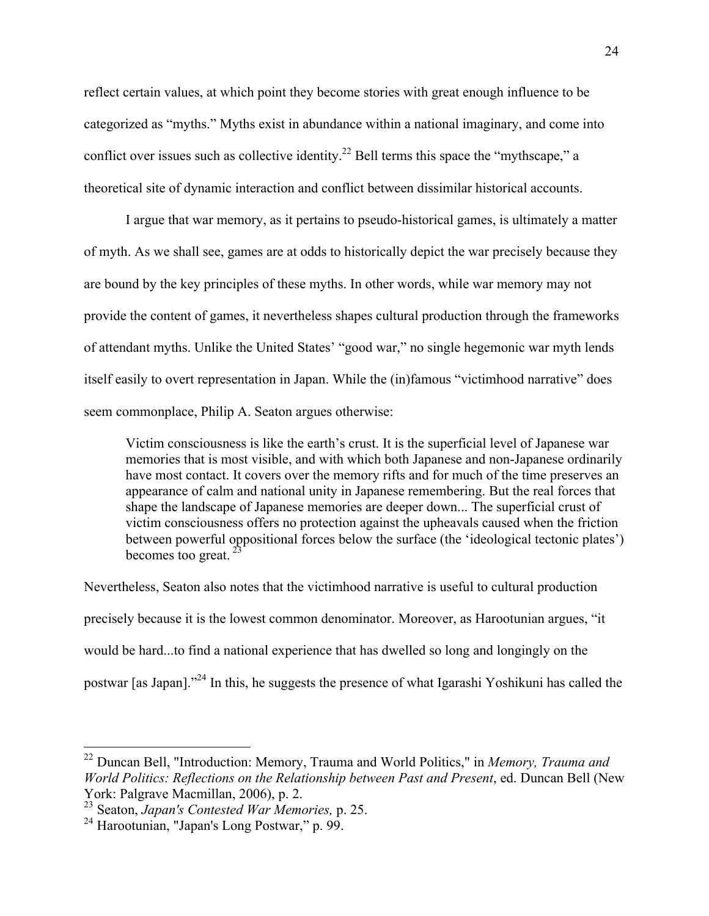reflect certain values, at which point they become stories with great enough influence to be categorized as "myths." Myths exist in abundance within a national imaginary, and come into conflict over issues such as collective identity.<sup>22</sup> Bell terms this space the "mythscape," a theoretical site of dynamic interaction and conflict between dissimilar historical accounts.

I argue that war memory, as it pertains to pseudo-historical games, is ultimately a matter of myth. As we shall see, games are at odds to historically depict the war precisely because they are bound by the key principles of these myths. In other words, while war memory may not provide the content of games, it nevertheless shapes cultural production through the frameworks of attendant myths. Unlike the United States' "good war," no single hegemonic war myth lends itself easily to overt representation in Japan. While the (in)famous "victimhood narrative" does seem commonplace, Philip A. Seaton argues otherwise:

Victim consciousness is like the earth's crust. It is the superficial level of Japanese war memories that is most visible, and with which both Japanese and non-Japanese ordinarily have most contact. It covers over the memory rifts and for much of the time preserves an appearance of calm and national unity in Japanese remembering. But the real forces that shape the landscape of Japanese memories are deeper down... The superficial crust of victim consciousness offers no protection against the upheavals caused when the friction between powerful oppositional forces below the surface (the 'ideological tectonic plates') becomes too great.  $2\frac{2}{3}$ 

Nevertheless, Seaton also notes that the victimhood narrative is useful to cultural production precisely because it is the lowest common denominator. Moreover, as Harootunian argues, "it would be hard...to find a national experience that has dwelled so long and longingly on the postwar [as Japan]."<sup>24</sup> In this, he suggests the presence of what Igarashi Yoshikuni has called the

 <sup>22</sup> Duncan Bell, "Introduction: Memory, Trauma and World Politics," in *Memory, Trauma and World Politics: Reflections on the Relationship between Past and Present*, ed. Duncan Bell (New York: Palgrave Macmillan, 2006), p. 2.

<sup>23</sup> Seaton, *Japan's Contested War Memories,* p. 25.

<sup>24</sup> Harootunian, "Japan's Long Postwar," p. 99.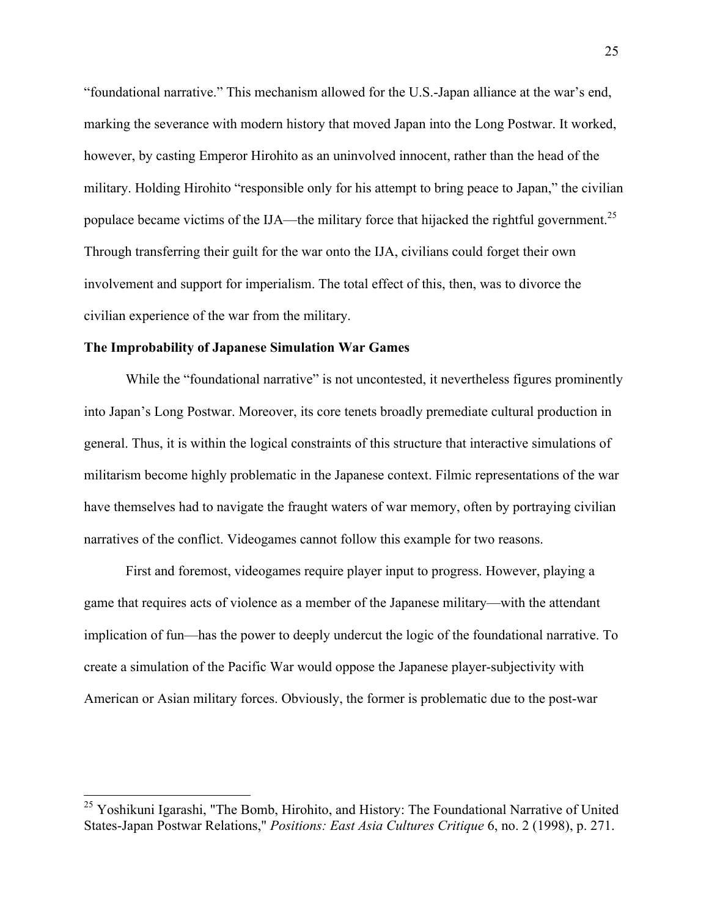"foundational narrative." This mechanism allowed for the U.S.-Japan alliance at the war's end, marking the severance with modern history that moved Japan into the Long Postwar. It worked, however, by casting Emperor Hirohito as an uninvolved innocent, rather than the head of the military. Holding Hirohito "responsible only for his attempt to bring peace to Japan," the civilian populace became victims of the IJA—the military force that hijacked the rightful government.<sup>25</sup> Through transferring their guilt for the war onto the IJA, civilians could forget their own involvement and support for imperialism. The total effect of this, then, was to divorce the civilian experience of the war from the military.

#### **The Improbability of Japanese Simulation War Games**

While the "foundational narrative" is not uncontested, it nevertheless figures prominently into Japan's Long Postwar. Moreover, its core tenets broadly premediate cultural production in general. Thus, it is within the logical constraints of this structure that interactive simulations of militarism become highly problematic in the Japanese context. Filmic representations of the war have themselves had to navigate the fraught waters of war memory, often by portraying civilian narratives of the conflict. Videogames cannot follow this example for two reasons.

First and foremost, videogames require player input to progress. However, playing a game that requires acts of violence as a member of the Japanese military—with the attendant implication of fun—has the power to deeply undercut the logic of the foundational narrative. To create a simulation of the Pacific War would oppose the Japanese player-subjectivity with American or Asian military forces. Obviously, the former is problematic due to the post-war

<sup>&</sup>lt;sup>25</sup> Yoshikuni Igarashi, "The Bomb, Hirohito, and History: The Foundational Narrative of United States-Japan Postwar Relations," *Positions: East Asia Cultures Critique* 6, no. 2 (1998), p. 271.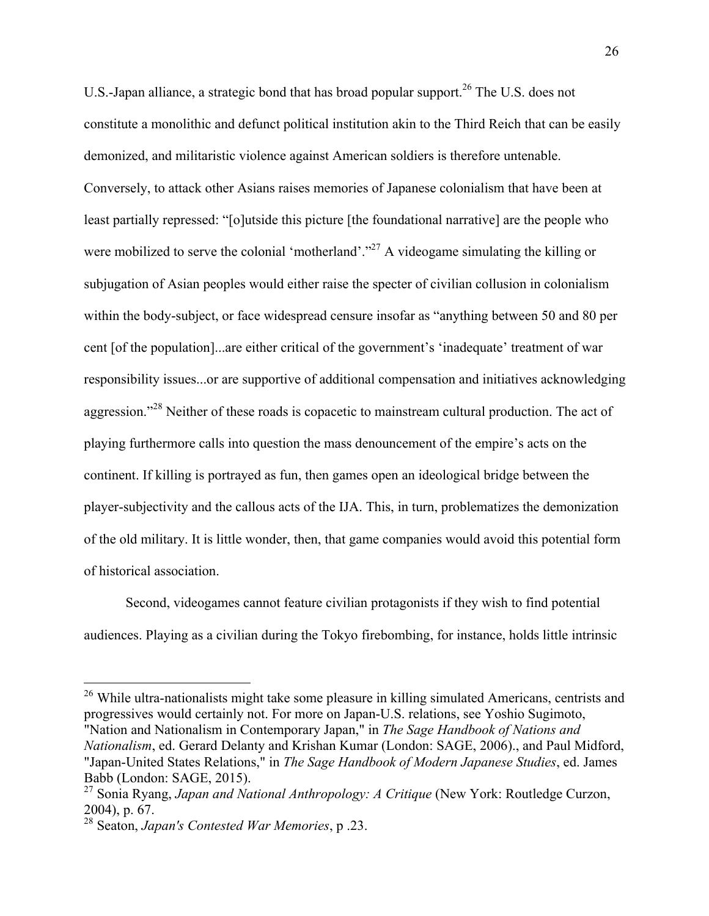U.S.-Japan alliance, a strategic bond that has broad popular support.<sup>26</sup> The U.S. does not constitute a monolithic and defunct political institution akin to the Third Reich that can be easily demonized, and militaristic violence against American soldiers is therefore untenable. Conversely, to attack other Asians raises memories of Japanese colonialism that have been at least partially repressed: "[o]utside this picture [the foundational narrative] are the people who were mobilized to serve the colonial 'motherland'."<sup>27</sup> A videogame simulating the killing or subjugation of Asian peoples would either raise the specter of civilian collusion in colonialism within the body-subject, or face widespread censure insofar as "anything between 50 and 80 per cent [of the population]...are either critical of the government's 'inadequate' treatment of war responsibility issues...or are supportive of additional compensation and initiatives acknowledging aggression."<sup>28</sup> Neither of these roads is copacetic to mainstream cultural production. The act of playing furthermore calls into question the mass denouncement of the empire's acts on the continent. If killing is portrayed as fun, then games open an ideological bridge between the player-subjectivity and the callous acts of the IJA. This, in turn, problematizes the demonization of the old military. It is little wonder, then, that game companies would avoid this potential form of historical association.

Second, videogames cannot feature civilian protagonists if they wish to find potential audiences. Playing as a civilian during the Tokyo firebombing, for instance, holds little intrinsic

 $26$  While ultra-nationalists might take some pleasure in killing simulated Americans, centrists and progressives would certainly not. For more on Japan-U.S. relations, see Yoshio Sugimoto, "Nation and Nationalism in Contemporary Japan," in *The Sage Handbook of Nations and Nationalism*, ed. Gerard Delanty and Krishan Kumar (London: SAGE, 2006)., and Paul Midford, "Japan-United States Relations," in *The Sage Handbook of Modern Japanese Studies*, ed. James Babb (London: SAGE, 2015).

<sup>27</sup> Sonia Ryang, *Japan and National Anthropology: A Critique* (New York: Routledge Curzon, 2004), p. 67.

<sup>28</sup> Seaton, *Japan's Contested War Memories*, p .23.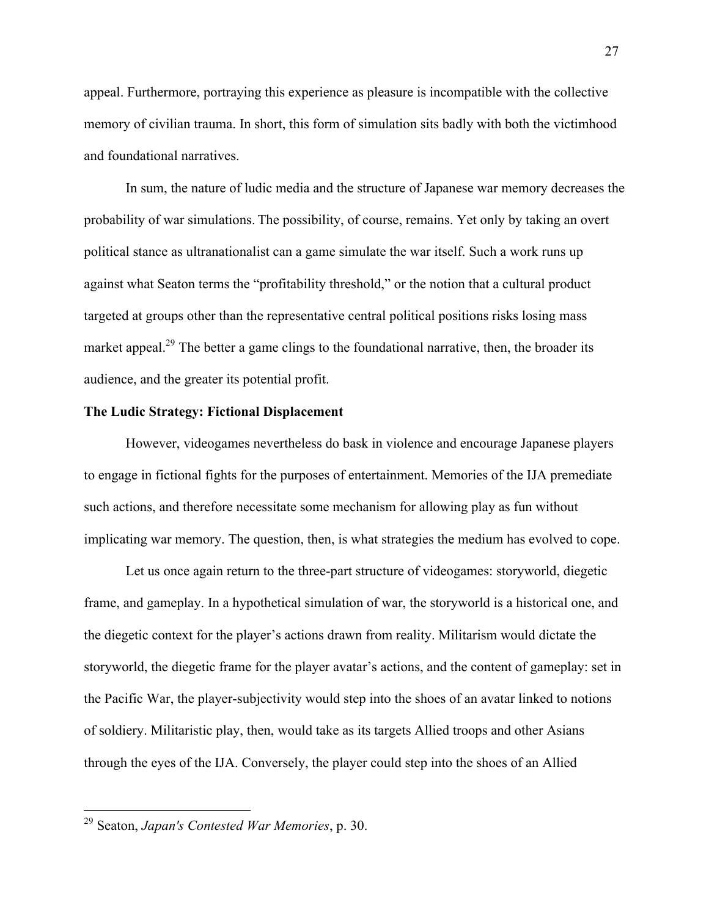appeal. Furthermore, portraying this experience as pleasure is incompatible with the collective memory of civilian trauma. In short, this form of simulation sits badly with both the victimhood and foundational narratives.

In sum, the nature of ludic media and the structure of Japanese war memory decreases the probability of war simulations. The possibility, of course, remains. Yet only by taking an overt political stance as ultranationalist can a game simulate the war itself. Such a work runs up against what Seaton terms the "profitability threshold," or the notion that a cultural product targeted at groups other than the representative central political positions risks losing mass market appeal.<sup>29</sup> The better a game clings to the foundational narrative, then, the broader its audience, and the greater its potential profit.

#### **The Ludic Strategy: Fictional Displacement**

However, videogames nevertheless do bask in violence and encourage Japanese players to engage in fictional fights for the purposes of entertainment. Memories of the IJA premediate such actions, and therefore necessitate some mechanism for allowing play as fun without implicating war memory. The question, then, is what strategies the medium has evolved to cope.

Let us once again return to the three-part structure of videogames: storyworld, diegetic frame, and gameplay. In a hypothetical simulation of war, the storyworld is a historical one, and the diegetic context for the player's actions drawn from reality. Militarism would dictate the storyworld, the diegetic frame for the player avatar's actions, and the content of gameplay: set in the Pacific War, the player-subjectivity would step into the shoes of an avatar linked to notions of soldiery. Militaristic play, then, would take as its targets Allied troops and other Asians through the eyes of the IJA. Conversely, the player could step into the shoes of an Allied

 <sup>29</sup> Seaton, *Japan's Contested War Memories*, p. 30.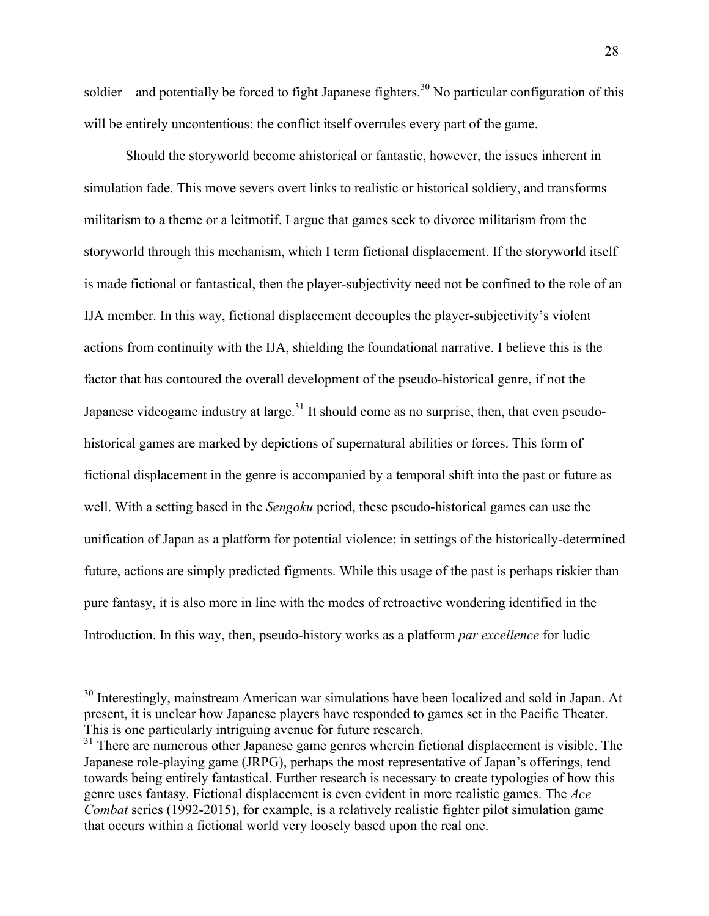soldier—and potentially be forced to fight Japanese fighters.<sup>30</sup> No particular configuration of this will be entirely uncontentious: the conflict itself overrules every part of the game.

Should the storyworld become ahistorical or fantastic, however, the issues inherent in simulation fade. This move severs overt links to realistic or historical soldiery, and transforms militarism to a theme or a leitmotif. I argue that games seek to divorce militarism from the storyworld through this mechanism, which I term fictional displacement. If the storyworld itself is made fictional or fantastical, then the player-subjectivity need not be confined to the role of an IJA member. In this way, fictional displacement decouples the player-subjectivity's violent actions from continuity with the IJA, shielding the foundational narrative. I believe this is the factor that has contoured the overall development of the pseudo-historical genre, if not the Japanese videogame industry at large.<sup>31</sup> It should come as no surprise, then, that even pseudohistorical games are marked by depictions of supernatural abilities or forces. This form of fictional displacement in the genre is accompanied by a temporal shift into the past or future as well. With a setting based in the *Sengoku* period, these pseudo-historical games can use the unification of Japan as a platform for potential violence; in settings of the historically-determined future, actions are simply predicted figments. While this usage of the past is perhaps riskier than pure fantasy, it is also more in line with the modes of retroactive wondering identified in the Introduction. In this way, then, pseudo-history works as a platform *par excellence* for ludic

<sup>&</sup>lt;sup>30</sup> Interestingly, mainstream American war simulations have been localized and sold in Japan. At present, it is unclear how Japanese players have responded to games set in the Pacific Theater. This is one particularly intriguing avenue for future research.

<sup>&</sup>lt;sup>31</sup> There are numerous other Japanese game genres wherein fictional displacement is visible. The Japanese role-playing game (JRPG), perhaps the most representative of Japan's offerings, tend towards being entirely fantastical. Further research is necessary to create typologies of how this genre uses fantasy. Fictional displacement is even evident in more realistic games. The *Ace Combat* series (1992-2015), for example, is a relatively realistic fighter pilot simulation game that occurs within a fictional world very loosely based upon the real one.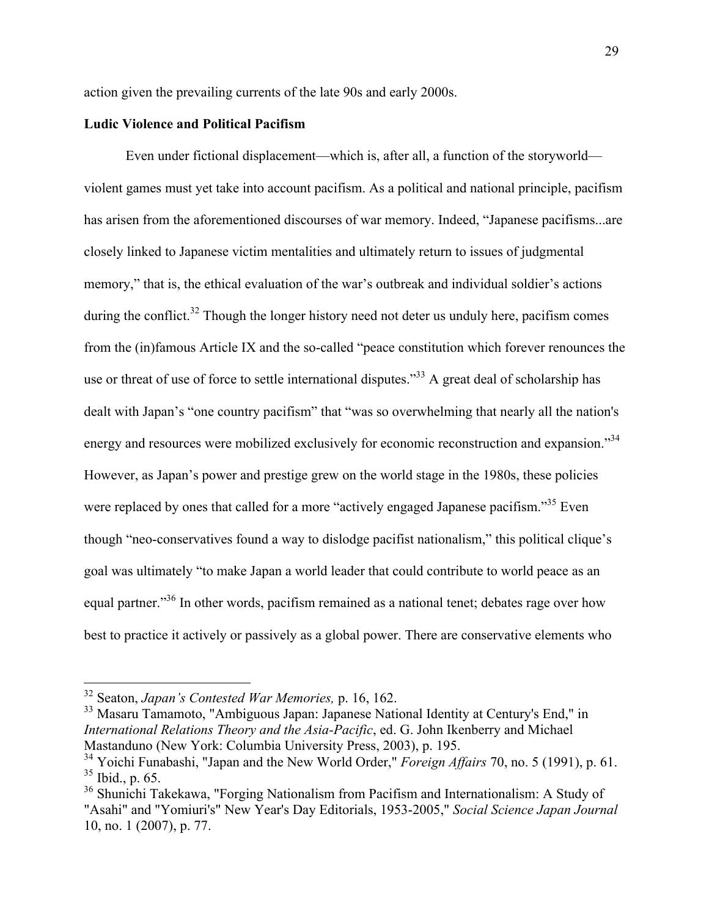action given the prevailing currents of the late 90s and early 2000s.

# **Ludic Violence and Political Pacifism**

Even under fictional displacement—which is, after all, a function of the storyworld violent games must yet take into account pacifism. As a political and national principle, pacifism has arisen from the aforementioned discourses of war memory. Indeed, "Japanese pacifisms...are closely linked to Japanese victim mentalities and ultimately return to issues of judgmental memory," that is, the ethical evaluation of the war's outbreak and individual soldier's actions during the conflict.<sup>32</sup> Though the longer history need not deter us unduly here, pacifism comes from the (in)famous Article IX and the so-called "peace constitution which forever renounces the use or threat of use of force to settle international disputes."<sup>33</sup> A great deal of scholarship has dealt with Japan's "one country pacifism" that "was so overwhelming that nearly all the nation's energy and resources were mobilized exclusively for economic reconstruction and expansion."<sup>34</sup> However, as Japan's power and prestige grew on the world stage in the 1980s, these policies were replaced by ones that called for a more "actively engaged Japanese pacifism."<sup>35</sup> Even though "neo-conservatives found a way to dislodge pacifist nationalism," this political clique's goal was ultimately "to make Japan a world leader that could contribute to world peace as an equal partner."<sup>36</sup> In other words, pacifism remained as a national tenet; debates rage over how best to practice it actively or passively as a global power. There are conservative elements who

 <sup>32</sup> Seaton, *Japan's Contested War Memories,* p. 16, 162.

<sup>33</sup> Masaru Tamamoto, "Ambiguous Japan: Japanese National Identity at Century's End," in *International Relations Theory and the Asia-Pacific*, ed. G. John Ikenberry and Michael Mastanduno (New York: Columbia University Press, 2003), p. 195.

<sup>34</sup> Yoichi Funabashi, "Japan and the New World Order," *Foreign Affairs* 70, no. 5 (1991), p. 61.  $35$  Ibid., p. 65.

<sup>&</sup>lt;sup>36</sup> Shunichi Takekawa, "Forging Nationalism from Pacifism and Internationalism: A Study of "Asahi" and "Yomiuri's" New Year's Day Editorials, 1953-2005," *Social Science Japan Journal* 10, no. 1 (2007), p. 77.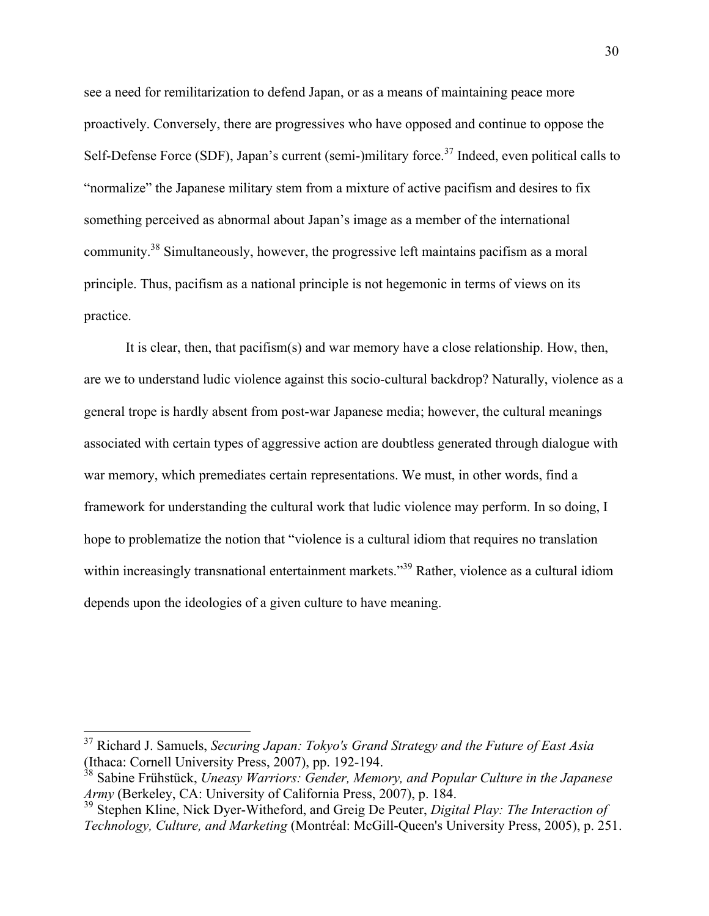see a need for remilitarization to defend Japan, or as a means of maintaining peace more proactively. Conversely, there are progressives who have opposed and continue to oppose the Self-Defense Force (SDF), Japan's current (semi-)military force.<sup>37</sup> Indeed, even political calls to "normalize" the Japanese military stem from a mixture of active pacifism and desires to fix something perceived as abnormal about Japan's image as a member of the international community.<sup>38</sup> Simultaneously, however, the progressive left maintains pacifism as a moral principle. Thus, pacifism as a national principle is not hegemonic in terms of views on its practice.

It is clear, then, that pacifism(s) and war memory have a close relationship. How, then, are we to understand ludic violence against this socio-cultural backdrop? Naturally, violence as a general trope is hardly absent from post-war Japanese media; however, the cultural meanings associated with certain types of aggressive action are doubtless generated through dialogue with war memory, which premediates certain representations. We must, in other words, find a framework for understanding the cultural work that ludic violence may perform. In so doing, I hope to problematize the notion that "violence is a cultural idiom that requires no translation within increasingly transnational entertainment markets."<sup>39</sup> Rather, violence as a cultural idiom depends upon the ideologies of a given culture to have meaning.

 <sup>37</sup> Richard J. Samuels, *Securing Japan: Tokyo's Grand Strategy and the Future of East Asia* (Ithaca: Cornell University Press, 2007), pp. 192-194.

<sup>38</sup> Sabine Frühstück, *Uneasy Warriors: Gender, Memory, and Popular Culture in the Japanese Army* (Berkeley, CA: University of California Press, 2007), p. 184.

<sup>39</sup> Stephen Kline, Nick Dyer-Witheford, and Greig De Peuter, *Digital Play: The Interaction of Technology, Culture, and Marketing* (Montréal: McGill-Queen's University Press, 2005), p. 251.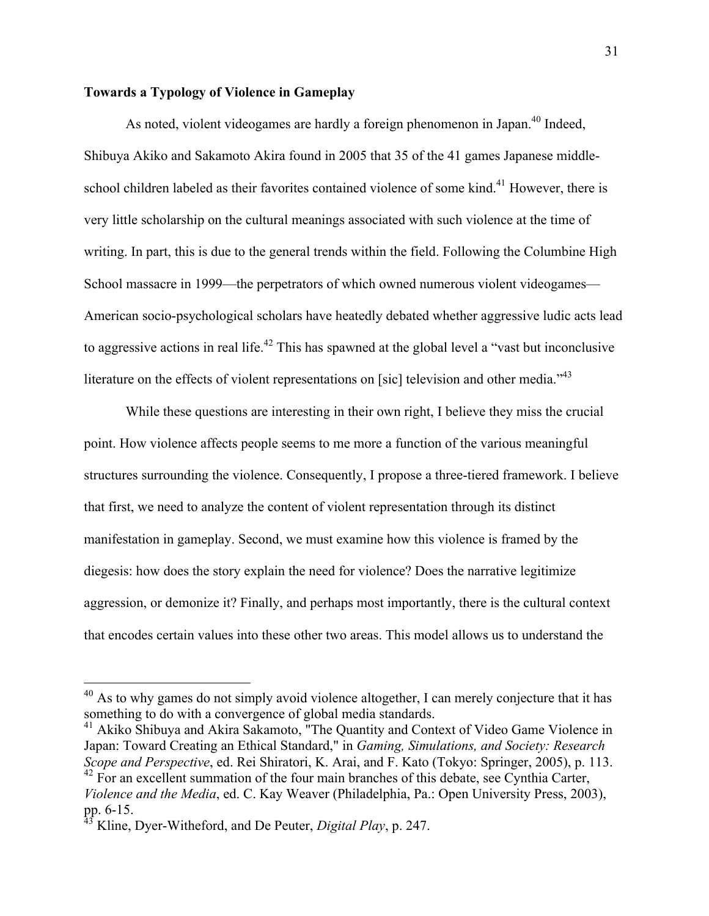### **Towards a Typology of Violence in Gameplay**

As noted, violent videogames are hardly a foreign phenomenon in Japan.<sup>40</sup> Indeed, Shibuya Akiko and Sakamoto Akira found in 2005 that 35 of the 41 games Japanese middleschool children labeled as their favorites contained violence of some kind.<sup>41</sup> However, there is very little scholarship on the cultural meanings associated with such violence at the time of writing. In part, this is due to the general trends within the field. Following the Columbine High School massacre in 1999—the perpetrators of which owned numerous violent videogames— American socio-psychological scholars have heatedly debated whether aggressive ludic acts lead to aggressive actions in real life.<sup>42</sup> This has spawned at the global level a "vast but inconclusive" literature on the effects of violent representations on [sic] television and other media.<sup>743</sup>

While these questions are interesting in their own right, I believe they miss the crucial point. How violence affects people seems to me more a function of the various meaningful structures surrounding the violence. Consequently, I propose a three-tiered framework. I believe that first, we need to analyze the content of violent representation through its distinct manifestation in gameplay. Second, we must examine how this violence is framed by the diegesis: how does the story explain the need for violence? Does the narrative legitimize aggression, or demonize it? Finally, and perhaps most importantly, there is the cultural context that encodes certain values into these other two areas. This model allows us to understand the

 $40$  As to why games do not simply avoid violence altogether, I can merely conjecture that it has something to do with a convergence of global media standards.

<sup>&</sup>lt;sup>41</sup> Akiko Shibuya and Akira Sakamoto, "The Quantity and Context of Video Game Violence in Japan: Toward Creating an Ethical Standard," in *Gaming, Simulations, and Society: Research Scope and Perspective*, ed. Rei Shiratori, K. Arai, and F. Kato (Tokyo: Springer, 2005), p. 113.  $42$  For an excellent summation of the four main branches of this debate, see Cynthia Carter, *Violence and the Media*, ed. C. Kay Weaver (Philadelphia, Pa.: Open University Press, 2003), pp.  $6-15$ .

<sup>43</sup> Kline, Dyer-Witheford, and De Peuter, *Digital Play*, p. 247.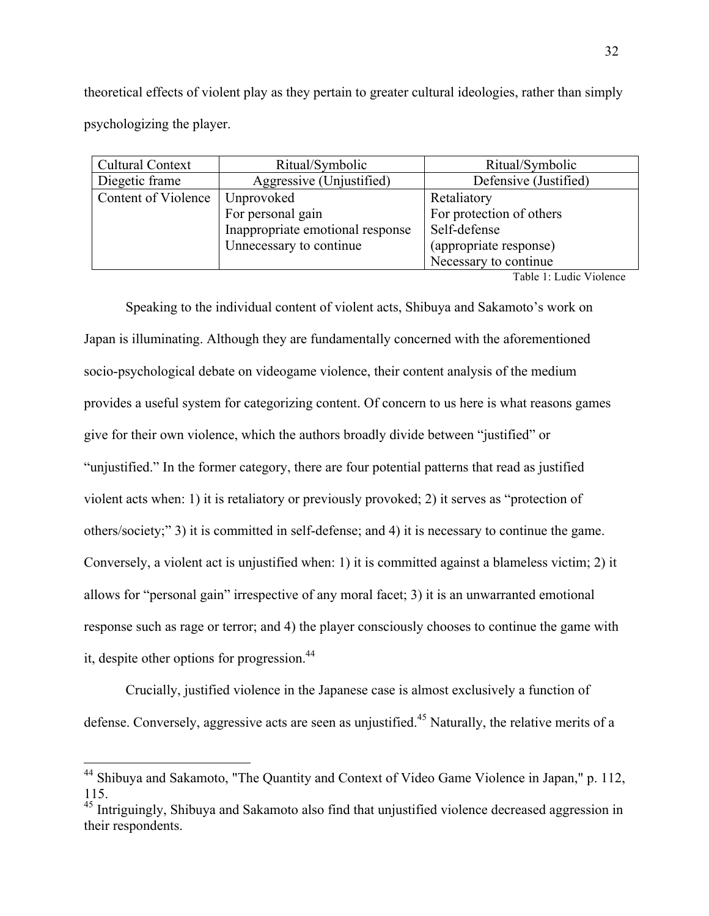theoretical effects of violent play as they pertain to greater cultural ideologies, rather than simply psychologizing the player.

| <b>Cultural Context</b> | Ritual/Symbolic                  | Ritual/Symbolic          |
|-------------------------|----------------------------------|--------------------------|
| Diegetic frame          | Aggressive (Unjustified)         | Defensive (Justified)    |
| Content of Violence     | Unprovoked                       | Retaliatory              |
|                         | For personal gain                | For protection of others |
|                         | Inappropriate emotional response | Self-defense             |
|                         | Unnecessary to continue          | (appropriate response)   |
|                         |                                  | Necessary to continue    |

Table 1: Ludic Violence

Speaking to the individual content of violent acts, Shibuya and Sakamoto's work on Japan is illuminating. Although they are fundamentally concerned with the aforementioned socio-psychological debate on videogame violence, their content analysis of the medium provides a useful system for categorizing content. Of concern to us here is what reasons games give for their own violence, which the authors broadly divide between "justified" or "unjustified." In the former category, there are four potential patterns that read as justified violent acts when: 1) it is retaliatory or previously provoked; 2) it serves as "protection of others/society;" 3) it is committed in self-defense; and 4) it is necessary to continue the game. Conversely, a violent act is unjustified when: 1) it is committed against a blameless victim; 2) it allows for "personal gain" irrespective of any moral facet; 3) it is an unwarranted emotional response such as rage or terror; and 4) the player consciously chooses to continue the game with it, despite other options for progression.<sup>44</sup>

Crucially, justified violence in the Japanese case is almost exclusively a function of defense. Conversely, aggressive acts are seen as unjustified.<sup>45</sup> Naturally, the relative merits of a

<sup>&</sup>lt;sup>44</sup> Shibuya and Sakamoto, "The Quantity and Context of Video Game Violence in Japan," p. 112, 115.

<sup>&</sup>lt;sup>45</sup> Intriguingly, Shibuya and Sakamoto also find that unjustified violence decreased aggression in their respondents.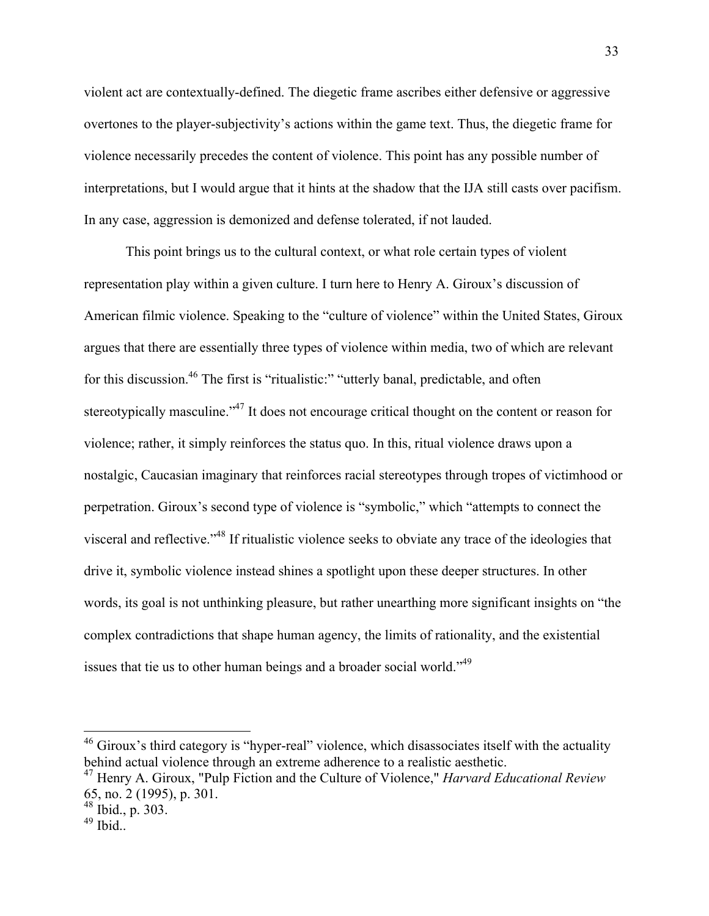violent act are contextually-defined. The diegetic frame ascribes either defensive or aggressive overtones to the player-subjectivity's actions within the game text. Thus, the diegetic frame for violence necessarily precedes the content of violence. This point has any possible number of interpretations, but I would argue that it hints at the shadow that the IJA still casts over pacifism. In any case, aggression is demonized and defense tolerated, if not lauded.

This point brings us to the cultural context, or what role certain types of violent representation play within a given culture. I turn here to Henry A. Giroux's discussion of American filmic violence. Speaking to the "culture of violence" within the United States, Giroux argues that there are essentially three types of violence within media, two of which are relevant for this discussion.<sup>46</sup> The first is "ritualistic:" "utterly banal, predictable, and often stereotypically masculine."<sup>47</sup> It does not encourage critical thought on the content or reason for violence; rather, it simply reinforces the status quo. In this, ritual violence draws upon a nostalgic, Caucasian imaginary that reinforces racial stereotypes through tropes of victimhood or perpetration. Giroux's second type of violence is "symbolic," which "attempts to connect the visceral and reflective."48 If ritualistic violence seeks to obviate any trace of the ideologies that drive it, symbolic violence instead shines a spotlight upon these deeper structures. In other words, its goal is not unthinking pleasure, but rather unearthing more significant insights on "the complex contradictions that shape human agency, the limits of rationality, and the existential issues that tie us to other human beings and a broader social world."49

<sup>&</sup>lt;sup>46</sup> Giroux's third category is "hyper-real" violence, which disassociates itself with the actuality behind actual violence through an extreme adherence to a realistic aesthetic.

<sup>47</sup> Henry A. Giroux, "Pulp Fiction and the Culture of Violence," *Harvard Educational Review* 65, no. 2 (1995), p. 301.

 $48$  Ibid., p. 303.

 $49$  Ibid..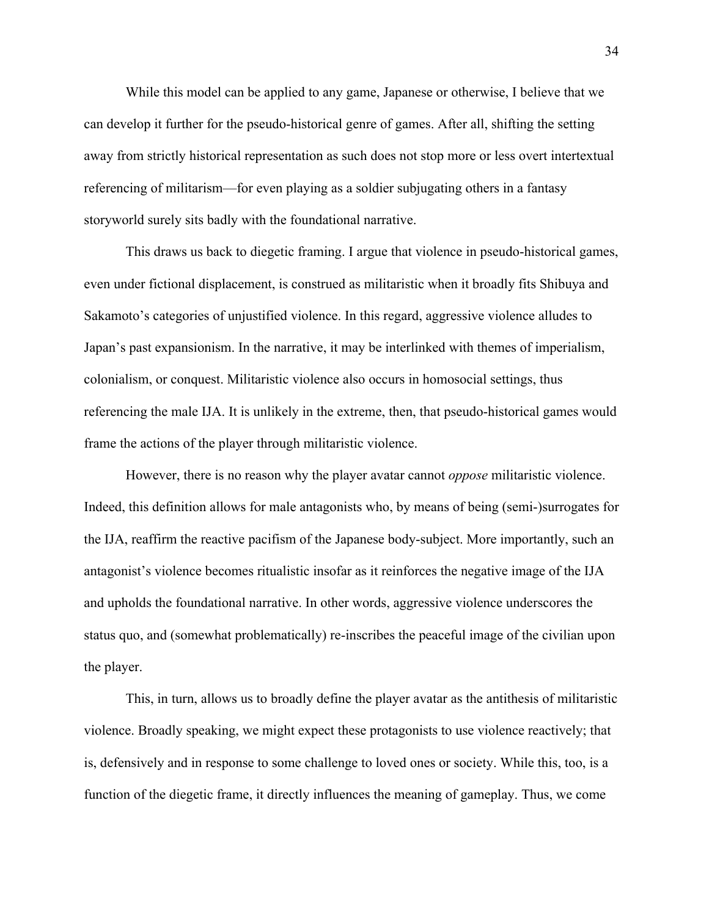While this model can be applied to any game, Japanese or otherwise, I believe that we can develop it further for the pseudo-historical genre of games. After all, shifting the setting away from strictly historical representation as such does not stop more or less overt intertextual referencing of militarism—for even playing as a soldier subjugating others in a fantasy storyworld surely sits badly with the foundational narrative.

This draws us back to diegetic framing. I argue that violence in pseudo-historical games, even under fictional displacement, is construed as militaristic when it broadly fits Shibuya and Sakamoto's categories of unjustified violence. In this regard, aggressive violence alludes to Japan's past expansionism. In the narrative, it may be interlinked with themes of imperialism, colonialism, or conquest. Militaristic violence also occurs in homosocial settings, thus referencing the male IJA. It is unlikely in the extreme, then, that pseudo-historical games would frame the actions of the player through militaristic violence.

However, there is no reason why the player avatar cannot *oppose* militaristic violence. Indeed, this definition allows for male antagonists who, by means of being (semi-)surrogates for the IJA, reaffirm the reactive pacifism of the Japanese body-subject. More importantly, such an antagonist's violence becomes ritualistic insofar as it reinforces the negative image of the IJA and upholds the foundational narrative. In other words, aggressive violence underscores the status quo, and (somewhat problematically) re-inscribes the peaceful image of the civilian upon the player.

This, in turn, allows us to broadly define the player avatar as the antithesis of militaristic violence. Broadly speaking, we might expect these protagonists to use violence reactively; that is, defensively and in response to some challenge to loved ones or society. While this, too, is a function of the diegetic frame, it directly influences the meaning of gameplay. Thus, we come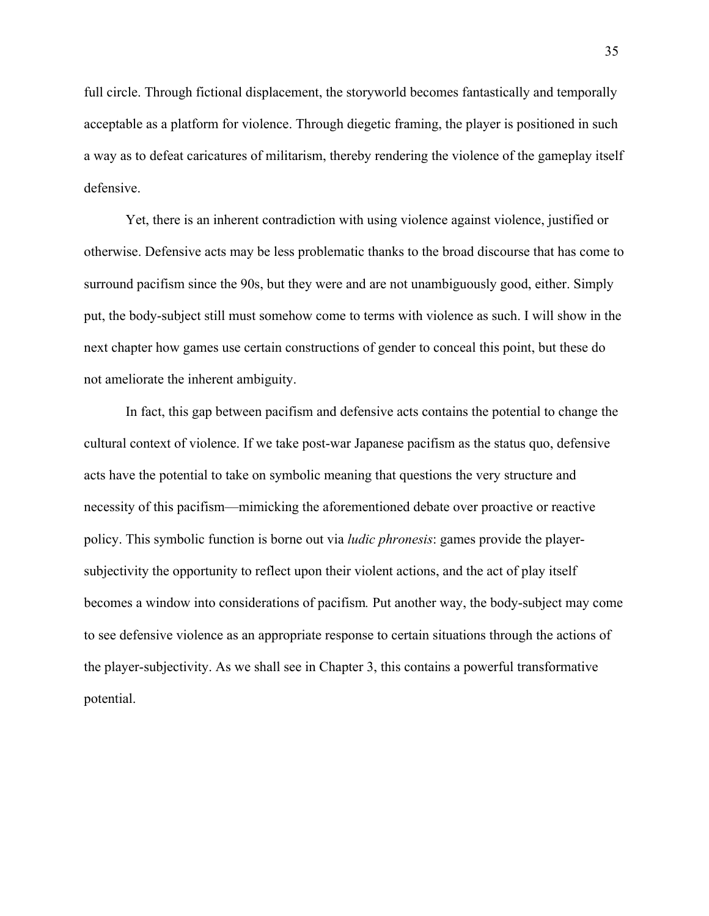full circle. Through fictional displacement, the storyworld becomes fantastically and temporally acceptable as a platform for violence. Through diegetic framing, the player is positioned in such a way as to defeat caricatures of militarism, thereby rendering the violence of the gameplay itself defensive.

Yet, there is an inherent contradiction with using violence against violence, justified or otherwise. Defensive acts may be less problematic thanks to the broad discourse that has come to surround pacifism since the 90s, but they were and are not unambiguously good, either. Simply put, the body-subject still must somehow come to terms with violence as such. I will show in the next chapter how games use certain constructions of gender to conceal this point, but these do not ameliorate the inherent ambiguity.

In fact, this gap between pacifism and defensive acts contains the potential to change the cultural context of violence. If we take post-war Japanese pacifism as the status quo, defensive acts have the potential to take on symbolic meaning that questions the very structure and necessity of this pacifism—mimicking the aforementioned debate over proactive or reactive policy. This symbolic function is borne out via *ludic phronesis*: games provide the playersubjectivity the opportunity to reflect upon their violent actions, and the act of play itself becomes a window into considerations of pacifism*.* Put another way, the body-subject may come to see defensive violence as an appropriate response to certain situations through the actions of the player-subjectivity. As we shall see in Chapter 3, this contains a powerful transformative potential.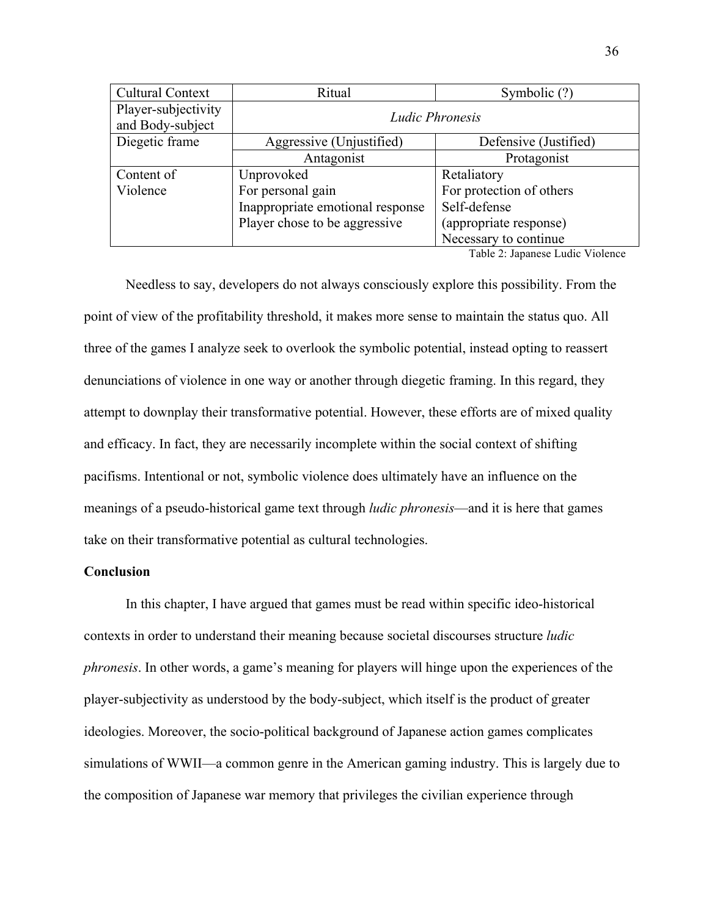| <b>Cultural Context</b>                 | Ritual                           | Symbolic (?)             |  |
|-----------------------------------------|----------------------------------|--------------------------|--|
| Player-subjectivity<br>and Body-subject | Ludic Phronesis                  |                          |  |
| Diegetic frame                          | Aggressive (Unjustified)         | Defensive (Justified)    |  |
|                                         | Antagonist                       | Protagonist              |  |
| Content of                              | Unprovoked                       | Retaliatory              |  |
| Violence                                | For personal gain                | For protection of others |  |
|                                         | Inappropriate emotional response | Self-defense             |  |
|                                         | Player chose to be aggressive    | (appropriate response)   |  |
|                                         |                                  | Necessary to continue    |  |

Table 2: Japanese Ludic Violence

Needless to say, developers do not always consciously explore this possibility. From the point of view of the profitability threshold, it makes more sense to maintain the status quo. All three of the games I analyze seek to overlook the symbolic potential, instead opting to reassert denunciations of violence in one way or another through diegetic framing. In this regard, they attempt to downplay their transformative potential. However, these efforts are of mixed quality and efficacy. In fact, they are necessarily incomplete within the social context of shifting pacifisms. Intentional or not, symbolic violence does ultimately have an influence on the meanings of a pseudo-historical game text through *ludic phronesis*—and it is here that games take on their transformative potential as cultural technologies.

## **Conclusion**

In this chapter, I have argued that games must be read within specific ideo-historical contexts in order to understand their meaning because societal discourses structure *ludic phronesis*. In other words, a game's meaning for players will hinge upon the experiences of the player-subjectivity as understood by the body-subject, which itself is the product of greater ideologies. Moreover, the socio-political background of Japanese action games complicates simulations of WWII—a common genre in the American gaming industry. This is largely due to the composition of Japanese war memory that privileges the civilian experience through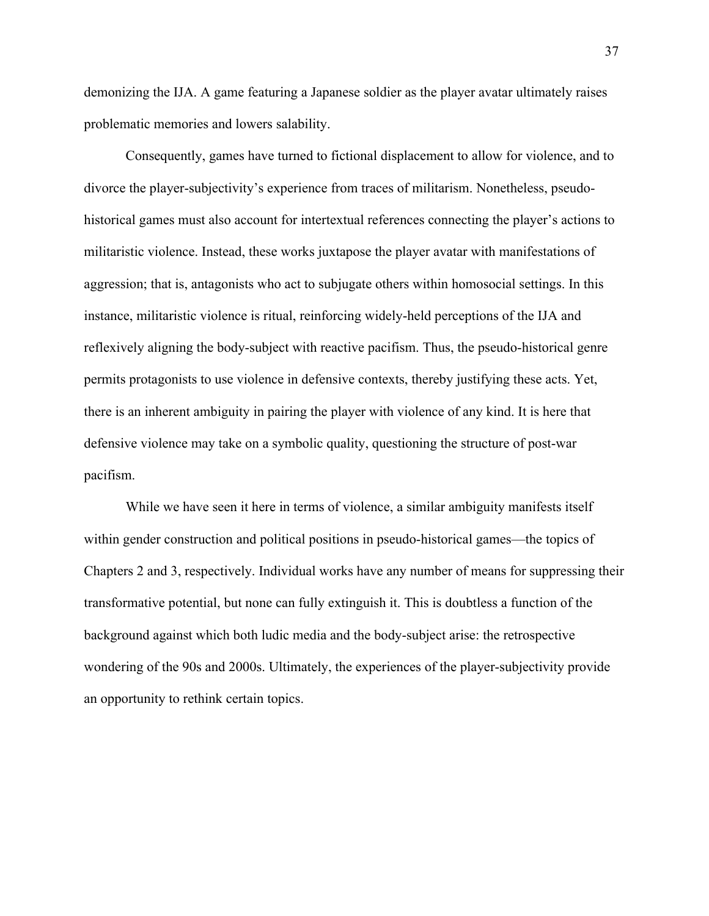demonizing the IJA. A game featuring a Japanese soldier as the player avatar ultimately raises problematic memories and lowers salability.

Consequently, games have turned to fictional displacement to allow for violence, and to divorce the player-subjectivity's experience from traces of militarism. Nonetheless, pseudohistorical games must also account for intertextual references connecting the player's actions to militaristic violence. Instead, these works juxtapose the player avatar with manifestations of aggression; that is, antagonists who act to subjugate others within homosocial settings. In this instance, militaristic violence is ritual, reinforcing widely-held perceptions of the IJA and reflexively aligning the body-subject with reactive pacifism. Thus, the pseudo-historical genre permits protagonists to use violence in defensive contexts, thereby justifying these acts. Yet, there is an inherent ambiguity in pairing the player with violence of any kind. It is here that defensive violence may take on a symbolic quality, questioning the structure of post-war pacifism.

While we have seen it here in terms of violence, a similar ambiguity manifests itself within gender construction and political positions in pseudo-historical games—the topics of Chapters 2 and 3, respectively. Individual works have any number of means for suppressing their transformative potential, but none can fully extinguish it. This is doubtless a function of the background against which both ludic media and the body-subject arise: the retrospective wondering of the 90s and 2000s. Ultimately, the experiences of the player-subjectivity provide an opportunity to rethink certain topics.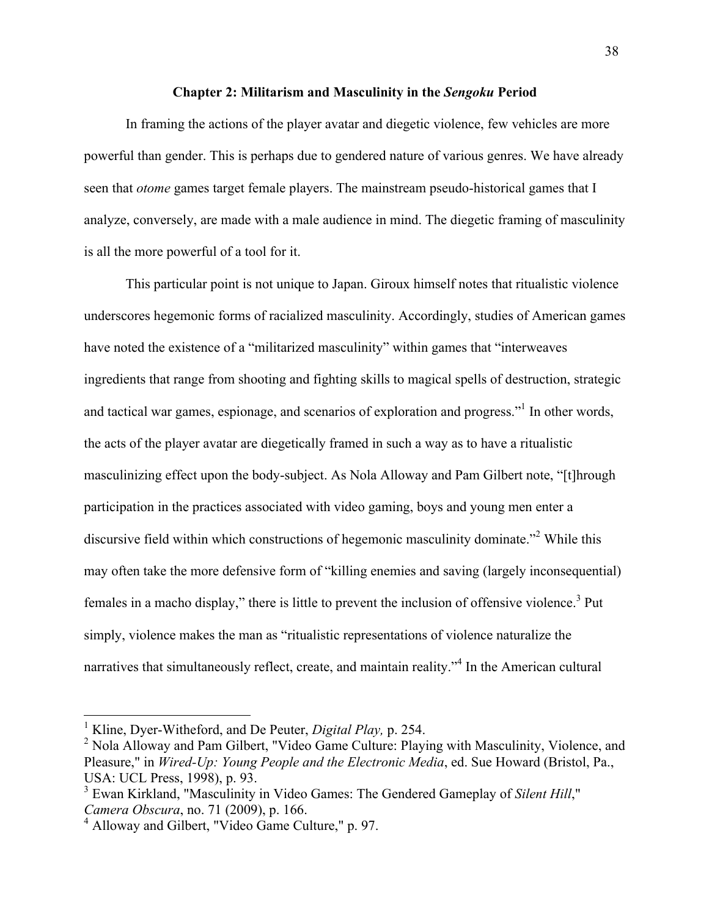### **Chapter 2: Militarism and Masculinity in the** *Sengoku* **Period**

In framing the actions of the player avatar and diegetic violence, few vehicles are more powerful than gender. This is perhaps due to gendered nature of various genres. We have already seen that *otome* games target female players. The mainstream pseudo-historical games that I analyze, conversely, are made with a male audience in mind. The diegetic framing of masculinity is all the more powerful of a tool for it.

This particular point is not unique to Japan. Giroux himself notes that ritualistic violence underscores hegemonic forms of racialized masculinity. Accordingly, studies of American games have noted the existence of a "militarized masculinity" within games that "interweaves ingredients that range from shooting and fighting skills to magical spells of destruction, strategic and tactical war games, espionage, and scenarios of exploration and progress."<sup>1</sup> In other words, the acts of the player avatar are diegetically framed in such a way as to have a ritualistic masculinizing effect upon the body-subject. As Nola Alloway and Pam Gilbert note, "[t]hrough participation in the practices associated with video gaming, boys and young men enter a discursive field within which constructions of hegemonic masculinity dominate."<sup>2</sup> While this may often take the more defensive form of "killing enemies and saving (largely inconsequential) females in a macho display," there is little to prevent the inclusion of offensive violence.<sup>3</sup> Put simply, violence makes the man as "ritualistic representations of violence naturalize the narratives that simultaneously reflect, create, and maintain reality."<sup>4</sup> In the American cultural

 <sup>1</sup> Kline, Dyer-Witheford, and De Peuter, *Digital Play,* p. 254.

<sup>&</sup>lt;sup>2</sup> Nola Alloway and Pam Gilbert, "Video Game Culture: Playing with Masculinity, Violence, and Pleasure," in *Wired-Up: Young People and the Electronic Media*, ed. Sue Howard (Bristol, Pa., USA: UCL Press, 1998), p. 93.

<sup>3</sup> Ewan Kirkland, "Masculinity in Video Games: The Gendered Gameplay of *Silent Hill*," *Camera Obscura*, no. 71 (2009), p. 166.

<sup>4</sup> Alloway and Gilbert, "Video Game Culture," p. 97.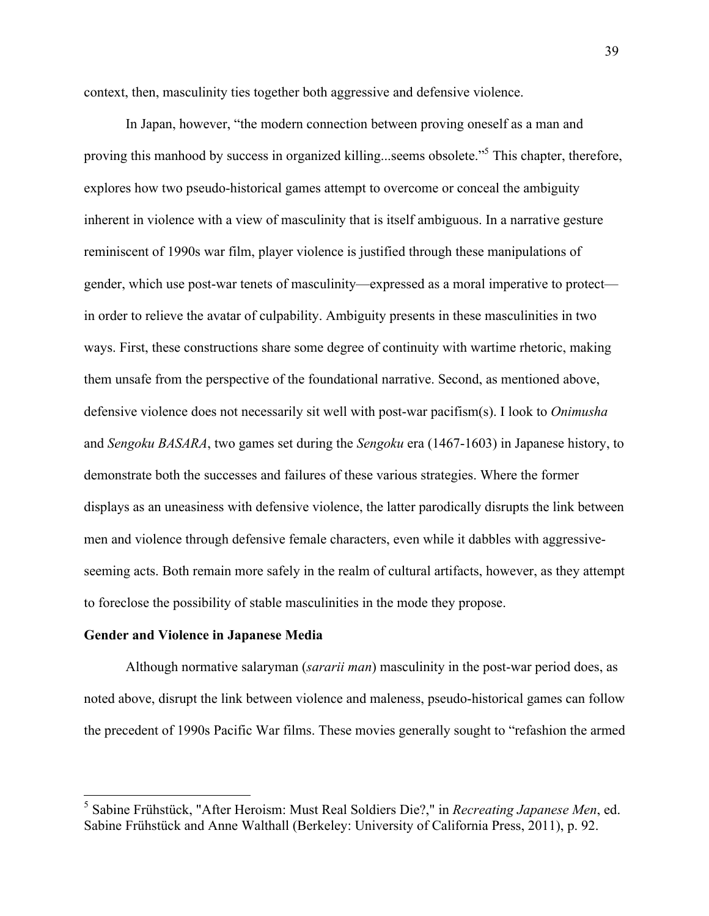context, then, masculinity ties together both aggressive and defensive violence.

In Japan, however, "the modern connection between proving oneself as a man and proving this manhood by success in organized killing...seems obsolete."<sup>5</sup> This chapter, therefore, explores how two pseudo-historical games attempt to overcome or conceal the ambiguity inherent in violence with a view of masculinity that is itself ambiguous. In a narrative gesture reminiscent of 1990s war film, player violence is justified through these manipulations of gender, which use post-war tenets of masculinity—expressed as a moral imperative to protect in order to relieve the avatar of culpability. Ambiguity presents in these masculinities in two ways. First, these constructions share some degree of continuity with wartime rhetoric, making them unsafe from the perspective of the foundational narrative. Second, as mentioned above, defensive violence does not necessarily sit well with post-war pacifism(s). I look to *Onimusha*  and *Sengoku BASARA*, two games set during the *Sengoku* era (1467-1603) in Japanese history, to demonstrate both the successes and failures of these various strategies. Where the former displays as an uneasiness with defensive violence, the latter parodically disrupts the link between men and violence through defensive female characters, even while it dabbles with aggressiveseeming acts. Both remain more safely in the realm of cultural artifacts, however, as they attempt to foreclose the possibility of stable masculinities in the mode they propose.

#### **Gender and Violence in Japanese Media**

Although normative salaryman (*sararii man*) masculinity in the post-war period does, as noted above, disrupt the link between violence and maleness, pseudo-historical games can follow the precedent of 1990s Pacific War films. These movies generally sought to "refashion the armed

 <sup>5</sup> Sabine Frühstück, "After Heroism: Must Real Soldiers Die?," in *Recreating Japanese Men*, ed. Sabine Frühstück and Anne Walthall (Berkeley: University of California Press, 2011), p. 92.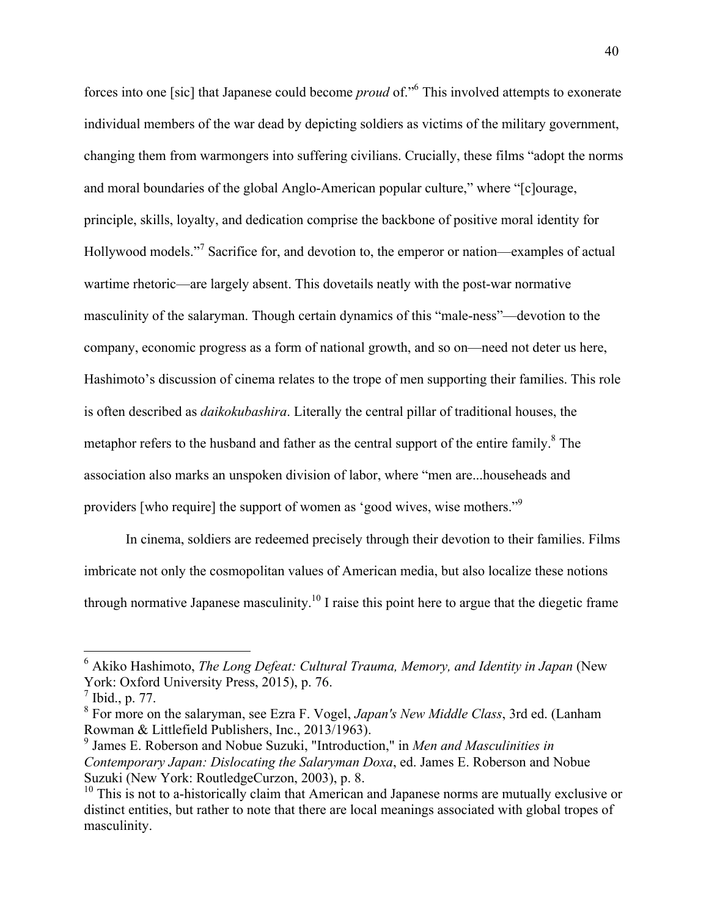forces into one [sic] that Japanese could become *proud* of."6 This involved attempts to exonerate individual members of the war dead by depicting soldiers as victims of the military government, changing them from warmongers into suffering civilians. Crucially, these films "adopt the norms and moral boundaries of the global Anglo-American popular culture," where "[c]ourage, principle, skills, loyalty, and dedication comprise the backbone of positive moral identity for Hollywood models."<sup>7</sup> Sacrifice for, and devotion to, the emperor or nation—examples of actual wartime rhetoric—are largely absent. This dovetails neatly with the post-war normative masculinity of the salaryman. Though certain dynamics of this "male-ness"—devotion to the company, economic progress as a form of national growth, and so on—need not deter us here, Hashimoto's discussion of cinema relates to the trope of men supporting their families. This role is often described as *daikokubashira*. Literally the central pillar of traditional houses, the metaphor refers to the husband and father as the central support of the entire family.<sup>8</sup> The association also marks an unspoken division of labor, where "men are...househeads and providers [who require] the support of women as 'good wives, wise mothers."9

In cinema, soldiers are redeemed precisely through their devotion to their families. Films imbricate not only the cosmopolitan values of American media, but also localize these notions through normative Japanese masculinity.<sup>10</sup> I raise this point here to argue that the diegetic frame

 <sup>6</sup> Akiko Hashimoto, *The Long Defeat: Cultural Trauma, Memory, and Identity in Japan* (New York: Oxford University Press, 2015), p. 76.

 $^7$  Ibid., p. 77.

<sup>8</sup> For more on the salaryman, see Ezra F. Vogel, *Japan's New Middle Class*, 3rd ed. (Lanham Rowman & Littlefield Publishers, Inc., 2013/1963).

<sup>9</sup> James E. Roberson and Nobue Suzuki, "Introduction," in *Men and Masculinities in Contemporary Japan: Dislocating the Salaryman Doxa*, ed. James E. Roberson and Nobue Suzuki (New York: RoutledgeCurzon, 2003), p. 8.

 $10$  This is not to a-historically claim that American and Japanese norms are mutually exclusive or distinct entities, but rather to note that there are local meanings associated with global tropes of masculinity.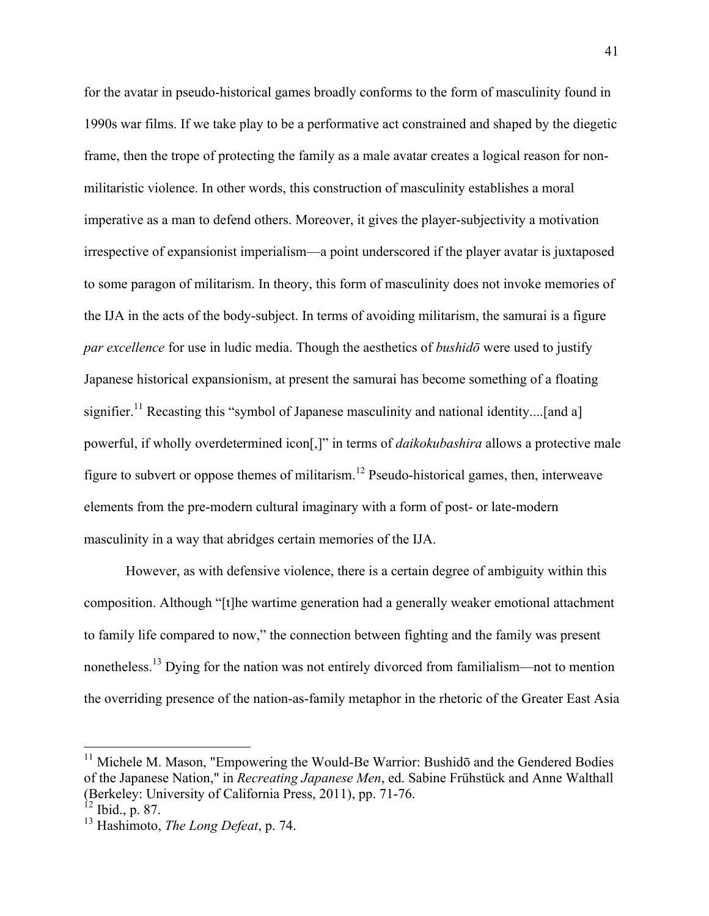for the avatar in pseudo-historical games broadly conforms to the form of masculinity found in 1990s war films. If we take play to be a performative act constrained and shaped by the diegetic frame, then the trope of protecting the family as a male avatar creates a logical reason for nonmilitaristic violence. In other words, this construction of masculinity establishes a moral imperative as a man to defend others. Moreover, it gives the player-subjectivity a motivation irrespective of expansionist imperialism—a point underscored if the player avatar is juxtaposed to some paragon of militarism. In theory, this form of masculinity does not invoke memories of the IJA in the acts of the body-subject. In terms of avoiding militarism, the samurai is a figure *par excellence* for use in ludic media. Though the aesthetics of *bushidō* were used to justify Japanese historical expansionism, at present the samurai has become something of a floating signifier.<sup>11</sup> Recasting this "symbol of Japanese masculinity and national identity....[and a] powerful, if wholly overdetermined icon[,]" in terms of *daikokubashira* allows a protective male figure to subvert or oppose themes of militarism.<sup>12</sup> Pseudo-historical games, then, interweave elements from the pre-modern cultural imaginary with a form of post- or late-modern masculinity in a way that abridges certain memories of the IJA.

However, as with defensive violence, there is a certain degree of ambiguity within this composition. Although "[t]he wartime generation had a generally weaker emotional attachment to family life compared to now," the connection between fighting and the family was present nonetheless.<sup>13</sup> Dying for the nation was not entirely divorced from familialism—not to mention the overriding presence of the nation-as-family metaphor in the rhetoric of the Greater East Asia

<sup>&</sup>lt;sup>11</sup> Michele M. Mason, "Empowering the Would-Be Warrior: Bushidō and the Gendered Bodies of the Japanese Nation," in *Recreating Japanese Men*, ed. Sabine Frühstück and Anne Walthall (Berkeley: University of California Press, 2011), pp. 71-76.

 $^{12}$  Ibid., p. 87.

<sup>13</sup> Hashimoto, *The Long Defeat*, p. 74.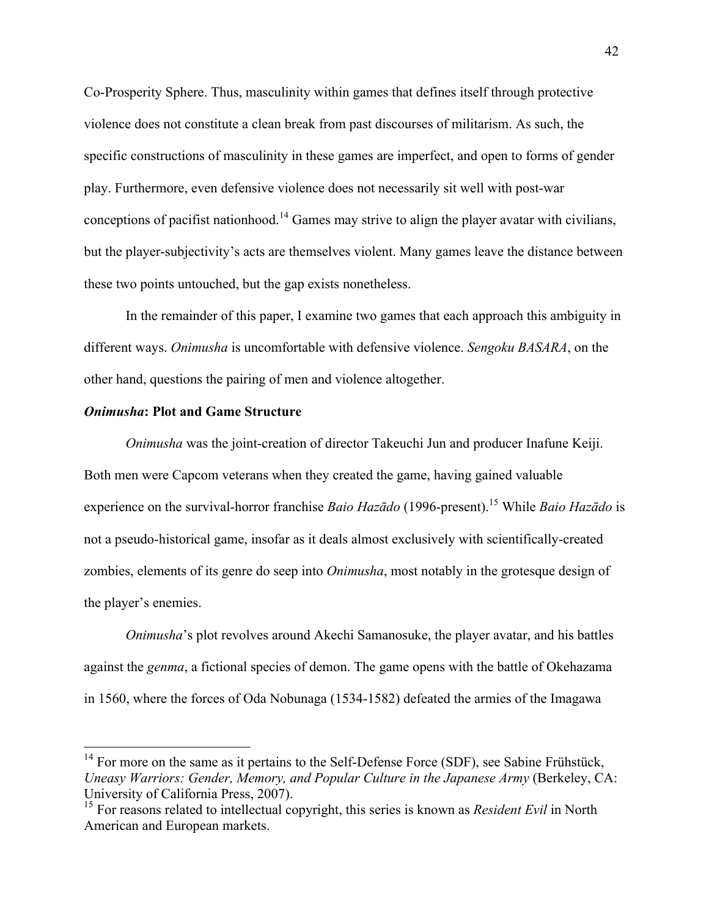Co-Prosperity Sphere. Thus, masculinity within games that defines itself through protective violence does not constitute a clean break from past discourses of militarism. As such, the specific constructions of masculinity in these games are imperfect, and open to forms of gender play. Furthermore, even defensive violence does not necessarily sit well with post-war conceptions of pacifist nationhood.<sup>14</sup> Games may strive to align the player avatar with civilians, but the player-subjectivity's acts are themselves violent. Many games leave the distance between these two points untouched, but the gap exists nonetheless.

In the remainder of this paper, I examine two games that each approach this ambiguity in different ways. *Onimusha* is uncomfortable with defensive violence. *Sengoku BASARA*, on the other hand, questions the pairing of men and violence altogether.

### *Onimusha***: Plot and Game Structure**

*Onimusha* was the joint-creation of director Takeuchi Jun and producer Inafune Keiji. Both men were Capcom veterans when they created the game, having gained valuable experience on the survival-horror franchise *Baio Hazādo* (1996-present).<sup>15</sup> While *Baio Hazādo* is not a pseudo-historical game, insofar as it deals almost exclusively with scientifically-created zombies, elements of its genre do seep into *Onimusha*, most notably in the grotesque design of the player's enemies.

*Onimusha*'s plot revolves around Akechi Samanosuke, the player avatar, and his battles against the *genma*, a fictional species of demon. The game opens with the battle of Okehazama in 1560, where the forces of Oda Nobunaga (1534-1582) defeated the armies of the Imagawa

<sup>&</sup>lt;sup>14</sup> For more on the same as it pertains to the Self-Defense Force (SDF), see Sabine Frühstück, *Uneasy Warriors: Gender, Memory, and Popular Culture in the Japanese Army* (Berkeley, CA: University of California Press, 2007).

<sup>&</sup>lt;sup>15</sup> For reasons related to intellectual copyright, this series is known as *Resident Evil* in North American and European markets.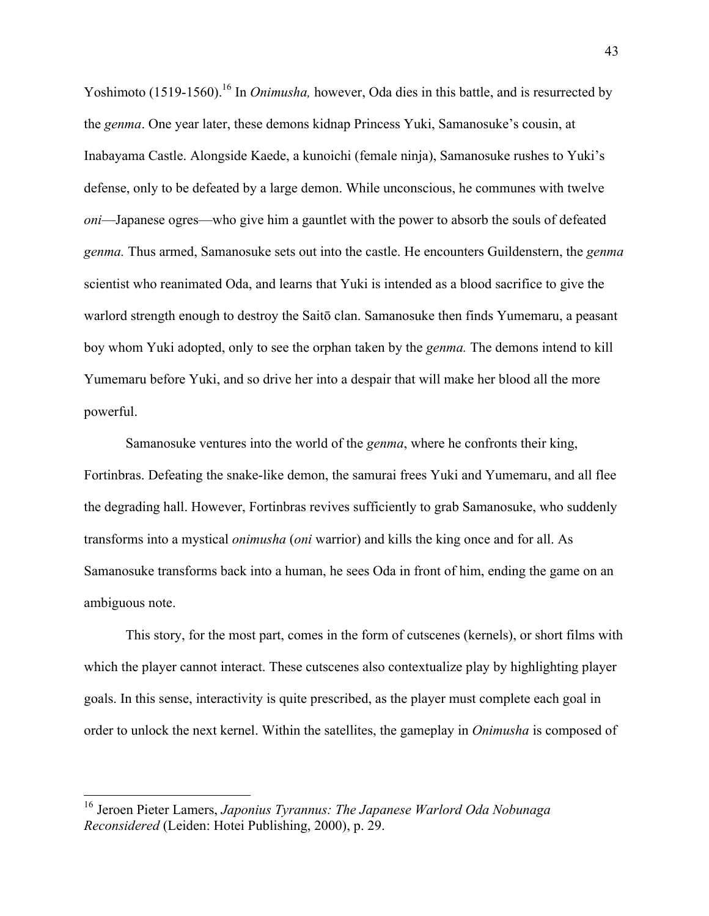Yoshimoto (1519-1560).<sup>16</sup> In *Onimusha*, however, Oda dies in this battle, and is resurrected by the *genma*. One year later, these demons kidnap Princess Yuki, Samanosuke's cousin, at Inabayama Castle. Alongside Kaede, a kunoichi (female ninja), Samanosuke rushes to Yuki's defense, only to be defeated by a large demon. While unconscious, he communes with twelve *oni*—Japanese ogres—who give him a gauntlet with the power to absorb the souls of defeated *genma.* Thus armed, Samanosuke sets out into the castle. He encounters Guildenstern, the *genma*  scientist who reanimated Oda, and learns that Yuki is intended as a blood sacrifice to give the warlord strength enough to destroy the Saitō clan. Samanosuke then finds Yumemaru, a peasant boy whom Yuki adopted, only to see the orphan taken by the *genma.* The demons intend to kill Yumemaru before Yuki, and so drive her into a despair that will make her blood all the more powerful.

Samanosuke ventures into the world of the *genma*, where he confronts their king, Fortinbras. Defeating the snake-like demon, the samurai frees Yuki and Yumemaru, and all flee the degrading hall. However, Fortinbras revives sufficiently to grab Samanosuke, who suddenly transforms into a mystical *onimusha* (*oni* warrior) and kills the king once and for all. As Samanosuke transforms back into a human, he sees Oda in front of him, ending the game on an ambiguous note.

This story, for the most part, comes in the form of cutscenes (kernels), or short films with which the player cannot interact. These cutscenes also contextualize play by highlighting player goals. In this sense, interactivity is quite prescribed, as the player must complete each goal in order to unlock the next kernel. Within the satellites, the gameplay in *Onimusha* is composed of

 <sup>16</sup> Jeroen Pieter Lamers, *Japonius Tyrannus: The Japanese Warlord Oda Nobunaga Reconsidered* (Leiden: Hotei Publishing, 2000), p. 29.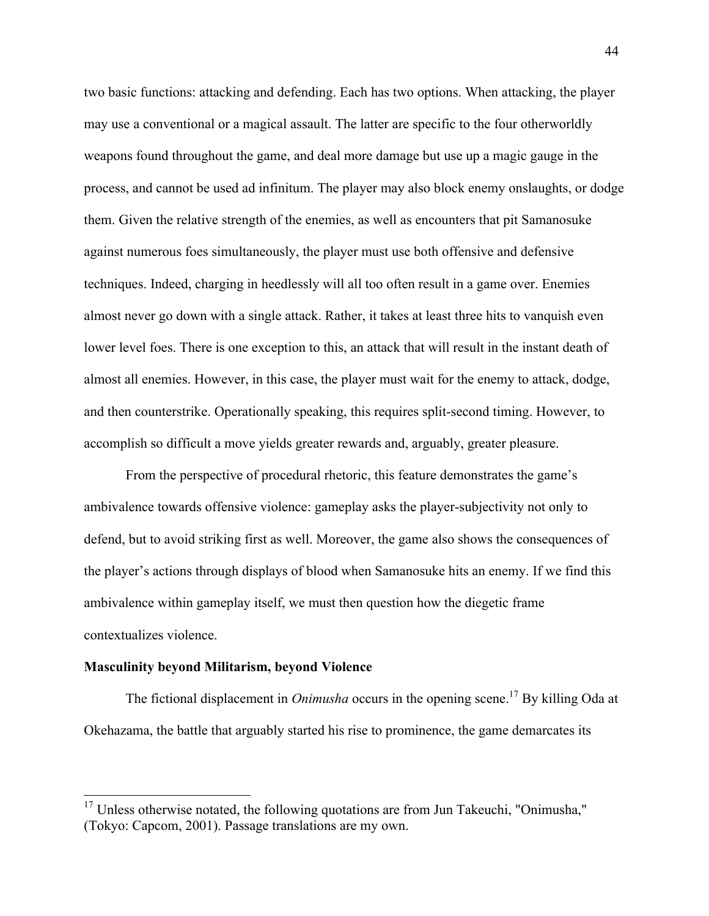two basic functions: attacking and defending. Each has two options. When attacking, the player may use a conventional or a magical assault. The latter are specific to the four otherworldly weapons found throughout the game, and deal more damage but use up a magic gauge in the process, and cannot be used ad infinitum. The player may also block enemy onslaughts, or dodge them. Given the relative strength of the enemies, as well as encounters that pit Samanosuke against numerous foes simultaneously, the player must use both offensive and defensive techniques. Indeed, charging in heedlessly will all too often result in a game over. Enemies almost never go down with a single attack. Rather, it takes at least three hits to vanquish even lower level foes. There is one exception to this, an attack that will result in the instant death of almost all enemies. However, in this case, the player must wait for the enemy to attack, dodge, and then counterstrike. Operationally speaking, this requires split-second timing. However, to accomplish so difficult a move yields greater rewards and, arguably, greater pleasure.

From the perspective of procedural rhetoric, this feature demonstrates the game's ambivalence towards offensive violence: gameplay asks the player-subjectivity not only to defend, but to avoid striking first as well. Moreover, the game also shows the consequences of the player's actions through displays of blood when Samanosuke hits an enemy. If we find this ambivalence within gameplay itself, we must then question how the diegetic frame contextualizes violence.

### **Masculinity beyond Militarism, beyond Violence**

The fictional displacement in *Onimusha* occurs in the opening scene.<sup>17</sup> By killing Oda at Okehazama, the battle that arguably started his rise to prominence, the game demarcates its

<sup>&</sup>lt;sup>17</sup> Unless otherwise notated, the following quotations are from Jun Takeuchi, "Onimusha," (Tokyo: Capcom, 2001). Passage translations are my own.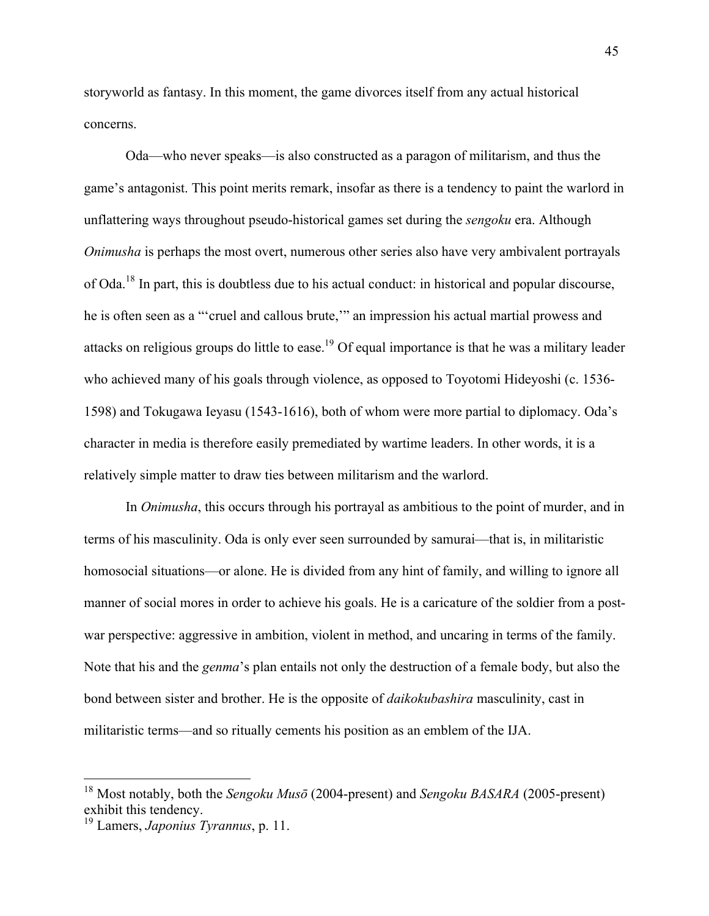storyworld as fantasy. In this moment, the game divorces itself from any actual historical concerns.

Oda—who never speaks—is also constructed as a paragon of militarism, and thus the game's antagonist. This point merits remark, insofar as there is a tendency to paint the warlord in unflattering ways throughout pseudo-historical games set during the *sengoku* era. Although *Onimusha* is perhaps the most overt, numerous other series also have very ambivalent portrayals of Oda.<sup>18</sup> In part, this is doubtless due to his actual conduct: in historical and popular discourse, he is often seen as a "'cruel and callous brute,'" an impression his actual martial prowess and attacks on religious groups do little to ease.<sup>19</sup> Of equal importance is that he was a military leader who achieved many of his goals through violence, as opposed to Toyotomi Hideyoshi (c. 1536- 1598) and Tokugawa Ieyasu (1543-1616), both of whom were more partial to diplomacy. Oda's character in media is therefore easily premediated by wartime leaders. In other words, it is a relatively simple matter to draw ties between militarism and the warlord.

In *Onimusha*, this occurs through his portrayal as ambitious to the point of murder, and in terms of his masculinity. Oda is only ever seen surrounded by samurai—that is, in militaristic homosocial situations—or alone. He is divided from any hint of family, and willing to ignore all manner of social mores in order to achieve his goals. He is a caricature of the soldier from a postwar perspective: aggressive in ambition, violent in method, and uncaring in terms of the family. Note that his and the *genma*'s plan entails not only the destruction of a female body, but also the bond between sister and brother. He is the opposite of *daikokubashira* masculinity, cast in militaristic terms—and so ritually cements his position as an emblem of the IJA.

 <sup>18</sup> Most notably, both the *Sengoku Mus<sup>ō</sup>* (2004-present) and *Sengoku BASARA* (2005-present) exhibit this tendency.

<sup>19</sup> Lamers, *Japonius Tyrannus*, p. 11.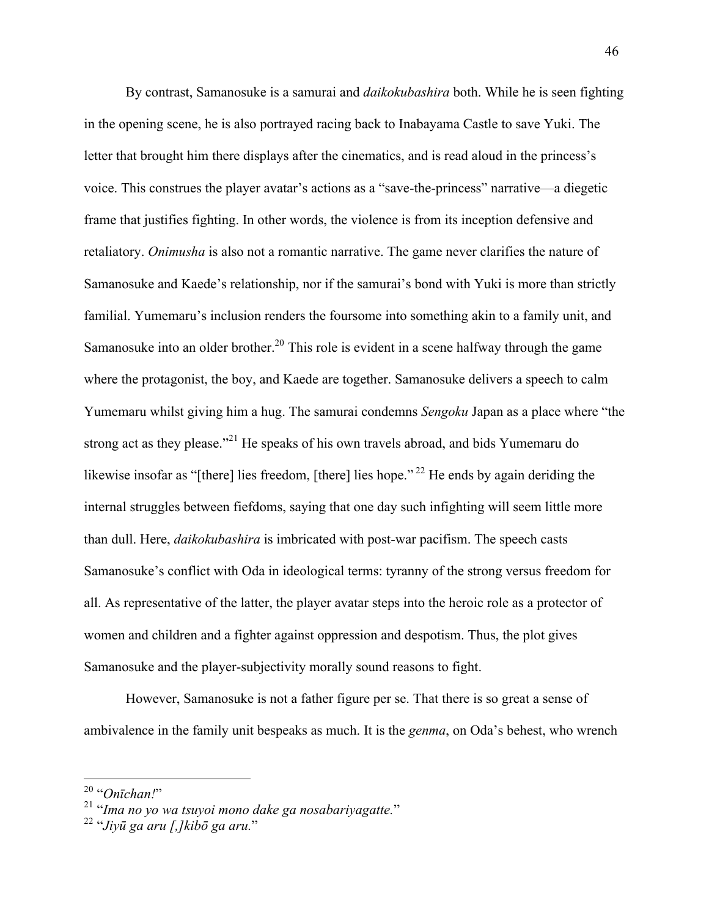By contrast, Samanosuke is a samurai and *daikokubashira* both. While he is seen fighting in the opening scene, he is also portrayed racing back to Inabayama Castle to save Yuki. The letter that brought him there displays after the cinematics, and is read aloud in the princess's voice. This construes the player avatar's actions as a "save-the-princess" narrative—a diegetic frame that justifies fighting. In other words, the violence is from its inception defensive and retaliatory. *Onimusha* is also not a romantic narrative. The game never clarifies the nature of Samanosuke and Kaede's relationship, nor if the samurai's bond with Yuki is more than strictly familial. Yumemaru's inclusion renders the foursome into something akin to a family unit, and Samanosuke into an older brother.<sup>20</sup> This role is evident in a scene halfway through the game where the protagonist, the boy, and Kaede are together. Samanosuke delivers a speech to calm Yumemaru whilst giving him a hug. The samurai condemns *Sengoku* Japan as a place where "the strong act as they please.<sup> $21$ </sup> He speaks of his own travels abroad, and bids Yumemaru do likewise insofar as "[there] lies freedom, [there] lies hope."<sup>22</sup> He ends by again deriding the internal struggles between fiefdoms, saying that one day such infighting will seem little more than dull. Here, *daikokubashira* is imbricated with post-war pacifism. The speech casts Samanosuke's conflict with Oda in ideological terms: tyranny of the strong versus freedom for all. As representative of the latter, the player avatar steps into the heroic role as a protector of women and children and a fighter against oppression and despotism. Thus, the plot gives Samanosuke and the player-subjectivity morally sound reasons to fight.

However, Samanosuke is not a father figure per se. That there is so great a sense of ambivalence in the family unit bespeaks as much. It is the *genma*, on Oda's behest, who wrench

<sup>20</sup> "*Onīchan!*" <sup>21</sup> "*Ima no yo wa tsuyoi mono dake ga nosabariyagatte.*" <sup>22</sup> "*Jiyū ga aru [,]kib<sup>ō</sup> ga aru.*"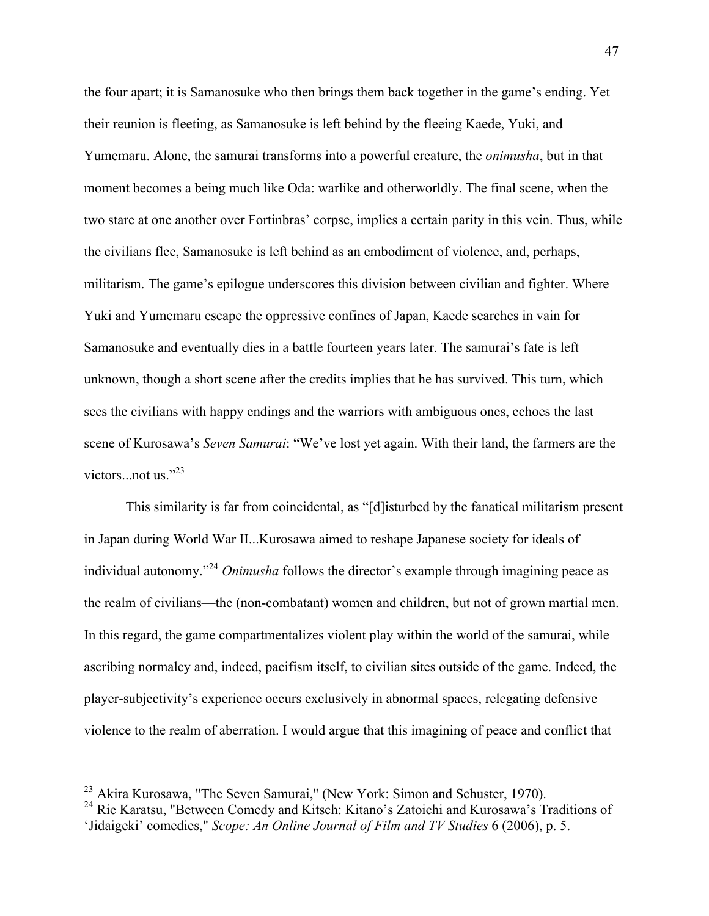the four apart; it is Samanosuke who then brings them back together in the game's ending. Yet their reunion is fleeting, as Samanosuke is left behind by the fleeing Kaede, Yuki, and Yumemaru. Alone, the samurai transforms into a powerful creature, the *onimusha*, but in that moment becomes a being much like Oda: warlike and otherworldly. The final scene, when the two stare at one another over Fortinbras' corpse, implies a certain parity in this vein. Thus, while the civilians flee, Samanosuke is left behind as an embodiment of violence, and, perhaps, militarism. The game's epilogue underscores this division between civilian and fighter. Where Yuki and Yumemaru escape the oppressive confines of Japan, Kaede searches in vain for Samanosuke and eventually dies in a battle fourteen years later. The samurai's fate is left unknown, though a short scene after the credits implies that he has survived. This turn, which sees the civilians with happy endings and the warriors with ambiguous ones, echoes the last scene of Kurosawa's *Seven Samurai*: "We've lost yet again. With their land, the farmers are the victors...not us." $^{23}$ 

This similarity is far from coincidental, as "[d]isturbed by the fanatical militarism present in Japan during World War II...Kurosawa aimed to reshape Japanese society for ideals of individual autonomy."<sup>24</sup> *Onimusha* follows the director's example through imagining peace as the realm of civilians—the (non-combatant) women and children, but not of grown martial men. In this regard, the game compartmentalizes violent play within the world of the samurai, while ascribing normalcy and, indeed, pacifism itself, to civilian sites outside of the game. Indeed, the player-subjectivity's experience occurs exclusively in abnormal spaces, relegating defensive violence to the realm of aberration. I would argue that this imagining of peace and conflict that

<sup>&</sup>lt;sup>23</sup> Akira Kurosawa, "The Seven Samurai," (New York: Simon and Schuster, 1970).

<sup>24</sup> Rie Karatsu, "Between Comedy and Kitsch: Kitano's Zatoichi and Kurosawa's Traditions of 'Jidaigeki' comedies," *Scope: An Online Journal of Film and TV Studies* 6 (2006), p. 5.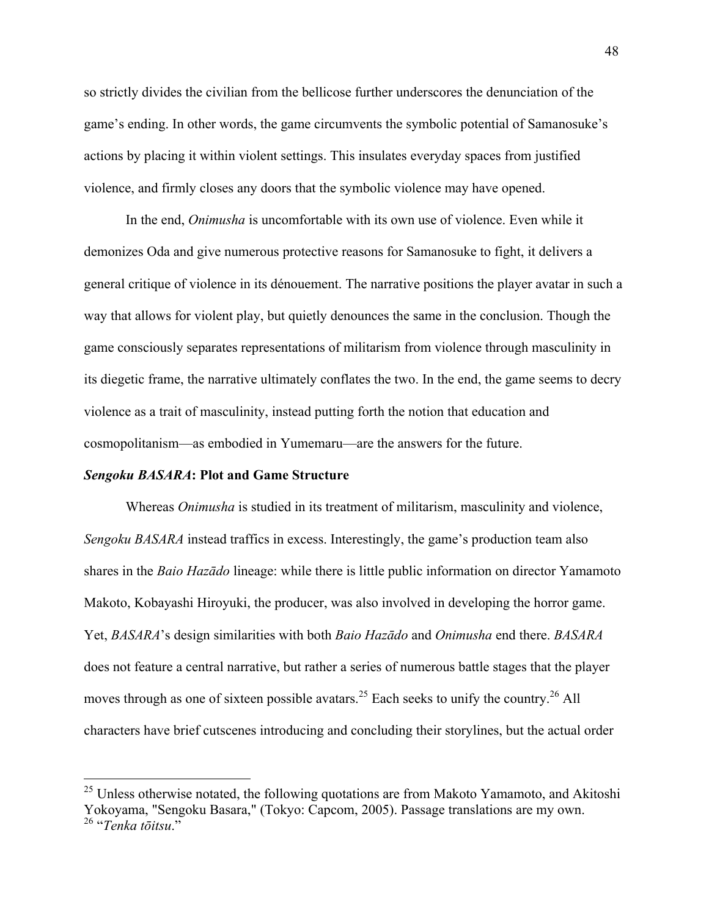so strictly divides the civilian from the bellicose further underscores the denunciation of the game's ending. In other words, the game circumvents the symbolic potential of Samanosuke's actions by placing it within violent settings. This insulates everyday spaces from justified violence, and firmly closes any doors that the symbolic violence may have opened.

In the end, *Onimusha* is uncomfortable with its own use of violence. Even while it demonizes Oda and give numerous protective reasons for Samanosuke to fight, it delivers a general critique of violence in its dénouement. The narrative positions the player avatar in such a way that allows for violent play, but quietly denounces the same in the conclusion. Though the game consciously separates representations of militarism from violence through masculinity in its diegetic frame, the narrative ultimately conflates the two. In the end, the game seems to decry violence as a trait of masculinity, instead putting forth the notion that education and cosmopolitanism—as embodied in Yumemaru—are the answers for the future.

### *Sengoku BASARA***: Plot and Game Structure**

Whereas *Onimusha* is studied in its treatment of militarism, masculinity and violence, *Sengoku BASARA* instead traffics in excess. Interestingly, the game's production team also shares in the *Baio Hazādo* lineage: while there is little public information on director Yamamoto Makoto, Kobayashi Hiroyuki, the producer, was also involved in developing the horror game. Yet, *BASARA*'s design similarities with both *Baio Hazādo* and *Onimusha* end there. *BASARA*  does not feature a central narrative, but rather a series of numerous battle stages that the player moves through as one of sixteen possible avatars.<sup>25</sup> Each seeks to unify the country.<sup>26</sup> All characters have brief cutscenes introducing and concluding their storylines, but the actual order

 $^{25}$  Unless otherwise notated, the following quotations are from Makoto Yamamoto, and Akitoshi Yokoyama, "Sengoku Basara," (Tokyo: Capcom, 2005). Passage translations are my own. <sup>26</sup> "*Tenka tōitsu*."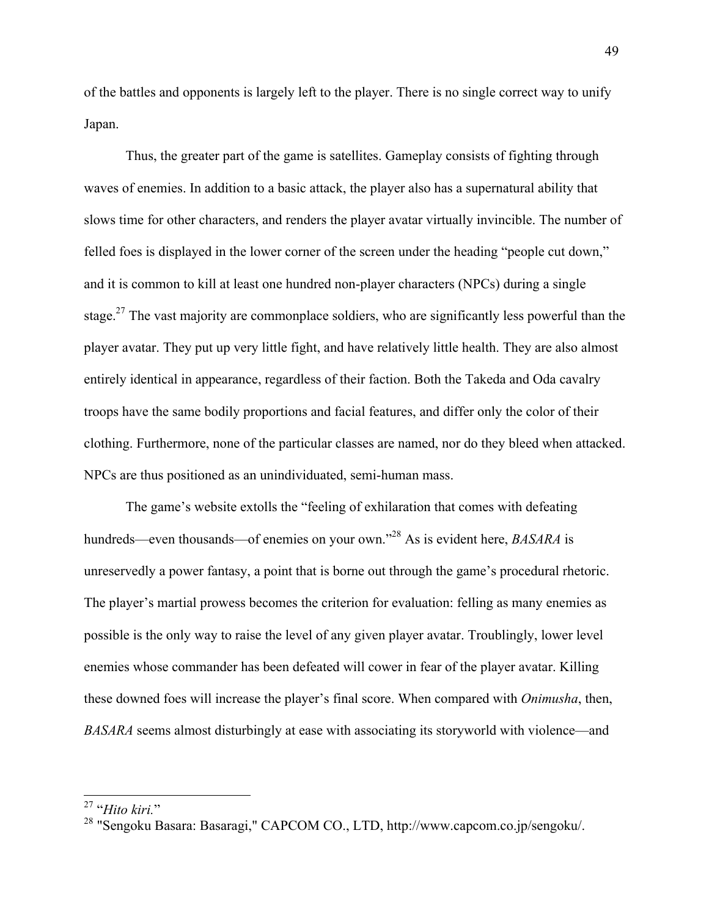of the battles and opponents is largely left to the player. There is no single correct way to unify Japan.

Thus, the greater part of the game is satellites. Gameplay consists of fighting through waves of enemies. In addition to a basic attack, the player also has a supernatural ability that slows time for other characters, and renders the player avatar virtually invincible. The number of felled foes is displayed in the lower corner of the screen under the heading "people cut down," and it is common to kill at least one hundred non-player characters (NPCs) during a single stage.<sup>27</sup> The vast majority are commonplace soldiers, who are significantly less powerful than the player avatar. They put up very little fight, and have relatively little health. They are also almost entirely identical in appearance, regardless of their faction. Both the Takeda and Oda cavalry troops have the same bodily proportions and facial features, and differ only the color of their clothing. Furthermore, none of the particular classes are named, nor do they bleed when attacked. NPCs are thus positioned as an unindividuated, semi-human mass.

The game's website extolls the "feeling of exhilaration that comes with defeating hundreds—even thousands—of enemies on your own."28 As is evident here, *BASARA* is unreservedly a power fantasy, a point that is borne out through the game's procedural rhetoric. The player's martial prowess becomes the criterion for evaluation: felling as many enemies as possible is the only way to raise the level of any given player avatar. Troublingly, lower level enemies whose commander has been defeated will cower in fear of the player avatar. Killing these downed foes will increase the player's final score. When compared with *Onimusha*, then, *BASARA* seems almost disturbingly at ease with associating its storyworld with violence—and

<sup>&</sup>lt;sup>27</sup> "*Hito kiri.*"<br><sup>28</sup> "Sengoku Basara: Basaragi," CAPCOM CO., LTD, http://www.capcom.co.jp/sengoku/.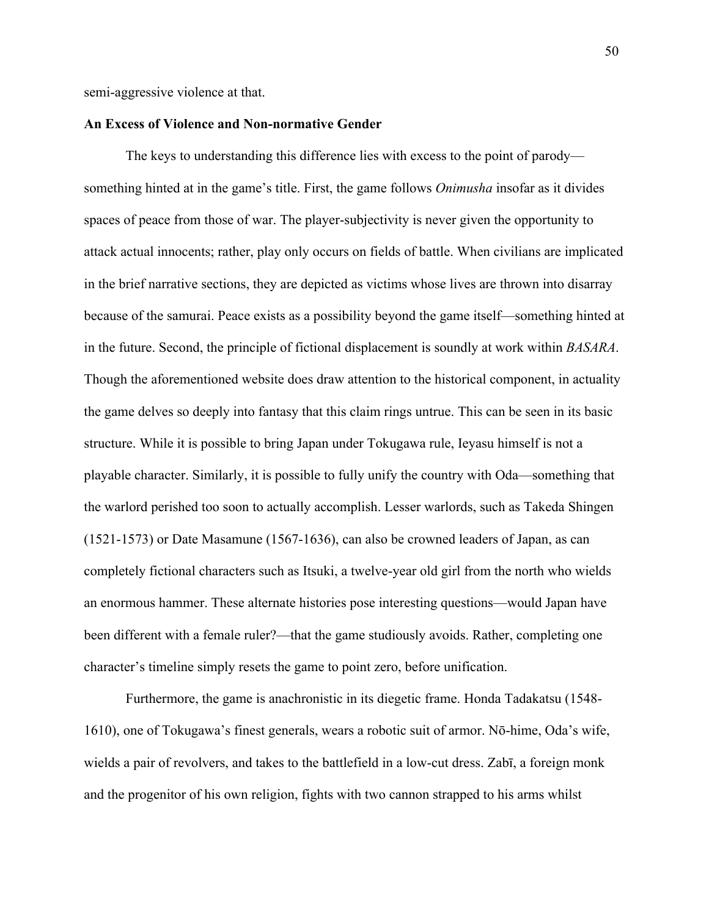semi-aggressive violence at that.

### **An Excess of Violence and Non-normative Gender**

The keys to understanding this difference lies with excess to the point of parody something hinted at in the game's title. First, the game follows *Onimusha* insofar as it divides spaces of peace from those of war. The player-subjectivity is never given the opportunity to attack actual innocents; rather, play only occurs on fields of battle. When civilians are implicated in the brief narrative sections, they are depicted as victims whose lives are thrown into disarray because of the samurai. Peace exists as a possibility beyond the game itself—something hinted at in the future. Second, the principle of fictional displacement is soundly at work within *BASARA*. Though the aforementioned website does draw attention to the historical component, in actuality the game delves so deeply into fantasy that this claim rings untrue. This can be seen in its basic structure. While it is possible to bring Japan under Tokugawa rule, Ieyasu himself is not a playable character. Similarly, it is possible to fully unify the country with Oda—something that the warlord perished too soon to actually accomplish. Lesser warlords, such as Takeda Shingen (1521-1573) or Date Masamune (1567-1636), can also be crowned leaders of Japan, as can completely fictional characters such as Itsuki, a twelve-year old girl from the north who wields an enormous hammer. These alternate histories pose interesting questions—would Japan have been different with a female ruler?—that the game studiously avoids. Rather, completing one character's timeline simply resets the game to point zero, before unification.

Furthermore, the game is anachronistic in its diegetic frame. Honda Tadakatsu (1548- 1610), one of Tokugawa's finest generals, wears a robotic suit of armor. Nō-hime, Oda's wife, wields a pair of revolvers, and takes to the battlefield in a low-cut dress. Zabī, a foreign monk and the progenitor of his own religion, fights with two cannon strapped to his arms whilst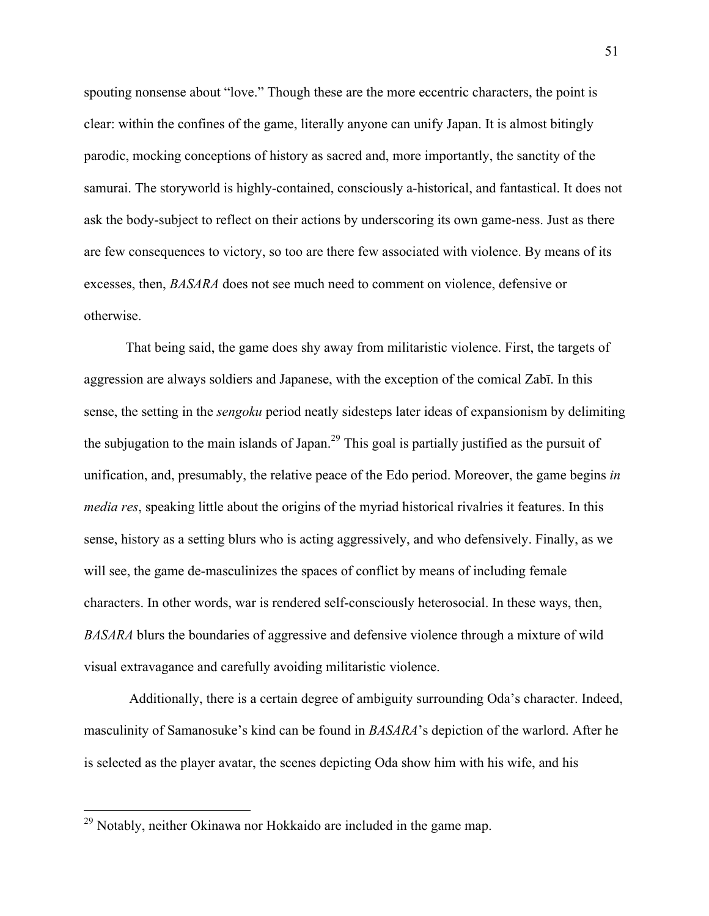spouting nonsense about "love." Though these are the more eccentric characters, the point is clear: within the confines of the game, literally anyone can unify Japan. It is almost bitingly parodic, mocking conceptions of history as sacred and, more importantly, the sanctity of the samurai. The storyworld is highly-contained, consciously a-historical, and fantastical. It does not ask the body-subject to reflect on their actions by underscoring its own game-ness. Just as there are few consequences to victory, so too are there few associated with violence. By means of its excesses, then, *BASARA* does not see much need to comment on violence, defensive or otherwise.

That being said, the game does shy away from militaristic violence. First, the targets of aggression are always soldiers and Japanese, with the exception of the comical Zabī. In this sense, the setting in the *sengoku* period neatly sidesteps later ideas of expansionism by delimiting the subjugation to the main islands of Japan.<sup>29</sup> This goal is partially justified as the pursuit of unification, and, presumably, the relative peace of the Edo period. Moreover, the game begins *in media res*, speaking little about the origins of the myriad historical rivalries it features. In this sense, history as a setting blurs who is acting aggressively, and who defensively. Finally, as we will see, the game de-masculinizes the spaces of conflict by means of including female characters. In other words, war is rendered self-consciously heterosocial. In these ways, then, *BASARA* blurs the boundaries of aggressive and defensive violence through a mixture of wild visual extravagance and carefully avoiding militaristic violence.

Additionally, there is a certain degree of ambiguity surrounding Oda's character. Indeed, masculinity of Samanosuke's kind can be found in *BASARA*'s depiction of the warlord. After he is selected as the player avatar, the scenes depicting Oda show him with his wife, and his

<sup>&</sup>lt;sup>29</sup> Notably, neither Okinawa nor Hokkaido are included in the game map.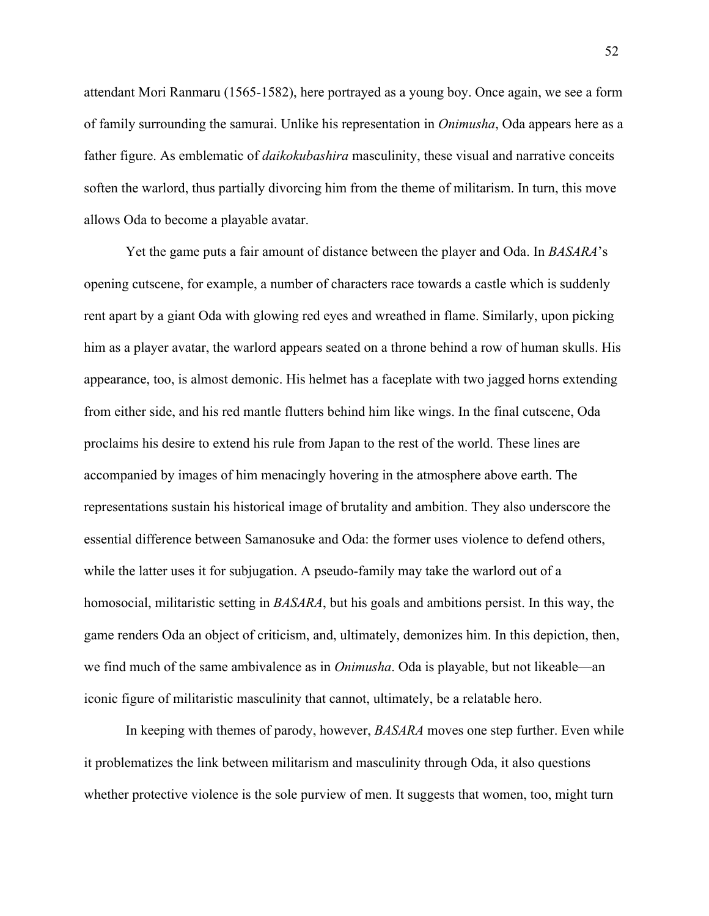attendant Mori Ranmaru (1565-1582), here portrayed as a young boy. Once again, we see a form of family surrounding the samurai. Unlike his representation in *Onimusha*, Oda appears here as a father figure. As emblematic of *daikokubashira* masculinity, these visual and narrative conceits soften the warlord, thus partially divorcing him from the theme of militarism. In turn, this move allows Oda to become a playable avatar.

Yet the game puts a fair amount of distance between the player and Oda. In *BASARA*'s opening cutscene, for example, a number of characters race towards a castle which is suddenly rent apart by a giant Oda with glowing red eyes and wreathed in flame. Similarly, upon picking him as a player avatar, the warlord appears seated on a throne behind a row of human skulls. His appearance, too, is almost demonic. His helmet has a faceplate with two jagged horns extending from either side, and his red mantle flutters behind him like wings. In the final cutscene, Oda proclaims his desire to extend his rule from Japan to the rest of the world. These lines are accompanied by images of him menacingly hovering in the atmosphere above earth. The representations sustain his historical image of brutality and ambition. They also underscore the essential difference between Samanosuke and Oda: the former uses violence to defend others, while the latter uses it for subjugation. A pseudo-family may take the warlord out of a homosocial, militaristic setting in *BASARA*, but his goals and ambitions persist. In this way, the game renders Oda an object of criticism, and, ultimately, demonizes him. In this depiction, then, we find much of the same ambivalence as in *Onimusha*. Oda is playable, but not likeable—an iconic figure of militaristic masculinity that cannot, ultimately, be a relatable hero.

In keeping with themes of parody, however, *BASARA* moves one step further. Even while it problematizes the link between militarism and masculinity through Oda, it also questions whether protective violence is the sole purview of men. It suggests that women, too, might turn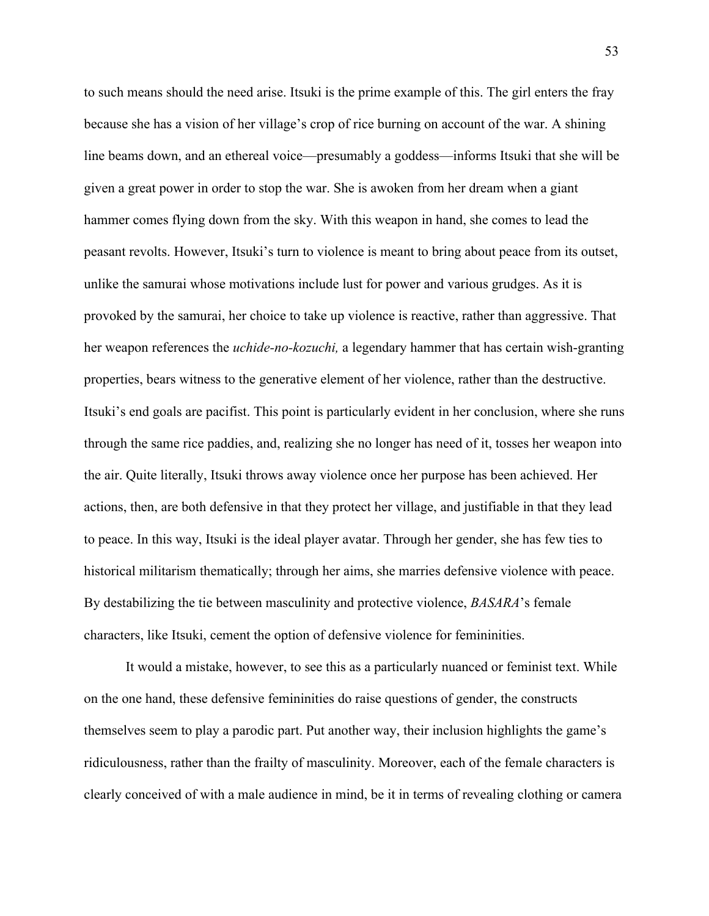to such means should the need arise. Itsuki is the prime example of this. The girl enters the fray because she has a vision of her village's crop of rice burning on account of the war. A shining line beams down, and an ethereal voice—presumably a goddess—informs Itsuki that she will be given a great power in order to stop the war. She is awoken from her dream when a giant hammer comes flying down from the sky. With this weapon in hand, she comes to lead the peasant revolts. However, Itsuki's turn to violence is meant to bring about peace from its outset, unlike the samurai whose motivations include lust for power and various grudges. As it is provoked by the samurai, her choice to take up violence is reactive, rather than aggressive. That her weapon references the *uchide-no-kozuchi,* a legendary hammer that has certain wish-granting properties, bears witness to the generative element of her violence, rather than the destructive. Itsuki's end goals are pacifist. This point is particularly evident in her conclusion, where she runs through the same rice paddies, and, realizing she no longer has need of it, tosses her weapon into the air. Quite literally, Itsuki throws away violence once her purpose has been achieved. Her actions, then, are both defensive in that they protect her village, and justifiable in that they lead to peace. In this way, Itsuki is the ideal player avatar. Through her gender, she has few ties to historical militarism thematically; through her aims, she marries defensive violence with peace. By destabilizing the tie between masculinity and protective violence, *BASARA*'s female characters, like Itsuki, cement the option of defensive violence for femininities.

It would a mistake, however, to see this as a particularly nuanced or feminist text. While on the one hand, these defensive femininities do raise questions of gender, the constructs themselves seem to play a parodic part. Put another way, their inclusion highlights the game's ridiculousness, rather than the frailty of masculinity. Moreover, each of the female characters is clearly conceived of with a male audience in mind, be it in terms of revealing clothing or camera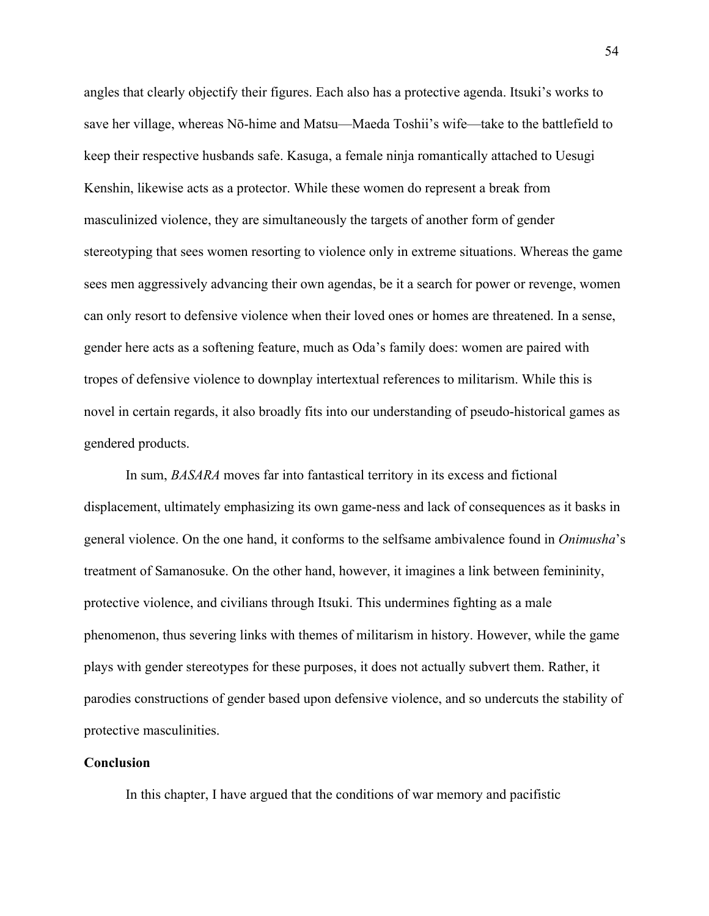angles that clearly objectify their figures. Each also has a protective agenda. Itsuki's works to save her village, whereas Nō-hime and Matsu—Maeda Toshii's wife—take to the battlefield to keep their respective husbands safe. Kasuga, a female ninja romantically attached to Uesugi Kenshin, likewise acts as a protector. While these women do represent a break from masculinized violence, they are simultaneously the targets of another form of gender stereotyping that sees women resorting to violence only in extreme situations. Whereas the game sees men aggressively advancing their own agendas, be it a search for power or revenge, women can only resort to defensive violence when their loved ones or homes are threatened. In a sense, gender here acts as a softening feature, much as Oda's family does: women are paired with tropes of defensive violence to downplay intertextual references to militarism. While this is novel in certain regards, it also broadly fits into our understanding of pseudo-historical games as gendered products.

In sum, *BASARA* moves far into fantastical territory in its excess and fictional displacement, ultimately emphasizing its own game-ness and lack of consequences as it basks in general violence. On the one hand, it conforms to the selfsame ambivalence found in *Onimusha*'s treatment of Samanosuke. On the other hand, however, it imagines a link between femininity, protective violence, and civilians through Itsuki. This undermines fighting as a male phenomenon, thus severing links with themes of militarism in history. However, while the game plays with gender stereotypes for these purposes, it does not actually subvert them. Rather, it parodies constructions of gender based upon defensive violence, and so undercuts the stability of protective masculinities.

### **Conclusion**

In this chapter, I have argued that the conditions of war memory and pacifistic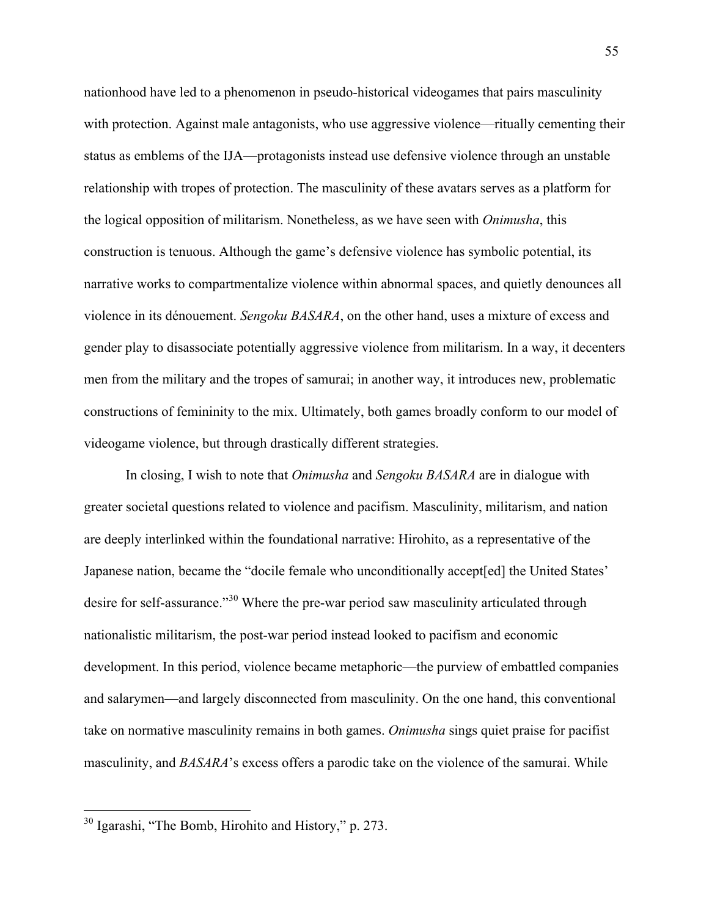nationhood have led to a phenomenon in pseudo-historical videogames that pairs masculinity with protection. Against male antagonists, who use aggressive violence—ritually cementing their status as emblems of the IJA—protagonists instead use defensive violence through an unstable relationship with tropes of protection. The masculinity of these avatars serves as a platform for the logical opposition of militarism. Nonetheless, as we have seen with *Onimusha*, this construction is tenuous. Although the game's defensive violence has symbolic potential, its narrative works to compartmentalize violence within abnormal spaces, and quietly denounces all violence in its dénouement. *Sengoku BASARA*, on the other hand, uses a mixture of excess and gender play to disassociate potentially aggressive violence from militarism. In a way, it decenters men from the military and the tropes of samurai; in another way, it introduces new, problematic constructions of femininity to the mix. Ultimately, both games broadly conform to our model of videogame violence, but through drastically different strategies.

In closing, I wish to note that *Onimusha* and *Sengoku BASARA* are in dialogue with greater societal questions related to violence and pacifism. Masculinity, militarism, and nation are deeply interlinked within the foundational narrative: Hirohito, as a representative of the Japanese nation, became the "docile female who unconditionally accept[ed] the United States' desire for self-assurance."<sup>30</sup> Where the pre-war period saw masculinity articulated through nationalistic militarism, the post-war period instead looked to pacifism and economic development. In this period, violence became metaphoric—the purview of embattled companies and salarymen—and largely disconnected from masculinity. On the one hand, this conventional take on normative masculinity remains in both games. *Onimusha* sings quiet praise for pacifist masculinity, and *BASARA*'s excess offers a parodic take on the violence of the samurai. While

 <sup>30</sup> Igarashi, "The Bomb, Hirohito and History," p. 273.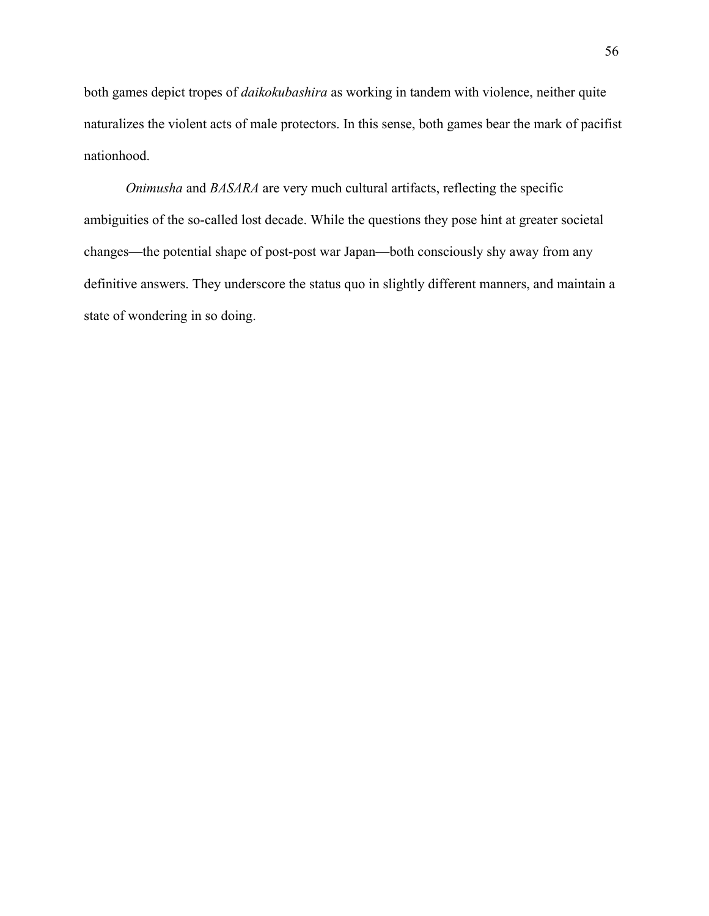both games depict tropes of *daikokubashira* as working in tandem with violence, neither quite naturalizes the violent acts of male protectors. In this sense, both games bear the mark of pacifist nationhood.

*Onimusha* and *BASARA* are very much cultural artifacts, reflecting the specific ambiguities of the so-called lost decade. While the questions they pose hint at greater societal changes—the potential shape of post-post war Japan—both consciously shy away from any definitive answers. They underscore the status quo in slightly different manners, and maintain a state of wondering in so doing.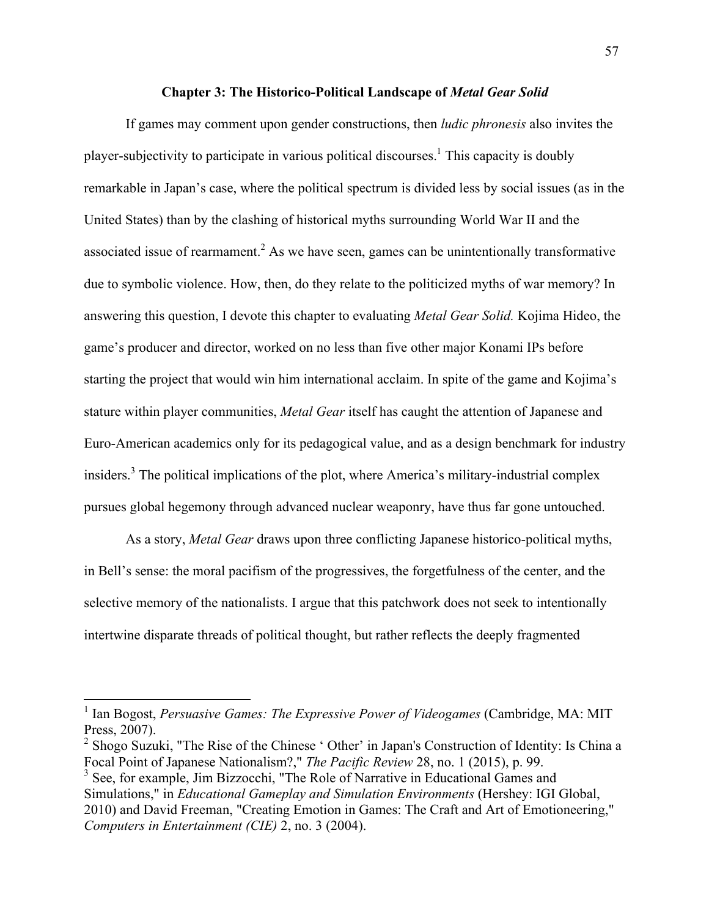### **Chapter 3: The Historico-Political Landscape of** *Metal Gear Solid*

If games may comment upon gender constructions, then *ludic phronesis* also invites the player-subjectivity to participate in various political discourses. <sup>1</sup> This capacity is doubly remarkable in Japan's case, where the political spectrum is divided less by social issues (as in the United States) than by the clashing of historical myths surrounding World War II and the associated issue of rearmament.<sup>2</sup> As we have seen, games can be unintentionally transformative due to symbolic violence. How, then, do they relate to the politicized myths of war memory? In answering this question, I devote this chapter to evaluating *Metal Gear Solid.* Kojima Hideo, the game's producer and director, worked on no less than five other major Konami IPs before starting the project that would win him international acclaim. In spite of the game and Kojima's stature within player communities, *Metal Gear* itself has caught the attention of Japanese and Euro-American academics only for its pedagogical value, and as a design benchmark for industry insiders.<sup>3</sup> The political implications of the plot, where America's military-industrial complex pursues global hegemony through advanced nuclear weaponry, have thus far gone untouched.

As a story, *Metal Gear* draws upon three conflicting Japanese historico-political myths, in Bell's sense: the moral pacifism of the progressives, the forgetfulness of the center, and the selective memory of the nationalists. I argue that this patchwork does not seek to intentionally intertwine disparate threads of political thought, but rather reflects the deeply fragmented

<sup>&</sup>lt;sup>1</sup> Ian Bogost, *Persuasive Games: The Expressive Power of Videogames* (Cambridge, MA: MIT) Press, 2007).

 $2$  Shogo Suzuki, "The Rise of the Chinese ' Other' in Japan's Construction of Identity: Is China a Focal Point of Japanese Nationalism?," *The Pacific Review* 28, no. 1 (2015), p. 99.

<sup>&</sup>lt;sup>3</sup> See, for example, Jim Bizzocchi, "The Role of Narrative in Educational Games and Simulations," in *Educational Gameplay and Simulation Environments* (Hershey: IGI Global, 2010) and David Freeman, "Creating Emotion in Games: The Craft and Art of Emotioneering," *Computers in Entertainment (CIE)* 2, no. 3 (2004).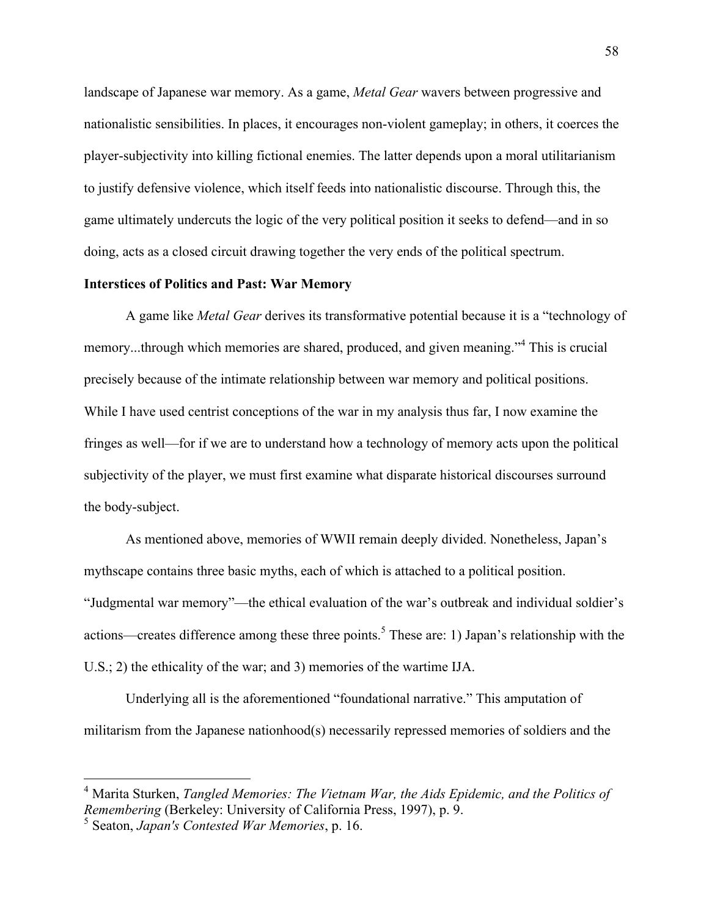landscape of Japanese war memory. As a game, *Metal Gear* wavers between progressive and nationalistic sensibilities. In places, it encourages non-violent gameplay; in others, it coerces the player-subjectivity into killing fictional enemies. The latter depends upon a moral utilitarianism to justify defensive violence, which itself feeds into nationalistic discourse. Through this, the game ultimately undercuts the logic of the very political position it seeks to defend—and in so doing, acts as a closed circuit drawing together the very ends of the political spectrum.

### **Interstices of Politics and Past: War Memory**

A game like *Metal Gear* derives its transformative potential because it is a "technology of memory...through which memories are shared, produced, and given meaning."<sup>4</sup> This is crucial precisely because of the intimate relationship between war memory and political positions. While I have used centrist conceptions of the war in my analysis thus far, I now examine the fringes as well—for if we are to understand how a technology of memory acts upon the political subjectivity of the player, we must first examine what disparate historical discourses surround the body-subject.

As mentioned above, memories of WWII remain deeply divided. Nonetheless, Japan's mythscape contains three basic myths, each of which is attached to a political position. "Judgmental war memory"—the ethical evaluation of the war's outbreak and individual soldier's actions—creates difference among these three points.<sup>5</sup> These are: 1) Japan's relationship with the U.S.; 2) the ethicality of the war; and 3) memories of the wartime IJA.

Underlying all is the aforementioned "foundational narrative." This amputation of militarism from the Japanese nationhood(s) necessarily repressed memories of soldiers and the

 <sup>4</sup> Marita Sturken, *Tangled Memories: The Vietnam War, the Aids Epidemic, and the Politics of Remembering* (Berkeley: University of California Press, 1997), p. 9.

<sup>5</sup> Seaton, *Japan's Contested War Memories*, p. 16.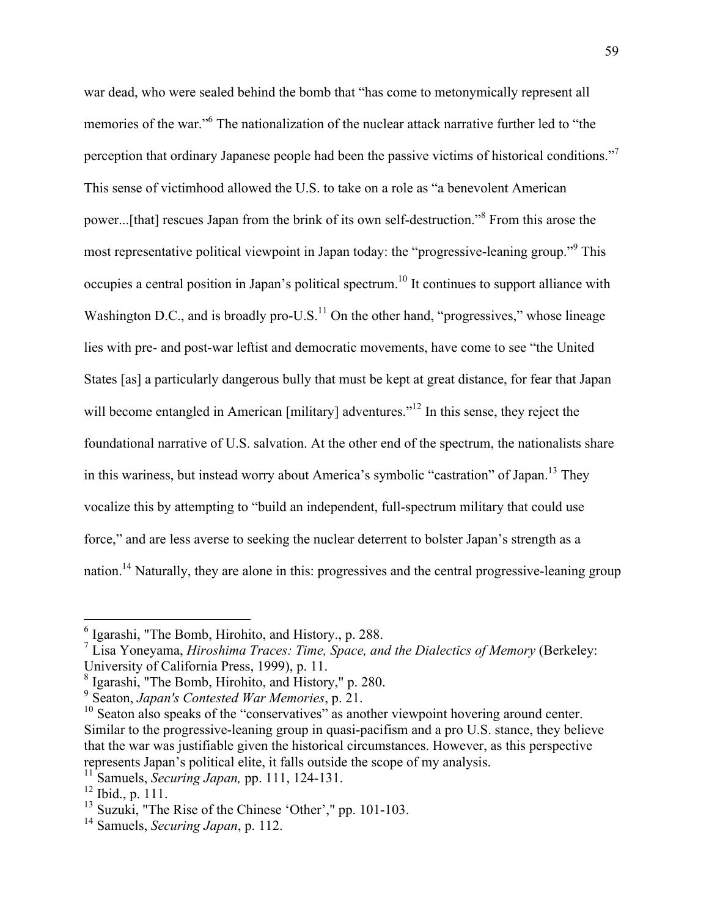war dead, who were sealed behind the bomb that "has come to metonymically represent all memories of the war."<sup>6</sup> The nationalization of the nuclear attack narrative further led to "the perception that ordinary Japanese people had been the passive victims of historical conditions."7 This sense of victimhood allowed the U.S. to take on a role as "a benevolent American power...[that] rescues Japan from the brink of its own self-destruction."<sup>8</sup> From this arose the most representative political viewpoint in Japan today: the "progressive-leaning group."<sup>9</sup> This occupies a central position in Japan's political spectrum.10 It continues to support alliance with Washington D.C., and is broadly pro-U.S. $<sup>11</sup>$  On the other hand, "progressives," whose lineage</sup> lies with pre- and post-war leftist and democratic movements, have come to see "the United States [as] a particularly dangerous bully that must be kept at great distance, for fear that Japan will become entangled in American [military] adventures.<sup>"12</sup> In this sense, they reject the foundational narrative of U.S. salvation. At the other end of the spectrum, the nationalists share in this wariness, but instead worry about America's symbolic "castration" of Japan.13 They vocalize this by attempting to "build an independent, full-spectrum military that could use force," and are less averse to seeking the nuclear deterrent to bolster Japan's strength as a nation.<sup>14</sup> Naturally, they are alone in this: progressives and the central progressive-leaning group

 <sup>6</sup> Igarashi, "The Bomb, Hirohito, and History., p. 288.

<sup>7</sup> Lisa Yoneyama, *Hiroshima Traces: Time, Space, and the Dialectics of Memory* (Berkeley: University of California Press, 1999), p. 11.

<sup>8</sup> Igarashi, "The Bomb, Hirohito, and History," p. 280.

<sup>9</sup> Seaton, *Japan's Contested War Memories*, p. 21.

<sup>&</sup>lt;sup>10</sup> Seaton also speaks of the "conservatives" as another viewpoint hovering around center. Similar to the progressive-leaning group in quasi-pacifism and a pro U.S. stance, they believe that the war was justifiable given the historical circumstances. However, as this perspective represents Japan's political elite, it falls outside the scope of my analysis.

<sup>11</sup> Samuels, *Securing Japan,* pp. 111, 124-131.

 $12$  Ibid., p. 111.

<sup>&</sup>lt;sup>13</sup> Suzuki, "The Rise of the Chinese 'Other'," pp. 101-103.

<sup>14</sup> Samuels, *Securing Japan*, p. 112.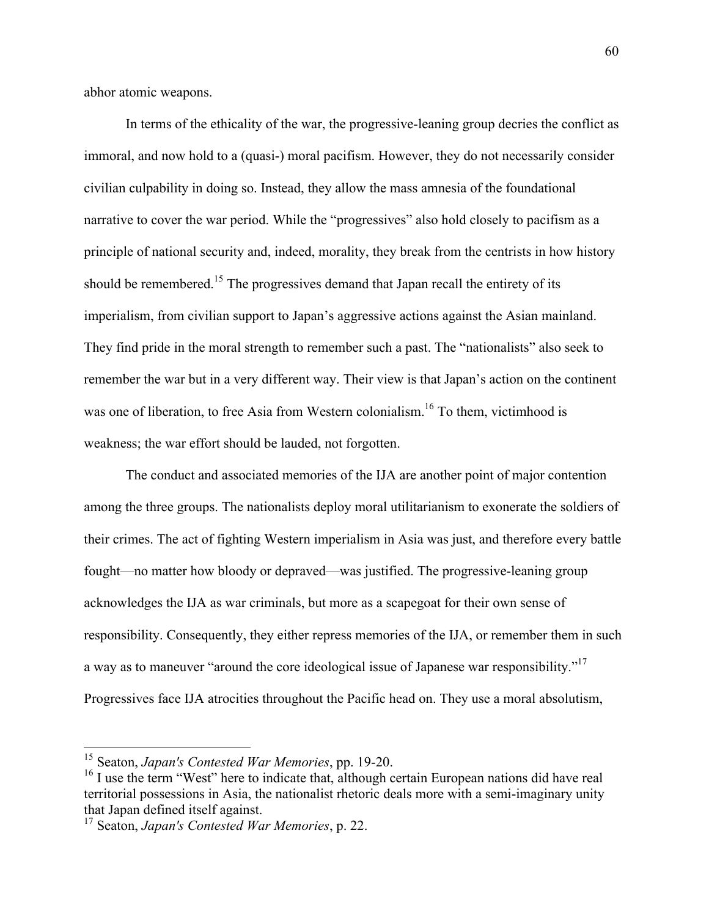abhor atomic weapons.

In terms of the ethicality of the war, the progressive-leaning group decries the conflict as immoral, and now hold to a (quasi-) moral pacifism. However, they do not necessarily consider civilian culpability in doing so. Instead, they allow the mass amnesia of the foundational narrative to cover the war period. While the "progressives" also hold closely to pacifism as a principle of national security and, indeed, morality, they break from the centrists in how history should be remembered.<sup>15</sup> The progressives demand that Japan recall the entirety of its imperialism, from civilian support to Japan's aggressive actions against the Asian mainland. They find pride in the moral strength to remember such a past. The "nationalists" also seek to remember the war but in a very different way. Their view is that Japan's action on the continent was one of liberation, to free Asia from Western colonialism.<sup>16</sup> To them, victimhood is weakness; the war effort should be lauded, not forgotten.

The conduct and associated memories of the IJA are another point of major contention among the three groups. The nationalists deploy moral utilitarianism to exonerate the soldiers of their crimes. The act of fighting Western imperialism in Asia was just, and therefore every battle fought—no matter how bloody or depraved—was justified. The progressive-leaning group acknowledges the IJA as war criminals, but more as a scapegoat for their own sense of responsibility. Consequently, they either repress memories of the IJA, or remember them in such a way as to maneuver "around the core ideological issue of Japanese war responsibility."17 Progressives face IJA atrocities throughout the Pacific head on. They use a moral absolutism,

 <sup>15</sup> Seaton, *Japan's Contested War Memories*, pp. 19-20.

 $16$  I use the term "West" here to indicate that, although certain European nations did have real territorial possessions in Asia, the nationalist rhetoric deals more with a semi-imaginary unity that Japan defined itself against.

<sup>17</sup> Seaton, *Japan's Contested War Memories*, p. 22.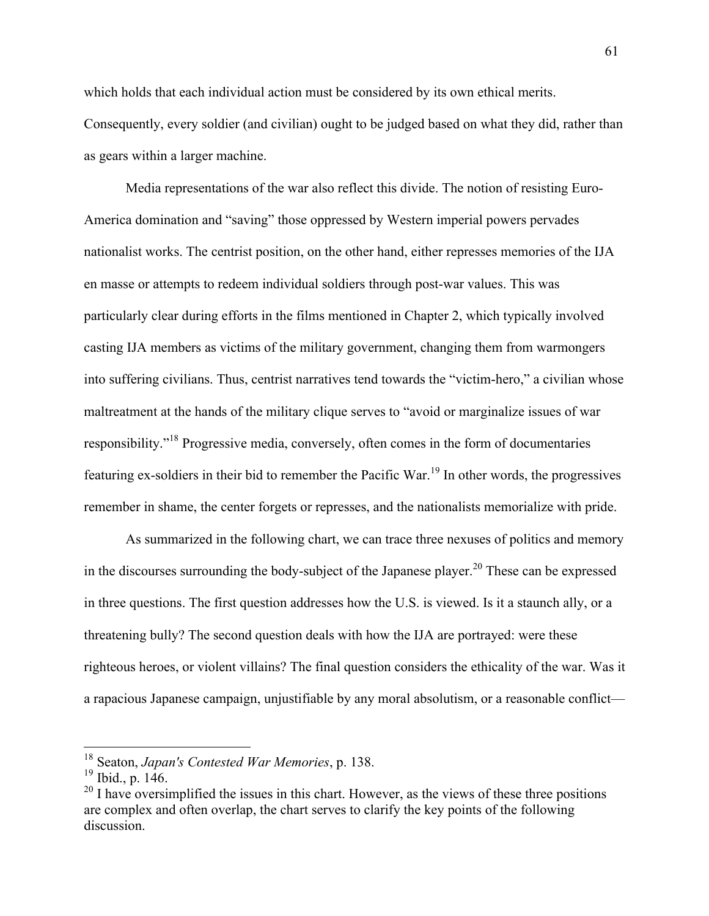which holds that each individual action must be considered by its own ethical merits. Consequently, every soldier (and civilian) ought to be judged based on what they did, rather than as gears within a larger machine.

Media representations of the war also reflect this divide. The notion of resisting Euro-America domination and "saving" those oppressed by Western imperial powers pervades nationalist works. The centrist position, on the other hand, either represses memories of the IJA en masse or attempts to redeem individual soldiers through post-war values. This was particularly clear during efforts in the films mentioned in Chapter 2, which typically involved casting IJA members as victims of the military government, changing them from warmongers into suffering civilians. Thus, centrist narratives tend towards the "victim-hero," a civilian whose maltreatment at the hands of the military clique serves to "avoid or marginalize issues of war responsibility."<sup>18</sup> Progressive media, conversely, often comes in the form of documentaries featuring ex-soldiers in their bid to remember the Pacific War.<sup>19</sup> In other words, the progressives remember in shame, the center forgets or represses, and the nationalists memorialize with pride.

As summarized in the following chart, we can trace three nexuses of politics and memory in the discourses surrounding the body-subject of the Japanese player.<sup>20</sup> These can be expressed in three questions. The first question addresses how the U.S. is viewed. Is it a staunch ally, or a threatening bully? The second question deals with how the IJA are portrayed: were these righteous heroes, or violent villains? The final question considers the ethicality of the war. Was it a rapacious Japanese campaign, unjustifiable by any moral absolutism, or a reasonable conflict—

 <sup>18</sup> Seaton, *Japan's Contested War Memories*, p. 138.

<sup>19</sup> Ibid., p. 146.

 $^{20}$  I have oversimplified the issues in this chart. However, as the views of these three positions are complex and often overlap, the chart serves to clarify the key points of the following discussion.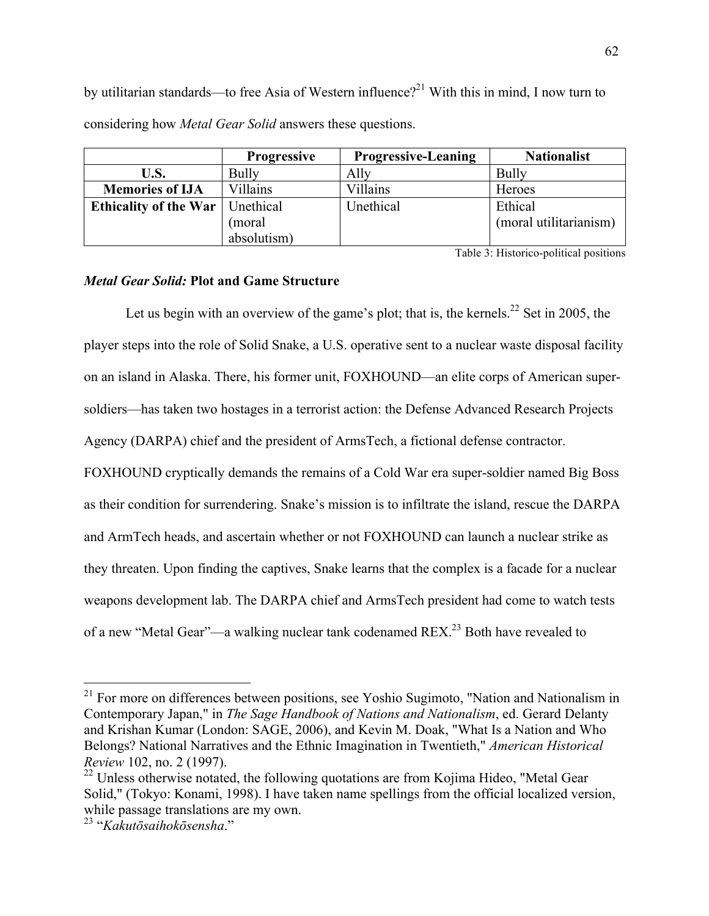by utilitarian standards—to free Asia of Western influence?<sup>21</sup> With this in mind. I now turn to considering how *Metal Gear Solid* answers these questions.

|                              | <b>Progressive</b> | <b>Progressive-Leaning</b> | <b>Nationalist</b>     |
|------------------------------|--------------------|----------------------------|------------------------|
| U.S.                         | Bully              | Allv                       | <b>Bully</b>           |
| <b>Memories of IJA</b>       | Villains           | Villains                   | Heroes                 |
| <b>Ethicality of the War</b> | Unethical          | Unethical                  | Ethical                |
|                              | (moral             |                            | (moral utilitarianism) |
|                              | absolutism)        |                            |                        |

Table 3: Historico-political positions

# *Metal Gear Solid:* **Plot and Game Structure**

Let us begin with an overview of the game's plot; that is, the kernels.<sup>22</sup> Set in 2005, the player steps into the role of Solid Snake, a U.S. operative sent to a nuclear waste disposal facility on an island in Alaska. There, his former unit, FOXHOUND—an elite corps of American supersoldiers—has taken two hostages in a terrorist action: the Defense Advanced Research Projects Agency (DARPA) chief and the president of ArmsTech, a fictional defense contractor.

FOXHOUND cryptically demands the remains of a Cold War era super-soldier named Big Boss as their condition for surrendering. Snake's mission is to infiltrate the island, rescue the DARPA and ArmTech heads, and ascertain whether or not FOXHOUND can launch a nuclear strike as they threaten. Upon finding the captives, Snake learns that the complex is a facade for a nuclear weapons development lab. The DARPA chief and ArmsTech president had come to watch tests of a new "Metal Gear"—a walking nuclear tank codenamed REX.23 Both have revealed to

 $21$  For more on differences between positions, see Yoshio Sugimoto, "Nation and Nationalism in Contemporary Japan," in *The Sage Handbook of Nations and Nationalism*, ed. Gerard Delanty and Krishan Kumar (London: SAGE, 2006), and Kevin M. Doak, "What Is a Nation and Who Belongs? National Narratives and the Ethnic Imagination in Twentieth," *American Historical Review* 102, no. 2 (1997).

 $^{22}$  Unless otherwise notated, the following quotations are from Kojima Hideo, "Metal Gear" Solid," (Tokyo: Konami, 1998). I have taken name spellings from the official localized version, while passage translations are my own.

<sup>23</sup> "*Kakutōsaihokōsensha*."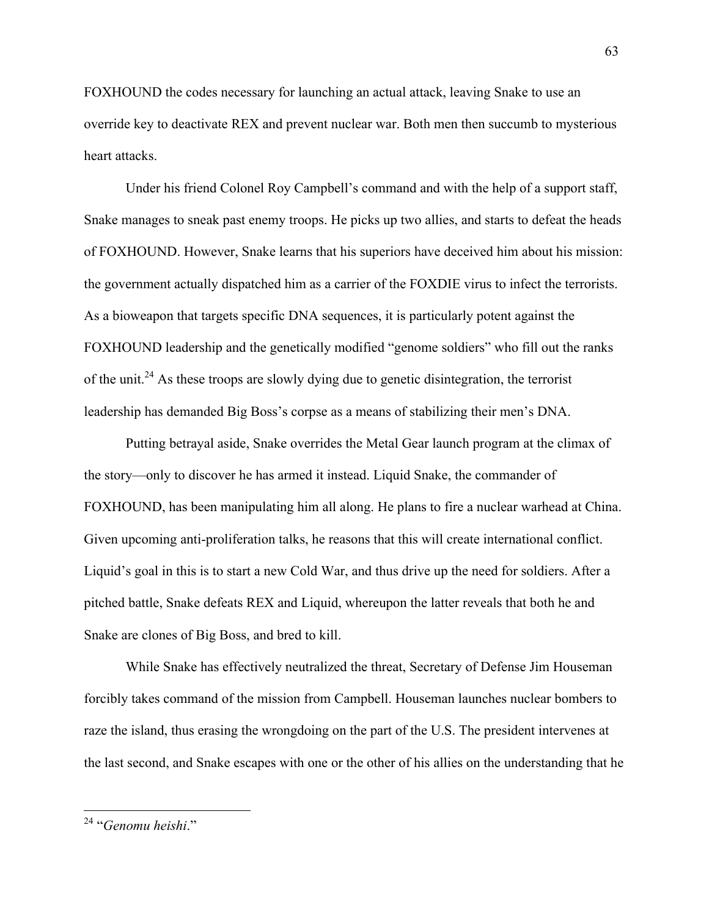FOXHOUND the codes necessary for launching an actual attack, leaving Snake to use an override key to deactivate REX and prevent nuclear war. Both men then succumb to mysterious heart attacks.

Under his friend Colonel Roy Campbell's command and with the help of a support staff, Snake manages to sneak past enemy troops. He picks up two allies, and starts to defeat the heads of FOXHOUND. However, Snake learns that his superiors have deceived him about his mission: the government actually dispatched him as a carrier of the FOXDIE virus to infect the terrorists. As a bioweapon that targets specific DNA sequences, it is particularly potent against the FOXHOUND leadership and the genetically modified "genome soldiers" who fill out the ranks of the unit.<sup>24</sup> As these troops are slowly dying due to genetic disintegration, the terrorist leadership has demanded Big Boss's corpse as a means of stabilizing their men's DNA.

Putting betrayal aside, Snake overrides the Metal Gear launch program at the climax of the story—only to discover he has armed it instead. Liquid Snake, the commander of FOXHOUND, has been manipulating him all along. He plans to fire a nuclear warhead at China. Given upcoming anti-proliferation talks, he reasons that this will create international conflict. Liquid's goal in this is to start a new Cold War, and thus drive up the need for soldiers. After a pitched battle, Snake defeats REX and Liquid, whereupon the latter reveals that both he and Snake are clones of Big Boss, and bred to kill.

While Snake has effectively neutralized the threat, Secretary of Defense Jim Houseman forcibly takes command of the mission from Campbell. Houseman launches nuclear bombers to raze the island, thus erasing the wrongdoing on the part of the U.S. The president intervenes at the last second, and Snake escapes with one or the other of his allies on the understanding that he

 <sup>24</sup> "*Genomu heishi*."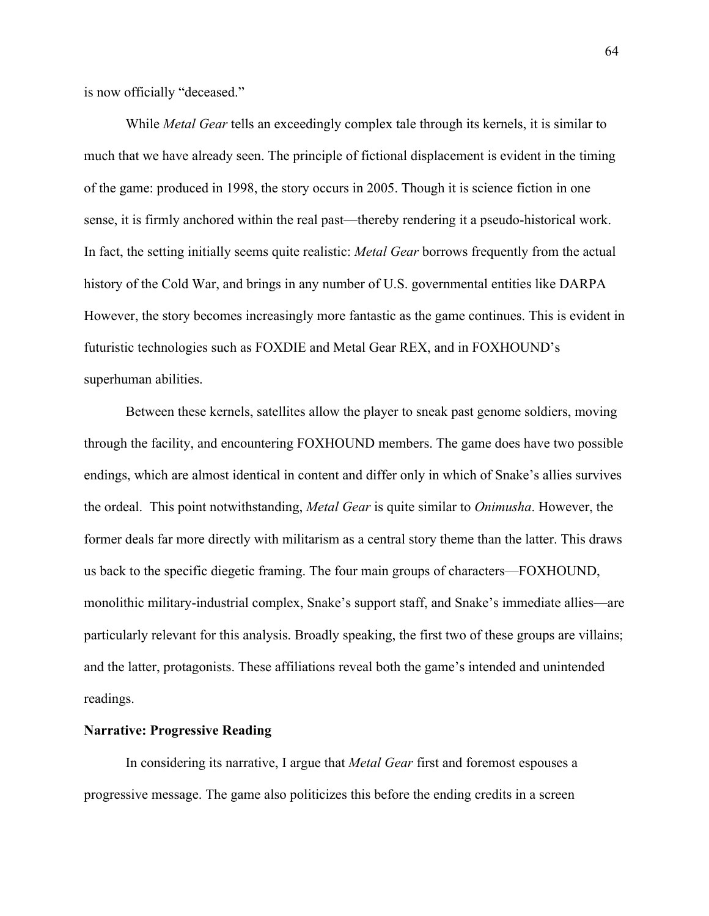is now officially "deceased."

While *Metal Gear* tells an exceedingly complex tale through its kernels, it is similar to much that we have already seen. The principle of fictional displacement is evident in the timing of the game: produced in 1998, the story occurs in 2005. Though it is science fiction in one sense, it is firmly anchored within the real past—thereby rendering it a pseudo-historical work. In fact, the setting initially seems quite realistic: *Metal Gear* borrows frequently from the actual history of the Cold War, and brings in any number of U.S. governmental entities like DARPA However, the story becomes increasingly more fantastic as the game continues. This is evident in futuristic technologies such as FOXDIE and Metal Gear REX, and in FOXHOUND's superhuman abilities.

Between these kernels, satellites allow the player to sneak past genome soldiers, moving through the facility, and encountering FOXHOUND members. The game does have two possible endings, which are almost identical in content and differ only in which of Snake's allies survives the ordeal. This point notwithstanding, *Metal Gear* is quite similar to *Onimusha*. However, the former deals far more directly with militarism as a central story theme than the latter. This draws us back to the specific diegetic framing. The four main groups of characters—FOXHOUND, monolithic military-industrial complex, Snake's support staff, and Snake's immediate allies—are particularly relevant for this analysis. Broadly speaking, the first two of these groups are villains; and the latter, protagonists. These affiliations reveal both the game's intended and unintended readings.

### **Narrative: Progressive Reading**

In considering its narrative, I argue that *Metal Gear* first and foremost espouses a progressive message. The game also politicizes this before the ending credits in a screen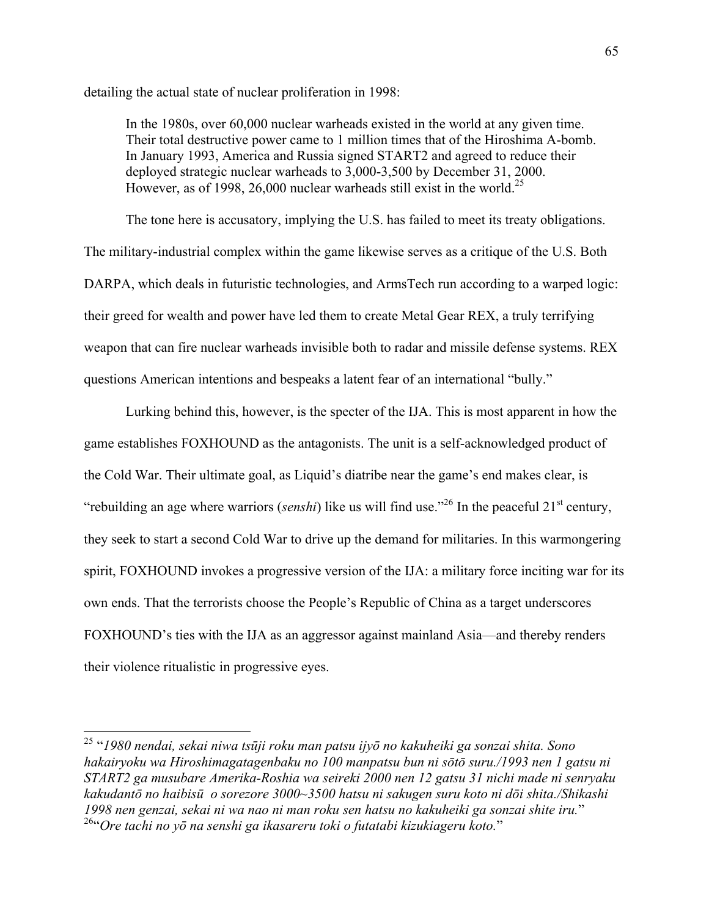detailing the actual state of nuclear proliferation in 1998:

In the 1980s, over 60,000 nuclear warheads existed in the world at any given time. Their total destructive power came to 1 million times that of the Hiroshima A-bomb. In January 1993, America and Russia signed START2 and agreed to reduce their deployed strategic nuclear warheads to 3,000-3,500 by December 31, 2000. However, as of 1998, 26,000 nuclear warheads still exist in the world.<sup>25</sup>

The tone here is accusatory, implying the U.S. has failed to meet its treaty obligations. The military-industrial complex within the game likewise serves as a critique of the U.S. Both DARPA, which deals in futuristic technologies, and ArmsTech run according to a warped logic: their greed for wealth and power have led them to create Metal Gear REX, a truly terrifying weapon that can fire nuclear warheads invisible both to radar and missile defense systems. REX questions American intentions and bespeaks a latent fear of an international "bully."

Lurking behind this, however, is the specter of the IJA. This is most apparent in how the game establishes FOXHOUND as the antagonists. The unit is a self-acknowledged product of the Cold War. Their ultimate goal, as Liquid's diatribe near the game's end makes clear, is "rebuilding an age where warriors (*senshi*) like us will find use."<sup>26</sup> In the peaceful 21<sup>st</sup> century, they seek to start a second Cold War to drive up the demand for militaries. In this warmongering spirit, FOXHOUND invokes a progressive version of the IJA: a military force inciting war for its own ends. That the terrorists choose the People's Republic of China as a target underscores FOXHOUND's ties with the IJA as an aggressor against mainland Asia—and thereby renders their violence ritualistic in progressive eyes.

 <sup>25</sup> "*1980 nendai, sekai niwa tsūji roku man patsu ijyō no kakuheiki ga sonzai shita. Sono hakairyoku wa Hiroshimagatagenbaku no 100 manpatsu bun ni sōtō suru./1993 nen 1 gatsu ni START2 ga musubare Amerika-Roshia wa seireki 2000 nen 12 gatsu 31 nichi made ni senryaku kakudantō no haibisū o sorezore 3000~3500 hatsu ni sakugen suru koto ni dōi shita./Shikashi 1998 nen genzai, sekai ni wa nao ni man roku sen hatsu no kakuheiki ga sonzai shite iru.*" 26"*Ore tachi no yō na senshi ga ikasareru toki o futatabi kizukiageru koto.*"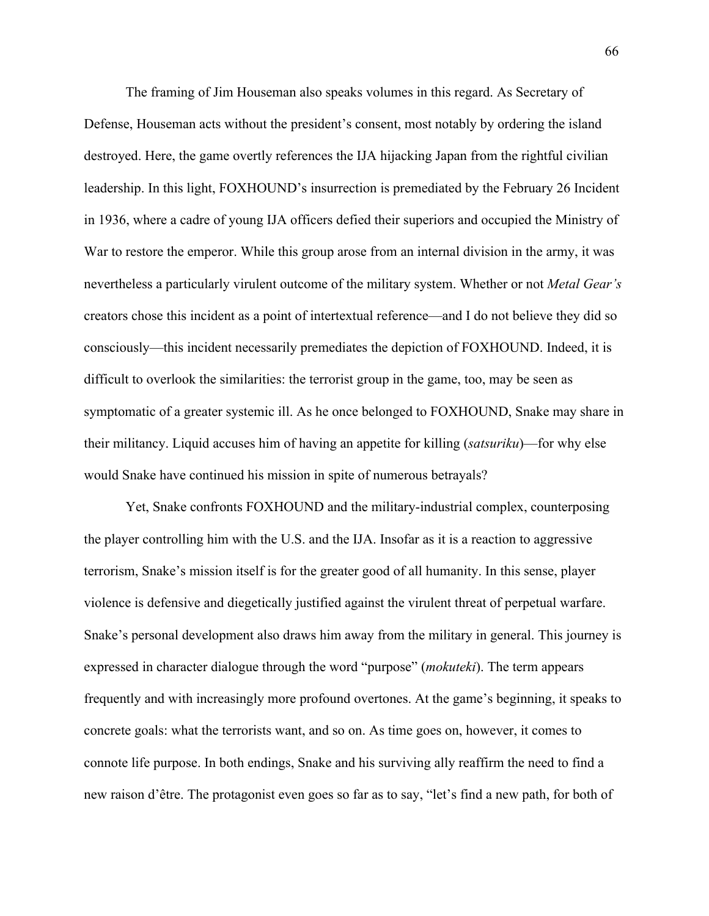The framing of Jim Houseman also speaks volumes in this regard. As Secretary of Defense, Houseman acts without the president's consent, most notably by ordering the island destroyed. Here, the game overtly references the IJA hijacking Japan from the rightful civilian leadership. In this light, FOXHOUND's insurrection is premediated by the February 26 Incident in 1936, where a cadre of young IJA officers defied their superiors and occupied the Ministry of War to restore the emperor. While this group arose from an internal division in the army, it was nevertheless a particularly virulent outcome of the military system. Whether or not *Metal Gear's*  creators chose this incident as a point of intertextual reference—and I do not believe they did so consciously—this incident necessarily premediates the depiction of FOXHOUND. Indeed, it is difficult to overlook the similarities: the terrorist group in the game, too, may be seen as symptomatic of a greater systemic ill. As he once belonged to FOXHOUND, Snake may share in their militancy. Liquid accuses him of having an appetite for killing (*satsuriku*)—for why else would Snake have continued his mission in spite of numerous betrayals?

Yet, Snake confronts FOXHOUND and the military-industrial complex, counterposing the player controlling him with the U.S. and the IJA. Insofar as it is a reaction to aggressive terrorism, Snake's mission itself is for the greater good of all humanity. In this sense, player violence is defensive and diegetically justified against the virulent threat of perpetual warfare. Snake's personal development also draws him away from the military in general. This journey is expressed in character dialogue through the word "purpose" (*mokuteki*). The term appears frequently and with increasingly more profound overtones. At the game's beginning, it speaks to concrete goals: what the terrorists want, and so on. As time goes on, however, it comes to connote life purpose. In both endings, Snake and his surviving ally reaffirm the need to find a new raison d'être. The protagonist even goes so far as to say, "let's find a new path, for both of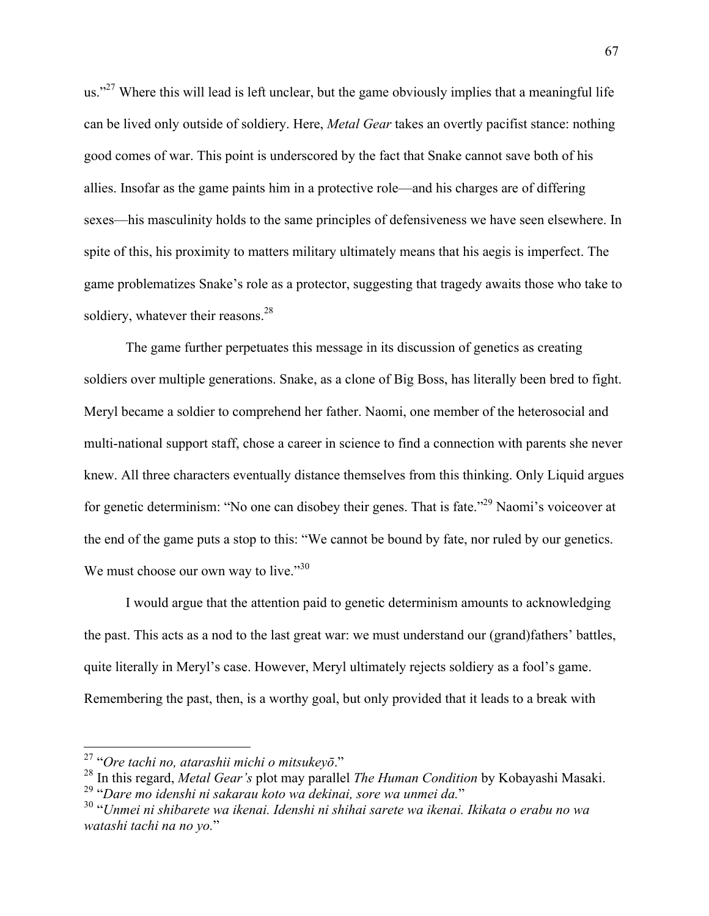us."<sup>27</sup> Where this will lead is left unclear, but the game obviously implies that a meaningful life can be lived only outside of soldiery. Here, *Metal Gear* takes an overtly pacifist stance: nothing good comes of war. This point is underscored by the fact that Snake cannot save both of his allies. Insofar as the game paints him in a protective role—and his charges are of differing sexes—his masculinity holds to the same principles of defensiveness we have seen elsewhere. In spite of this, his proximity to matters military ultimately means that his aegis is imperfect. The game problematizes Snake's role as a protector, suggesting that tragedy awaits those who take to soldiery, whatever their reasons. $^{28}$ 

The game further perpetuates this message in its discussion of genetics as creating soldiers over multiple generations. Snake, as a clone of Big Boss, has literally been bred to fight. Meryl became a soldier to comprehend her father. Naomi, one member of the heterosocial and multi-national support staff, chose a career in science to find a connection with parents she never knew. All three characters eventually distance themselves from this thinking. Only Liquid argues for genetic determinism: "No one can disobey their genes. That is fate."<sup>29</sup> Naomi's voiceover at the end of the game puts a stop to this: "We cannot be bound by fate, nor ruled by our genetics. We must choose our own way to live."<sup>30</sup>

I would argue that the attention paid to genetic determinism amounts to acknowledging the past. This acts as a nod to the last great war: we must understand our (grand)fathers' battles, quite literally in Meryl's case. However, Meryl ultimately rejects soldiery as a fool's game. Remembering the past, then, is a worthy goal, but only provided that it leads to a break with

 <sup>27</sup> "*Ore tachi no, atarashii michi o mitsukeyō*."

<sup>28</sup> In this regard, *Metal Gear's* plot may parallel *The Human Condition* by Kobayashi Masaki.

<sup>&</sup>lt;sup>30</sup> "Unmei ni shibarete wa ikenai. Idenshi ni shihai sarete wa ikenai. Ikikata o erabu no wa *watashi tachi na no yo.*"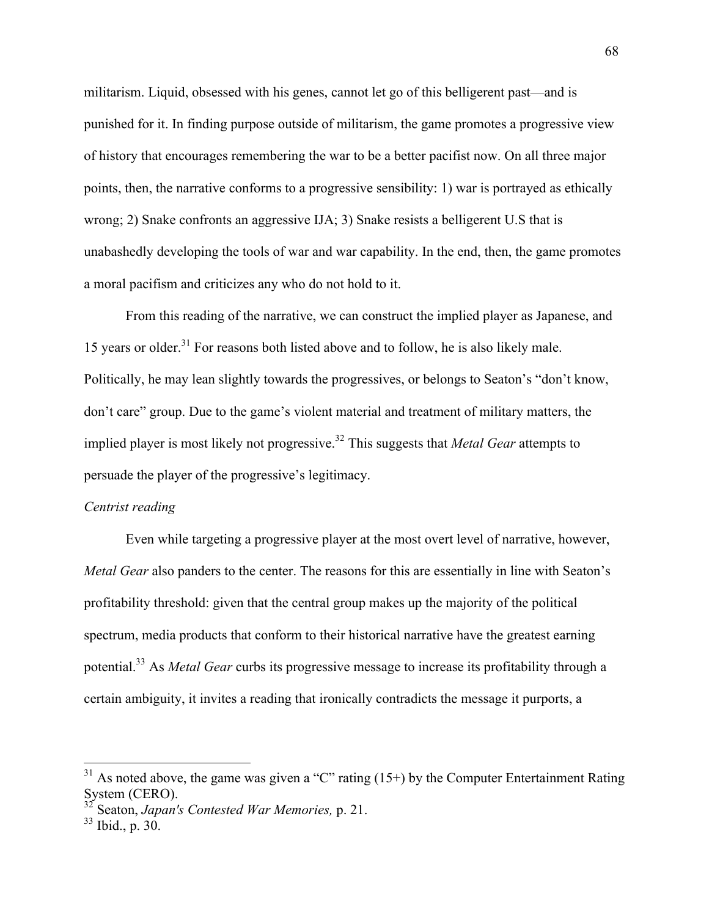militarism. Liquid, obsessed with his genes, cannot let go of this belligerent past—and is punished for it. In finding purpose outside of militarism, the game promotes a progressive view of history that encourages remembering the war to be a better pacifist now. On all three major points, then, the narrative conforms to a progressive sensibility: 1) war is portrayed as ethically wrong; 2) Snake confronts an aggressive IJA; 3) Snake resists a belligerent U.S that is unabashedly developing the tools of war and war capability. In the end, then, the game promotes a moral pacifism and criticizes any who do not hold to it.

From this reading of the narrative, we can construct the implied player as Japanese, and 15 years or older.<sup>31</sup> For reasons both listed above and to follow, he is also likely male. Politically, he may lean slightly towards the progressives, or belongs to Seaton's "don't know, don't care" group. Due to the game's violent material and treatment of military matters, the implied player is most likely not progressive.<sup>32</sup> This suggests that *Metal Gear* attempts to persuade the player of the progressive's legitimacy.

### *Centrist reading*

Even while targeting a progressive player at the most overt level of narrative, however, *Metal Gear* also panders to the center. The reasons for this are essentially in line with Seaton's profitability threshold: given that the central group makes up the majority of the political spectrum, media products that conform to their historical narrative have the greatest earning potential.33 As *Metal Gear* curbs its progressive message to increase its profitability through a certain ambiguity, it invites a reading that ironically contradicts the message it purports, a

 $31$  As noted above, the game was given a "C" rating (15+) by the Computer Entertainment Rating System (CERO).

<sup>32</sup> Seaton, *Japan's Contested War Memories,* p. 21.

<sup>33</sup> Ibid., p. 30.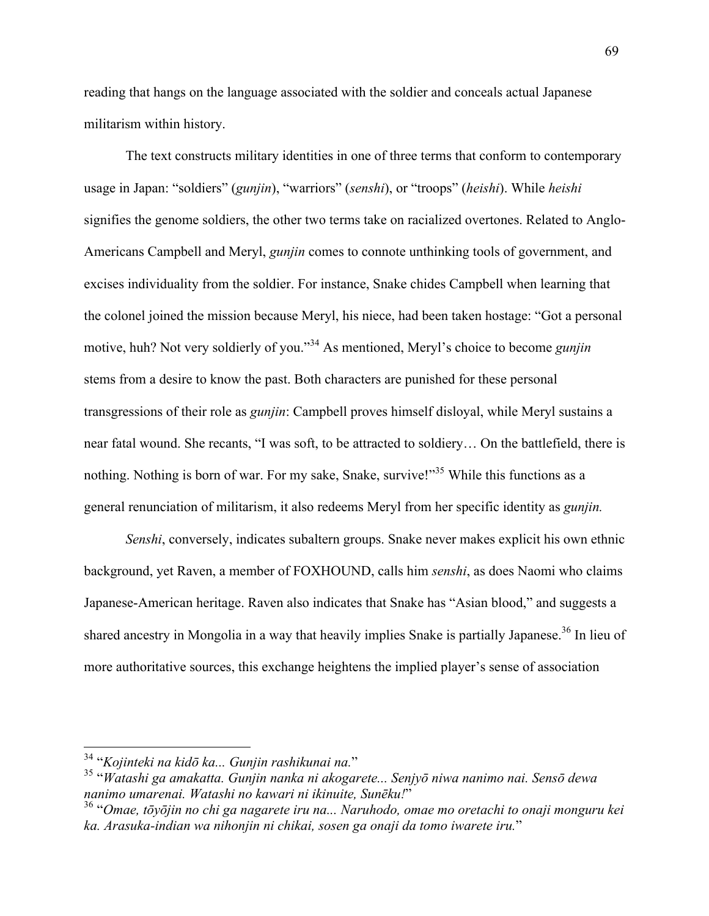reading that hangs on the language associated with the soldier and conceals actual Japanese militarism within history.

The text constructs military identities in one of three terms that conform to contemporary usage in Japan: "soldiers" (*gunjin*), "warriors" (*senshi*), or "troops" (*heishi*). While *heishi*  signifies the genome soldiers, the other two terms take on racialized overtones. Related to Anglo-Americans Campbell and Meryl, *gunjin* comes to connote unthinking tools of government, and excises individuality from the soldier. For instance, Snake chides Campbell when learning that the colonel joined the mission because Meryl, his niece, had been taken hostage: "Got a personal motive, huh? Not very soldierly of you."<sup>34</sup> As mentioned, Meryl's choice to become *gunjin*  stems from a desire to know the past. Both characters are punished for these personal transgressions of their role as *gunjin*: Campbell proves himself disloyal, while Meryl sustains a near fatal wound. She recants, "I was soft, to be attracted to soldiery… On the battlefield, there is nothing. Nothing is born of war. For my sake, Snake, survive!"<sup>35</sup> While this functions as a general renunciation of militarism, it also redeems Meryl from her specific identity as *gunjin.*

*Senshi*, conversely, indicates subaltern groups. Snake never makes explicit his own ethnic background, yet Raven, a member of FOXHOUND, calls him *senshi*, as does Naomi who claims Japanese-American heritage. Raven also indicates that Snake has "Asian blood," and suggests a shared ancestry in Mongolia in a way that heavily implies Snake is partially Japanese.<sup>36</sup> In lieu of more authoritative sources, this exchange heightens the implied player's sense of association

<sup>34</sup> "*Kojinteki na kidō ka... Gunjin rashikunai na.*" <sup>35</sup> "*Watashi ga amakatta. Gunjin nanka ni akogarete... Senjyō niwa nanimo nai. Sensō dewa nanimo umarenai. Watashi no kawari ni ikinuite, Sunēku!*" <sup>36</sup> "*Omae, tōyōjin no chi ga nagarete iru na... Naruhodo, omae mo oretachi to onaji monguru kei* 

*ka. Arasuka-indian wa nihonjin ni chikai, sosen ga onaji da tomo iwarete iru.*"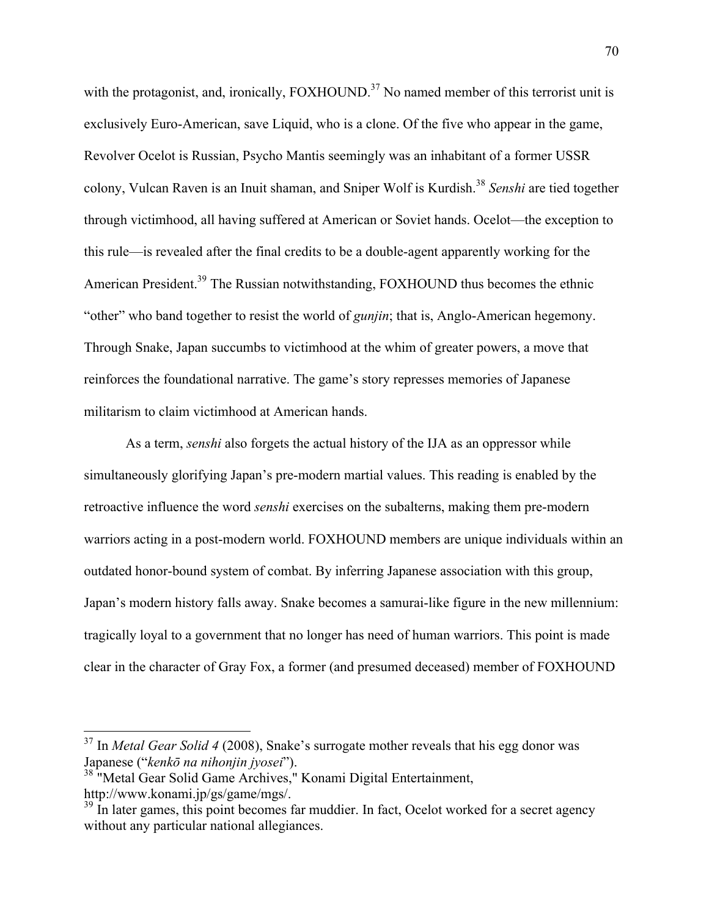with the protagonist, and, ironically,  $FOXHOUND<sup>37</sup>$  No named member of this terrorist unit is exclusively Euro-American, save Liquid, who is a clone. Of the five who appear in the game, Revolver Ocelot is Russian, Psycho Mantis seemingly was an inhabitant of a former USSR colony, Vulcan Raven is an Inuit shaman, and Sniper Wolf is Kurdish.<sup>38</sup> *Senshi* are tied together through victimhood, all having suffered at American or Soviet hands. Ocelot—the exception to this rule—is revealed after the final credits to be a double-agent apparently working for the American President.<sup>39</sup> The Russian notwithstanding, FOXHOUND thus becomes the ethnic "other" who band together to resist the world of *gunjin*; that is, Anglo-American hegemony. Through Snake, Japan succumbs to victimhood at the whim of greater powers, a move that reinforces the foundational narrative. The game's story represses memories of Japanese militarism to claim victimhood at American hands.

As a term, *senshi* also forgets the actual history of the IJA as an oppressor while simultaneously glorifying Japan's pre-modern martial values. This reading is enabled by the retroactive influence the word *senshi* exercises on the subalterns, making them pre-modern warriors acting in a post-modern world. FOXHOUND members are unique individuals within an outdated honor-bound system of combat. By inferring Japanese association with this group, Japan's modern history falls away. Snake becomes a samurai-like figure in the new millennium: tragically loyal to a government that no longer has need of human warriors. This point is made clear in the character of Gray Fox, a former (and presumed deceased) member of FOXHOUND

 <sup>37</sup> In *Metal Gear Solid 4* (2008), Snake's surrogate mother reveals that his egg donor was Japanese ("*kenkō na nihonjin jyosei*").

<sup>&</sup>lt;sup>38</sup> "Metal Gear Solid Game Archives," Konami Digital Entertainment, http://www.konami.jp/gs/game/mgs/.

 $39 \text{ In later games, this point becomes far muddier. In fact, Ocelot worked for a secret agency}$ without any particular national allegiances.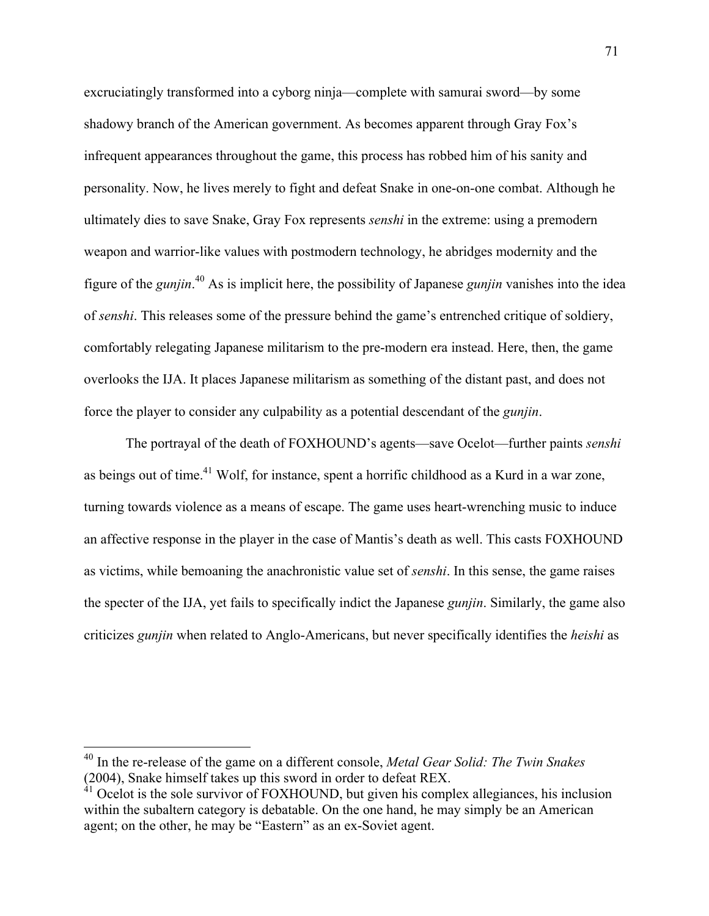excruciatingly transformed into a cyborg ninja—complete with samurai sword—by some shadowy branch of the American government. As becomes apparent through Gray Fox's infrequent appearances throughout the game, this process has robbed him of his sanity and personality. Now, he lives merely to fight and defeat Snake in one-on-one combat. Although he ultimately dies to save Snake, Gray Fox represents *senshi* in the extreme: using a premodern weapon and warrior-like values with postmodern technology, he abridges modernity and the figure of the *gunjin*. <sup>40</sup> As is implicit here, the possibility of Japanese *gunjin* vanishes into the idea of *senshi*. This releases some of the pressure behind the game's entrenched critique of soldiery, comfortably relegating Japanese militarism to the pre-modern era instead. Here, then, the game overlooks the IJA. It places Japanese militarism as something of the distant past, and does not force the player to consider any culpability as a potential descendant of the *gunjin*.

The portrayal of the death of FOXHOUND's agents—save Ocelot—further paints *senshi*  as beings out of time.<sup>41</sup> Wolf, for instance, spent a horrific childhood as a Kurd in a war zone, turning towards violence as a means of escape. The game uses heart-wrenching music to induce an affective response in the player in the case of Mantis's death as well. This casts FOXHOUND as victims, while bemoaning the anachronistic value set of *senshi*. In this sense, the game raises the specter of the IJA, yet fails to specifically indict the Japanese *gunjin*. Similarly, the game also criticizes *gunjin* when related to Anglo-Americans, but never specifically identifies the *heishi* as

 <sup>40</sup> In the re-release of the game on a different console, *Metal Gear Solid: The Twin Snakes*  (2004), Snake himself takes up this sword in order to defeat REX.

 $41$  Ocelot is the sole survivor of FOXHOUND, but given his complex allegiances, his inclusion within the subaltern category is debatable. On the one hand, he may simply be an American agent; on the other, he may be "Eastern" as an ex-Soviet agent.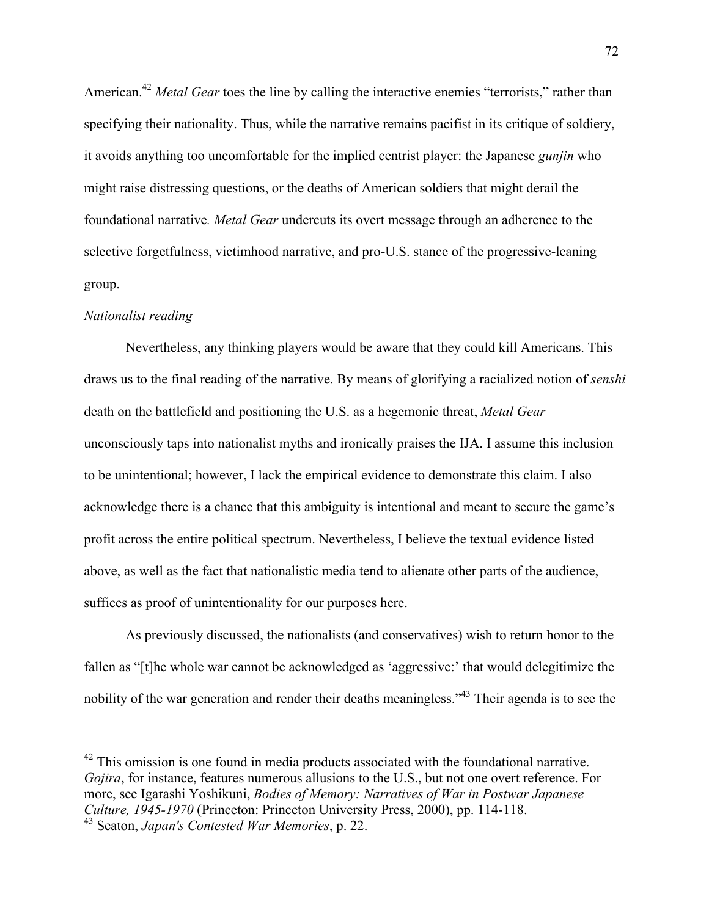American.<sup>42</sup> *Metal Gear* toes the line by calling the interactive enemies "terrorists," rather than specifying their nationality. Thus, while the narrative remains pacifist in its critique of soldiery, it avoids anything too uncomfortable for the implied centrist player: the Japanese *gunjin* who might raise distressing questions, or the deaths of American soldiers that might derail the foundational narrative*. Metal Gear* undercuts its overt message through an adherence to the selective forgetfulness, victimhood narrative, and pro-U.S. stance of the progressive-leaning group.

## *Nationalist reading*

Nevertheless, any thinking players would be aware that they could kill Americans. This draws us to the final reading of the narrative. By means of glorifying a racialized notion of *senshi* death on the battlefield and positioning the U.S. as a hegemonic threat, *Metal Gear*  unconsciously taps into nationalist myths and ironically praises the IJA. I assume this inclusion to be unintentional; however, I lack the empirical evidence to demonstrate this claim. I also acknowledge there is a chance that this ambiguity is intentional and meant to secure the game's profit across the entire political spectrum. Nevertheless, I believe the textual evidence listed above, as well as the fact that nationalistic media tend to alienate other parts of the audience, suffices as proof of unintentionality for our purposes here.

As previously discussed, the nationalists (and conservatives) wish to return honor to the fallen as "[t]he whole war cannot be acknowledged as 'aggressive:' that would delegitimize the nobility of the war generation and render their deaths meaningless."<sup>43</sup> Their agenda is to see the

<sup>&</sup>lt;sup>42</sup> This omission is one found in media products associated with the foundational narrative. *Gojira*, for instance, features numerous allusions to the U.S., but not one overt reference. For more, see Igarashi Yoshikuni, *Bodies of Memory: Narratives of War in Postwar Japanese Culture, 1945-1970* (Princeton: Princeton University Press, 2000), pp. 114-118.

<sup>43</sup> Seaton, *Japan's Contested War Memories*, p. 22.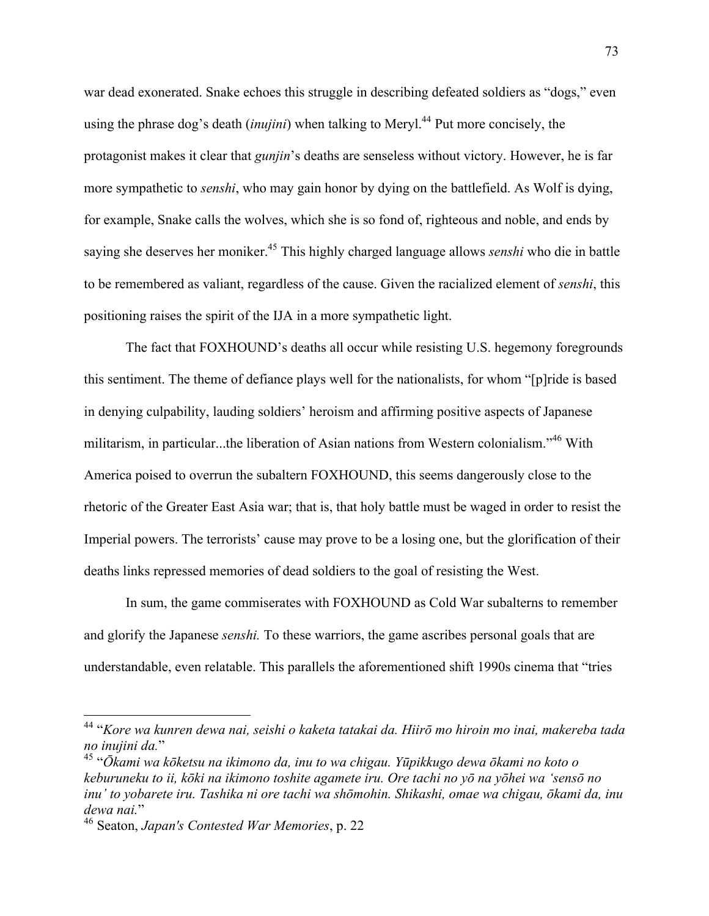war dead exonerated. Snake echoes this struggle in describing defeated soldiers as "dogs," even using the phrase dog's death *(inujini)* when talking to Meryl.<sup>44</sup> Put more concisely, the protagonist makes it clear that *gunjin*'s deaths are senseless without victory. However, he is far more sympathetic to *senshi*, who may gain honor by dying on the battlefield. As Wolf is dying, for example, Snake calls the wolves, which she is so fond of, righteous and noble, and ends by saying she deserves her moniker.45 This highly charged language allows *senshi* who die in battle to be remembered as valiant, regardless of the cause. Given the racialized element of *senshi*, this positioning raises the spirit of the IJA in a more sympathetic light.

The fact that FOXHOUND's deaths all occur while resisting U.S. hegemony foregrounds this sentiment. The theme of defiance plays well for the nationalists, for whom "[p]ride is based in denying culpability, lauding soldiers' heroism and affirming positive aspects of Japanese militarism, in particular...the liberation of Asian nations from Western colonialism."<sup>46</sup> With America poised to overrun the subaltern FOXHOUND, this seems dangerously close to the rhetoric of the Greater East Asia war; that is, that holy battle must be waged in order to resist the Imperial powers. The terrorists' cause may prove to be a losing one, but the glorification of their deaths links repressed memories of dead soldiers to the goal of resisting the West.

In sum, the game commiserates with FOXHOUND as Cold War subalterns to remember and glorify the Japanese *senshi.* To these warriors, the game ascribes personal goals that are understandable, even relatable. This parallels the aforementioned shift 1990s cinema that "tries

 <sup>44</sup> "*Kore wa kunren dewa nai, seishi o kaketa tatakai da. Hiirō mo hiroin mo inai, makereba tada no inujini da.*" <sup>45</sup> "*Ōkami wa kōketsu na ikimono da, inu to wa chigau. Yūpikkugo dewa ōkami no koto o* 

*keburuneku to ii, kōki na ikimono toshite agamete iru. Ore tachi no yō na yōhei wa 'sensō no inu' to yobarete iru. Tashika ni ore tachi wa shōmohin. Shikashi, omae wa chigau, ōkami da, inu dewa nai.*"

<sup>46</sup> Seaton, *Japan's Contested War Memories*, p. 22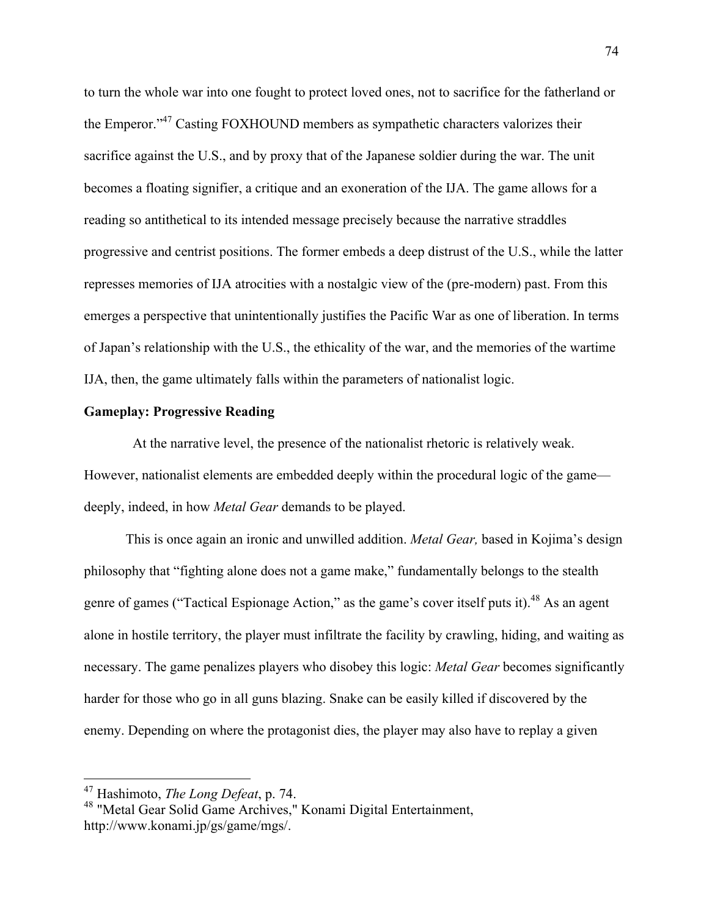to turn the whole war into one fought to protect loved ones, not to sacrifice for the fatherland or the Emperor."<sup>47</sup> Casting FOXHOUND members as sympathetic characters valorizes their sacrifice against the U.S., and by proxy that of the Japanese soldier during the war. The unit becomes a floating signifier, a critique and an exoneration of the IJA. The game allows for a reading so antithetical to its intended message precisely because the narrative straddles progressive and centrist positions. The former embeds a deep distrust of the U.S., while the latter represses memories of IJA atrocities with a nostalgic view of the (pre-modern) past. From this emerges a perspective that unintentionally justifies the Pacific War as one of liberation. In terms of Japan's relationship with the U.S., the ethicality of the war, and the memories of the wartime IJA, then, the game ultimately falls within the parameters of nationalist logic.

## **Gameplay: Progressive Reading**

At the narrative level, the presence of the nationalist rhetoric is relatively weak. However, nationalist elements are embedded deeply within the procedural logic of the game deeply, indeed, in how *Metal Gear* demands to be played.

This is once again an ironic and unwilled addition. *Metal Gear,* based in Kojima's design philosophy that "fighting alone does not a game make," fundamentally belongs to the stealth genre of games ("Tactical Espionage Action," as the game's cover itself puts it).<sup>48</sup> As an agent alone in hostile territory, the player must infiltrate the facility by crawling, hiding, and waiting as necessary. The game penalizes players who disobey this logic: *Metal Gear* becomes significantly harder for those who go in all guns blazing. Snake can be easily killed if discovered by the enemy. Depending on where the protagonist dies, the player may also have to replay a given

 <sup>47</sup> Hashimoto, *The Long Defeat*, p. 74.

<sup>48</sup> "Metal Gear Solid Game Archives," Konami Digital Entertainment, http://www.konami.jp/gs/game/mgs/.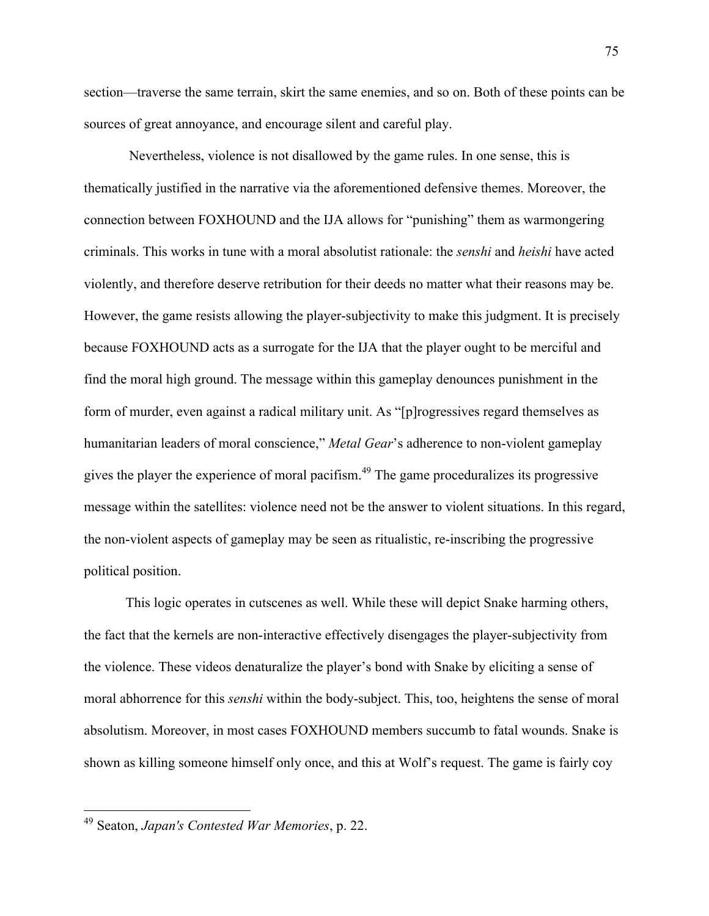section—traverse the same terrain, skirt the same enemies, and so on. Both of these points can be sources of great annoyance, and encourage silent and careful play.

Nevertheless, violence is not disallowed by the game rules. In one sense, this is thematically justified in the narrative via the aforementioned defensive themes. Moreover, the connection between FOXHOUND and the IJA allows for "punishing" them as warmongering criminals. This works in tune with a moral absolutist rationale: the *senshi* and *heishi* have acted violently, and therefore deserve retribution for their deeds no matter what their reasons may be. However, the game resists allowing the player-subjectivity to make this judgment. It is precisely because FOXHOUND acts as a surrogate for the IJA that the player ought to be merciful and find the moral high ground. The message within this gameplay denounces punishment in the form of murder, even against a radical military unit. As "[p]rogressives regard themselves as humanitarian leaders of moral conscience," *Metal Gear*'s adherence to non-violent gameplay gives the player the experience of moral pacifism.<sup>49</sup> The game proceduralizes its progressive message within the satellites: violence need not be the answer to violent situations. In this regard, the non-violent aspects of gameplay may be seen as ritualistic, re-inscribing the progressive political position.

This logic operates in cutscenes as well. While these will depict Snake harming others, the fact that the kernels are non-interactive effectively disengages the player-subjectivity from the violence. These videos denaturalize the player's bond with Snake by eliciting a sense of moral abhorrence for this *senshi* within the body-subject. This, too, heightens the sense of moral absolutism. Moreover, in most cases FOXHOUND members succumb to fatal wounds. Snake is shown as killing someone himself only once, and this at Wolf's request. The game is fairly coy

 <sup>49</sup> Seaton, *Japan's Contested War Memories*, p. 22.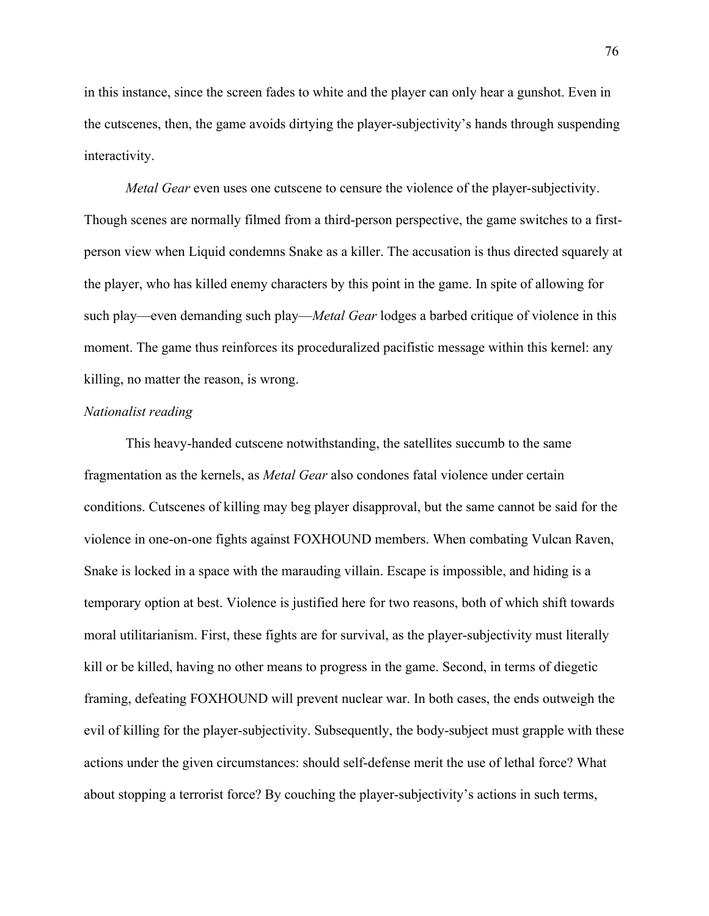in this instance, since the screen fades to white and the player can only hear a gunshot. Even in the cutscenes, then, the game avoids dirtying the player-subjectivity's hands through suspending interactivity.

*Metal Gear* even uses one cutscene to censure the violence of the player-subjectivity. Though scenes are normally filmed from a third-person perspective, the game switches to a firstperson view when Liquid condemns Snake as a killer. The accusation is thus directed squarely at the player, who has killed enemy characters by this point in the game. In spite of allowing for such play—even demanding such play—*Metal Gear* lodges a barbed critique of violence in this moment. The game thus reinforces its proceduralized pacifistic message within this kernel: any killing, no matter the reason, is wrong.

#### *Nationalist reading*

This heavy-handed cutscene notwithstanding, the satellites succumb to the same fragmentation as the kernels, as *Metal Gear* also condones fatal violence under certain conditions. Cutscenes of killing may beg player disapproval, but the same cannot be said for the violence in one-on-one fights against FOXHOUND members. When combating Vulcan Raven, Snake is locked in a space with the marauding villain. Escape is impossible, and hiding is a temporary option at best. Violence is justified here for two reasons, both of which shift towards moral utilitarianism. First, these fights are for survival, as the player-subjectivity must literally kill or be killed, having no other means to progress in the game. Second, in terms of diegetic framing, defeating FOXHOUND will prevent nuclear war. In both cases, the ends outweigh the evil of killing for the player-subjectivity. Subsequently, the body-subject must grapple with these actions under the given circumstances: should self-defense merit the use of lethal force? What about stopping a terrorist force? By couching the player-subjectivity's actions in such terms,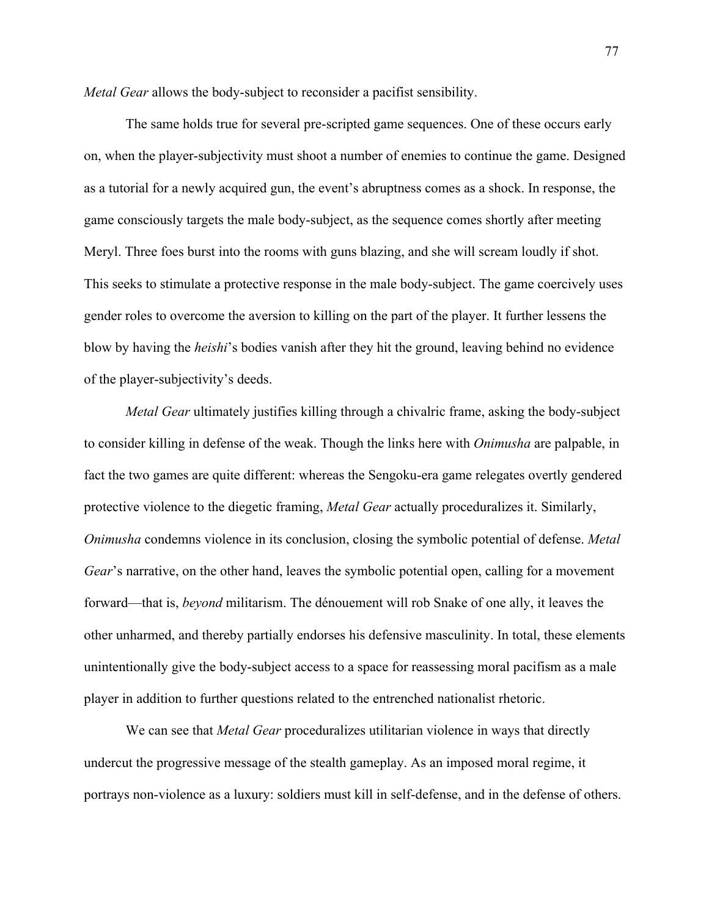*Metal Gear* allows the body-subject to reconsider a pacifist sensibility.

The same holds true for several pre-scripted game sequences. One of these occurs early on, when the player-subjectivity must shoot a number of enemies to continue the game. Designed as a tutorial for a newly acquired gun, the event's abruptness comes as a shock. In response, the game consciously targets the male body-subject, as the sequence comes shortly after meeting Meryl. Three foes burst into the rooms with guns blazing, and she will scream loudly if shot. This seeks to stimulate a protective response in the male body-subject. The game coercively uses gender roles to overcome the aversion to killing on the part of the player. It further lessens the blow by having the *heishi*'s bodies vanish after they hit the ground, leaving behind no evidence of the player-subjectivity's deeds.

*Metal Gear* ultimately justifies killing through a chivalric frame, asking the body-subject to consider killing in defense of the weak. Though the links here with *Onimusha* are palpable, in fact the two games are quite different: whereas the Sengoku-era game relegates overtly gendered protective violence to the diegetic framing, *Metal Gear* actually proceduralizes it. Similarly, *Onimusha* condemns violence in its conclusion, closing the symbolic potential of defense. *Metal Gear*'s narrative, on the other hand, leaves the symbolic potential open, calling for a movement forward—that is, *beyond* militarism. The dénouement will rob Snake of one ally, it leaves the other unharmed, and thereby partially endorses his defensive masculinity. In total, these elements unintentionally give the body-subject access to a space for reassessing moral pacifism as a male player in addition to further questions related to the entrenched nationalist rhetoric.

We can see that *Metal Gear* proceduralizes utilitarian violence in ways that directly undercut the progressive message of the stealth gameplay. As an imposed moral regime, it portrays non-violence as a luxury: soldiers must kill in self-defense, and in the defense of others.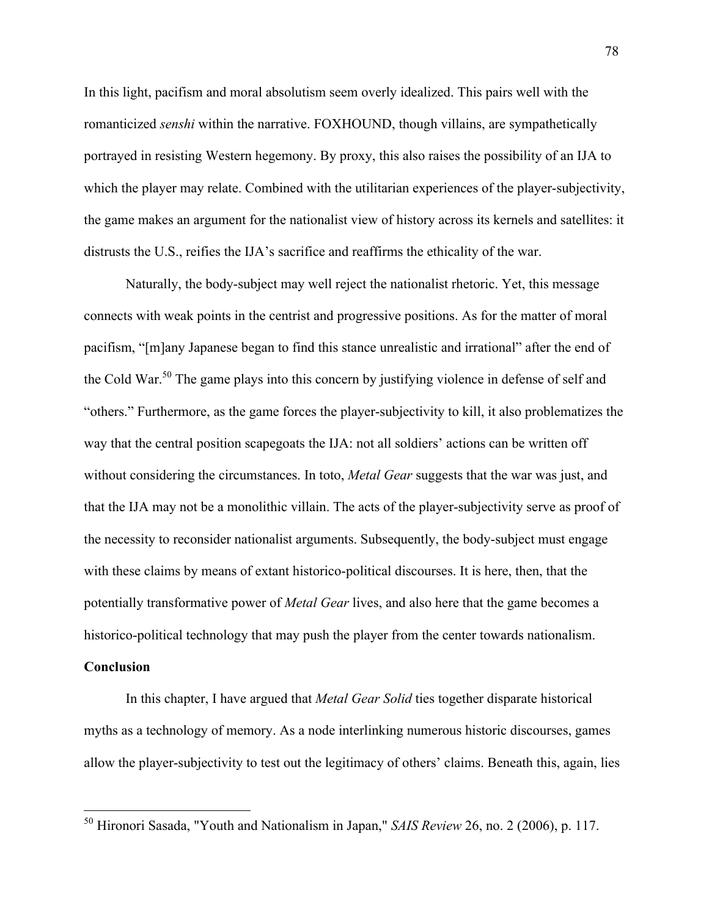In this light, pacifism and moral absolutism seem overly idealized. This pairs well with the romanticized *senshi* within the narrative. FOXHOUND, though villains, are sympathetically portrayed in resisting Western hegemony. By proxy, this also raises the possibility of an IJA to which the player may relate. Combined with the utilitarian experiences of the player-subjectivity, the game makes an argument for the nationalist view of history across its kernels and satellites: it distrusts the U.S., reifies the IJA's sacrifice and reaffirms the ethicality of the war.

Naturally, the body-subject may well reject the nationalist rhetoric. Yet, this message connects with weak points in the centrist and progressive positions. As for the matter of moral pacifism, "[m]any Japanese began to find this stance unrealistic and irrational" after the end of the Cold War.<sup>50</sup> The game plays into this concern by justifying violence in defense of self and "others." Furthermore, as the game forces the player-subjectivity to kill, it also problematizes the way that the central position scapegoats the IJA: not all soldiers' actions can be written off without considering the circumstances. In toto, *Metal Gear* suggests that the war was just, and that the IJA may not be a monolithic villain. The acts of the player-subjectivity serve as proof of the necessity to reconsider nationalist arguments. Subsequently, the body-subject must engage with these claims by means of extant historico-political discourses. It is here, then, that the potentially transformative power of *Metal Gear* lives, and also here that the game becomes a historico-political technology that may push the player from the center towards nationalism.

## **Conclusion**

In this chapter, I have argued that *Metal Gear Solid* ties together disparate historical myths as a technology of memory. As a node interlinking numerous historic discourses, games allow the player-subjectivity to test out the legitimacy of others' claims. Beneath this, again, lies

 <sup>50</sup> Hironori Sasada, "Youth and Nationalism in Japan," *SAIS Review* 26, no. 2 (2006), p. 117.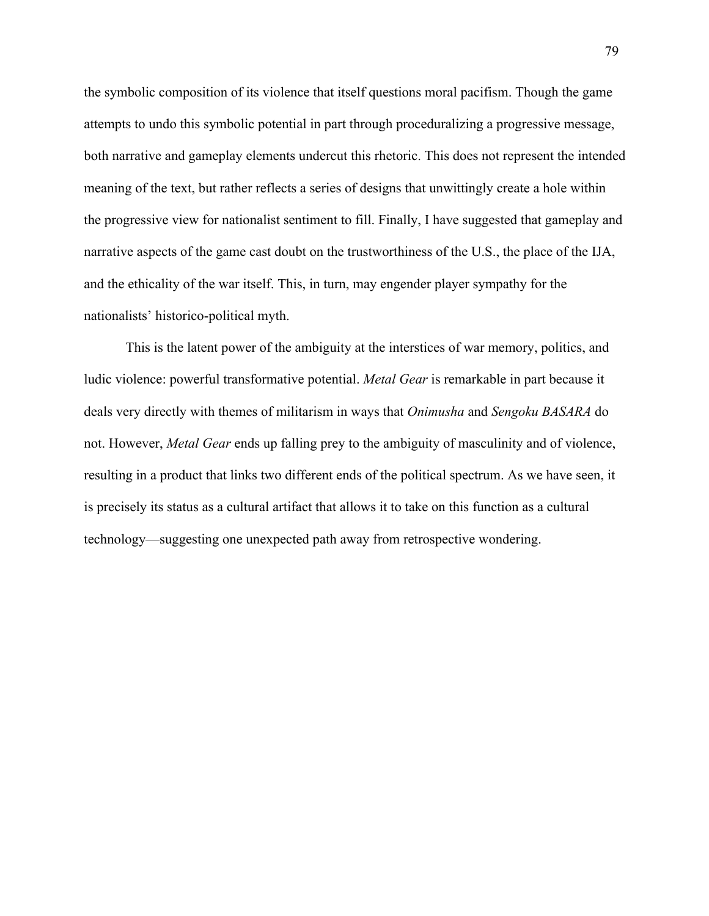the symbolic composition of its violence that itself questions moral pacifism. Though the game attempts to undo this symbolic potential in part through proceduralizing a progressive message, both narrative and gameplay elements undercut this rhetoric. This does not represent the intended meaning of the text, but rather reflects a series of designs that unwittingly create a hole within the progressive view for nationalist sentiment to fill. Finally, I have suggested that gameplay and narrative aspects of the game cast doubt on the trustworthiness of the U.S., the place of the IJA, and the ethicality of the war itself. This, in turn, may engender player sympathy for the nationalists' historico-political myth.

This is the latent power of the ambiguity at the interstices of war memory, politics, and ludic violence: powerful transformative potential. *Metal Gear* is remarkable in part because it deals very directly with themes of militarism in ways that *Onimusha* and *Sengoku BASARA* do not. However, *Metal Gear* ends up falling prey to the ambiguity of masculinity and of violence, resulting in a product that links two different ends of the political spectrum. As we have seen, it is precisely its status as a cultural artifact that allows it to take on this function as a cultural technology—suggesting one unexpected path away from retrospective wondering.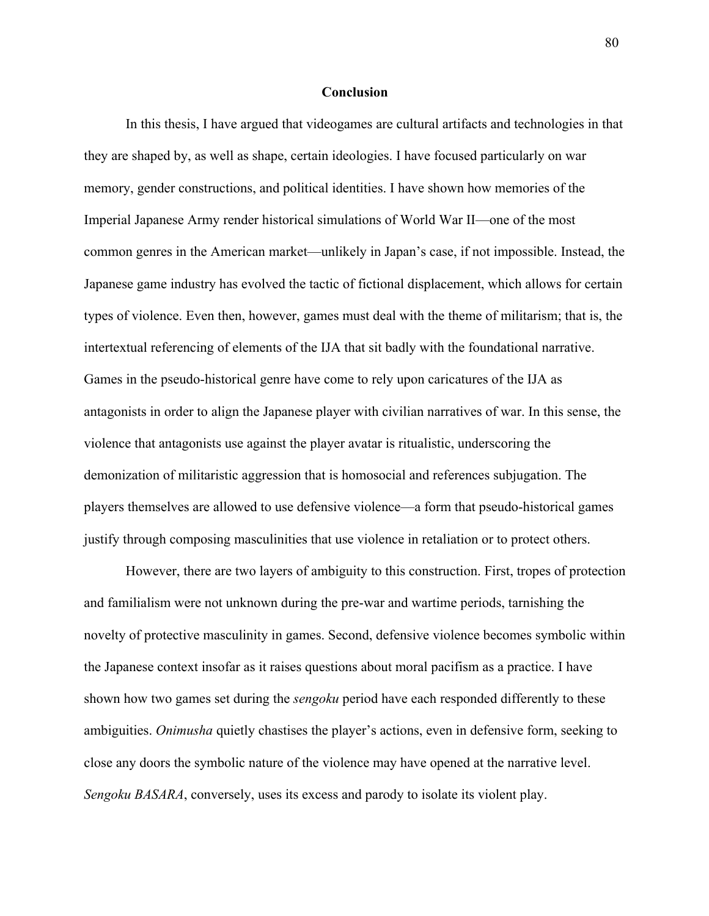### **Conclusion**

In this thesis, I have argued that videogames are cultural artifacts and technologies in that they are shaped by, as well as shape, certain ideologies. I have focused particularly on war memory, gender constructions, and political identities. I have shown how memories of the Imperial Japanese Army render historical simulations of World War II—one of the most common genres in the American market—unlikely in Japan's case, if not impossible. Instead, the Japanese game industry has evolved the tactic of fictional displacement, which allows for certain types of violence. Even then, however, games must deal with the theme of militarism; that is, the intertextual referencing of elements of the IJA that sit badly with the foundational narrative. Games in the pseudo-historical genre have come to rely upon caricatures of the IJA as antagonists in order to align the Japanese player with civilian narratives of war. In this sense, the violence that antagonists use against the player avatar is ritualistic, underscoring the demonization of militaristic aggression that is homosocial and references subjugation. The players themselves are allowed to use defensive violence—a form that pseudo-historical games justify through composing masculinities that use violence in retaliation or to protect others.

However, there are two layers of ambiguity to this construction. First, tropes of protection and familialism were not unknown during the pre-war and wartime periods, tarnishing the novelty of protective masculinity in games. Second, defensive violence becomes symbolic within the Japanese context insofar as it raises questions about moral pacifism as a practice. I have shown how two games set during the *sengoku* period have each responded differently to these ambiguities. *Onimusha* quietly chastises the player's actions, even in defensive form, seeking to close any doors the symbolic nature of the violence may have opened at the narrative level. *Sengoku BASARA*, conversely, uses its excess and parody to isolate its violent play.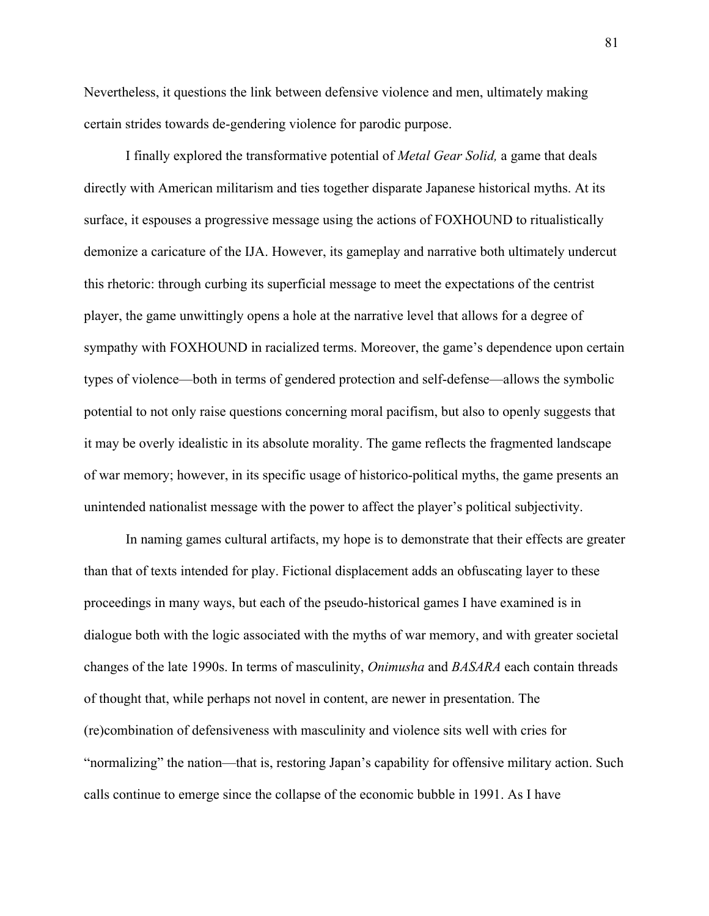Nevertheless, it questions the link between defensive violence and men, ultimately making certain strides towards de-gendering violence for parodic purpose.

I finally explored the transformative potential of *Metal Gear Solid,* a game that deals directly with American militarism and ties together disparate Japanese historical myths. At its surface, it espouses a progressive message using the actions of FOXHOUND to ritualistically demonize a caricature of the IJA. However, its gameplay and narrative both ultimately undercut this rhetoric: through curbing its superficial message to meet the expectations of the centrist player, the game unwittingly opens a hole at the narrative level that allows for a degree of sympathy with FOXHOUND in racialized terms. Moreover, the game's dependence upon certain types of violence—both in terms of gendered protection and self-defense—allows the symbolic potential to not only raise questions concerning moral pacifism, but also to openly suggests that it may be overly idealistic in its absolute morality. The game reflects the fragmented landscape of war memory; however, in its specific usage of historico-political myths, the game presents an unintended nationalist message with the power to affect the player's political subjectivity.

In naming games cultural artifacts, my hope is to demonstrate that their effects are greater than that of texts intended for play. Fictional displacement adds an obfuscating layer to these proceedings in many ways, but each of the pseudo-historical games I have examined is in dialogue both with the logic associated with the myths of war memory, and with greater societal changes of the late 1990s. In terms of masculinity, *Onimusha* and *BASARA* each contain threads of thought that, while perhaps not novel in content, are newer in presentation. The (re)combination of defensiveness with masculinity and violence sits well with cries for "normalizing" the nation—that is, restoring Japan's capability for offensive military action. Such calls continue to emerge since the collapse of the economic bubble in 1991. As I have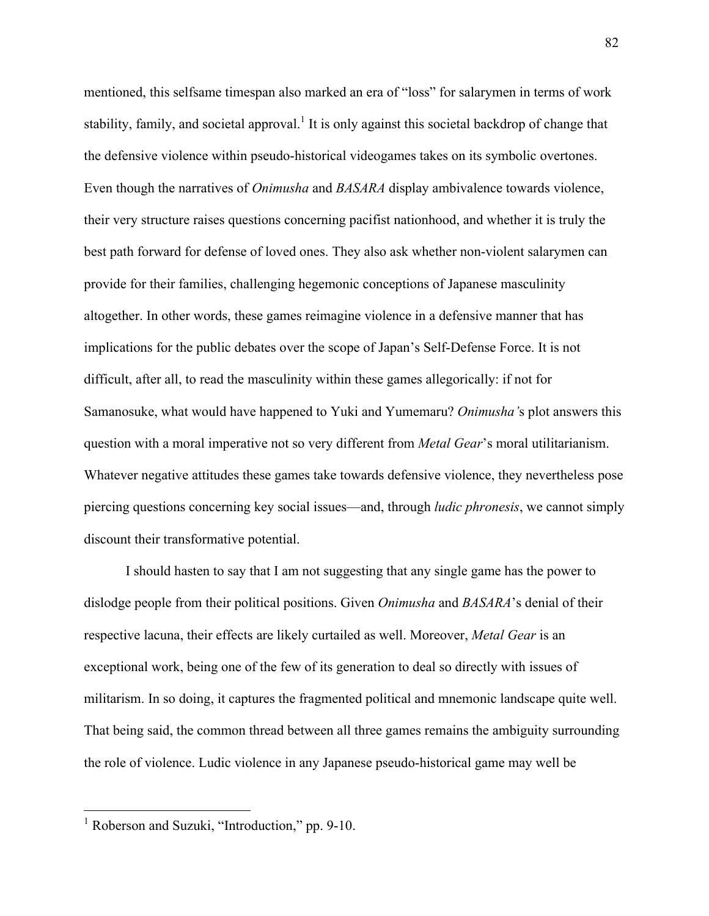mentioned, this selfsame timespan also marked an era of "loss" for salarymen in terms of work stability, family, and societal approval.<sup>1</sup> It is only against this societal backdrop of change that the defensive violence within pseudo-historical videogames takes on its symbolic overtones. Even though the narratives of *Onimusha* and *BASARA* display ambivalence towards violence, their very structure raises questions concerning pacifist nationhood, and whether it is truly the best path forward for defense of loved ones. They also ask whether non-violent salarymen can provide for their families, challenging hegemonic conceptions of Japanese masculinity altogether. In other words, these games reimagine violence in a defensive manner that has implications for the public debates over the scope of Japan's Self-Defense Force. It is not difficult, after all, to read the masculinity within these games allegorically: if not for Samanosuke, what would have happened to Yuki and Yumemaru? *Onimusha'*s plot answers this question with a moral imperative not so very different from *Metal Gear*'s moral utilitarianism. Whatever negative attitudes these games take towards defensive violence, they nevertheless pose piercing questions concerning key social issues—and, through *ludic phronesis*, we cannot simply discount their transformative potential.

I should hasten to say that I am not suggesting that any single game has the power to dislodge people from their political positions. Given *Onimusha* and *BASARA*'s denial of their respective lacuna, their effects are likely curtailed as well. Moreover, *Metal Gear* is an exceptional work, being one of the few of its generation to deal so directly with issues of militarism. In so doing, it captures the fragmented political and mnemonic landscape quite well. That being said, the common thread between all three games remains the ambiguity surrounding the role of violence. Ludic violence in any Japanese pseudo-historical game may well be

<sup>&</sup>lt;sup>1</sup> Roberson and Suzuki, "Introduction," pp. 9-10.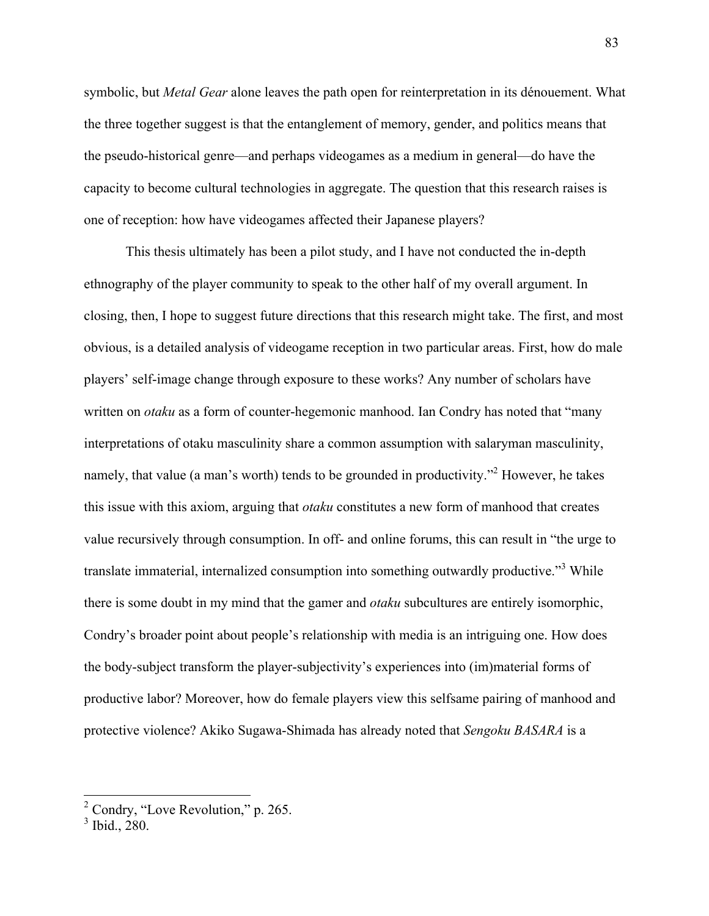symbolic, but *Metal Gear* alone leaves the path open for reinterpretation in its dénouement. What the three together suggest is that the entanglement of memory, gender, and politics means that the pseudo-historical genre—and perhaps videogames as a medium in general—do have the capacity to become cultural technologies in aggregate. The question that this research raises is one of reception: how have videogames affected their Japanese players?

This thesis ultimately has been a pilot study, and I have not conducted the in-depth ethnography of the player community to speak to the other half of my overall argument. In closing, then, I hope to suggest future directions that this research might take. The first, and most obvious, is a detailed analysis of videogame reception in two particular areas. First, how do male players' self-image change through exposure to these works? Any number of scholars have written on *otaku* as a form of counter-hegemonic manhood. Ian Condry has noted that "many interpretations of otaku masculinity share a common assumption with salaryman masculinity, namely, that value (a man's worth) tends to be grounded in productivity."<sup>2</sup> However, he takes this issue with this axiom, arguing that *otaku* constitutes a new form of manhood that creates value recursively through consumption. In off- and online forums, this can result in "the urge to translate immaterial, internalized consumption into something outwardly productive."<sup>3</sup> While there is some doubt in my mind that the gamer and *otaku* subcultures are entirely isomorphic, Condry's broader point about people's relationship with media is an intriguing one. How does the body-subject transform the player-subjectivity's experiences into (im)material forms of productive labor? Moreover, how do female players view this selfsame pairing of manhood and protective violence? Akiko Sugawa-Shimada has already noted that *Sengoku BASARA* is a

<sup>&</sup>lt;sup>2</sup> Condry, "Love Revolution," p. 265.

 $3$  Ibid., 280.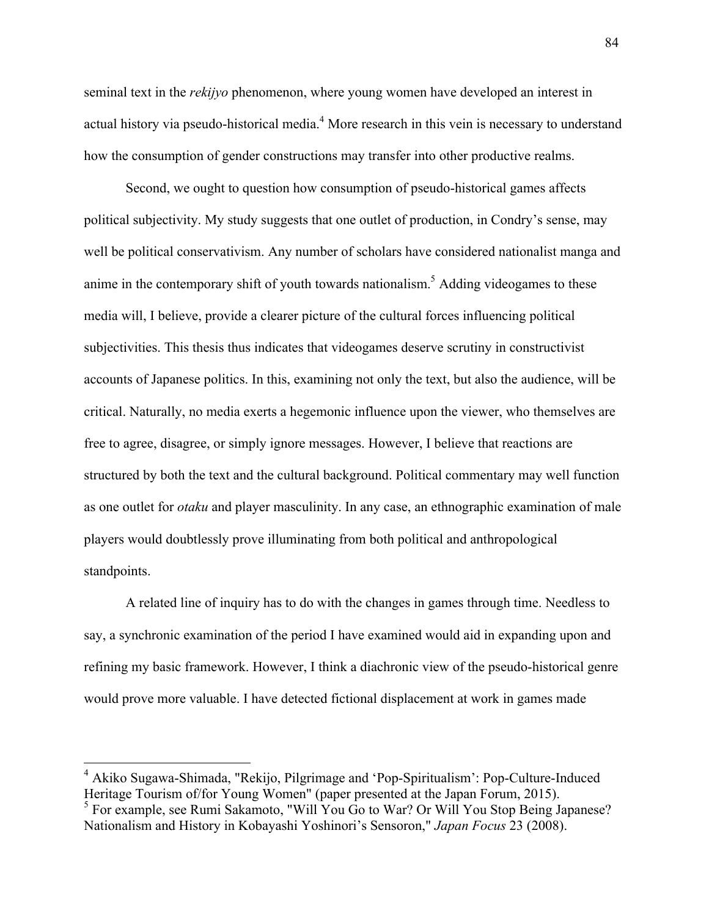seminal text in the *rekijyo* phenomenon, where young women have developed an interest in actual history via pseudo-historical media.<sup>4</sup> More research in this vein is necessary to understand how the consumption of gender constructions may transfer into other productive realms.

Second, we ought to question how consumption of pseudo-historical games affects political subjectivity. My study suggests that one outlet of production, in Condry's sense, may well be political conservativism. Any number of scholars have considered nationalist manga and anime in the contemporary shift of youth towards nationalism.<sup>5</sup> Adding videogames to these media will, I believe, provide a clearer picture of the cultural forces influencing political subjectivities. This thesis thus indicates that videogames deserve scrutiny in constructivist accounts of Japanese politics. In this, examining not only the text, but also the audience, will be critical. Naturally, no media exerts a hegemonic influence upon the viewer, who themselves are free to agree, disagree, or simply ignore messages. However, I believe that reactions are structured by both the text and the cultural background. Political commentary may well function as one outlet for *otaku* and player masculinity. In any case, an ethnographic examination of male players would doubtlessly prove illuminating from both political and anthropological standpoints.

A related line of inquiry has to do with the changes in games through time. Needless to say, a synchronic examination of the period I have examined would aid in expanding upon and refining my basic framework. However, I think a diachronic view of the pseudo-historical genre would prove more valuable. I have detected fictional displacement at work in games made

<sup>&</sup>lt;sup>4</sup> Akiko Sugawa-Shimada, "Rekijo, Pilgrimage and 'Pop-Spiritualism': Pop-Culture-Induced Heritage Tourism of/for Young Women" (paper presented at the Japan Forum, 2015).

<sup>&</sup>lt;sup>5</sup> For example, see Rumi Sakamoto, "Will You Go to War? Or Will You Stop Being Japanese? Nationalism and History in Kobayashi Yoshinori's Sensoron," *Japan Focus* 23 (2008).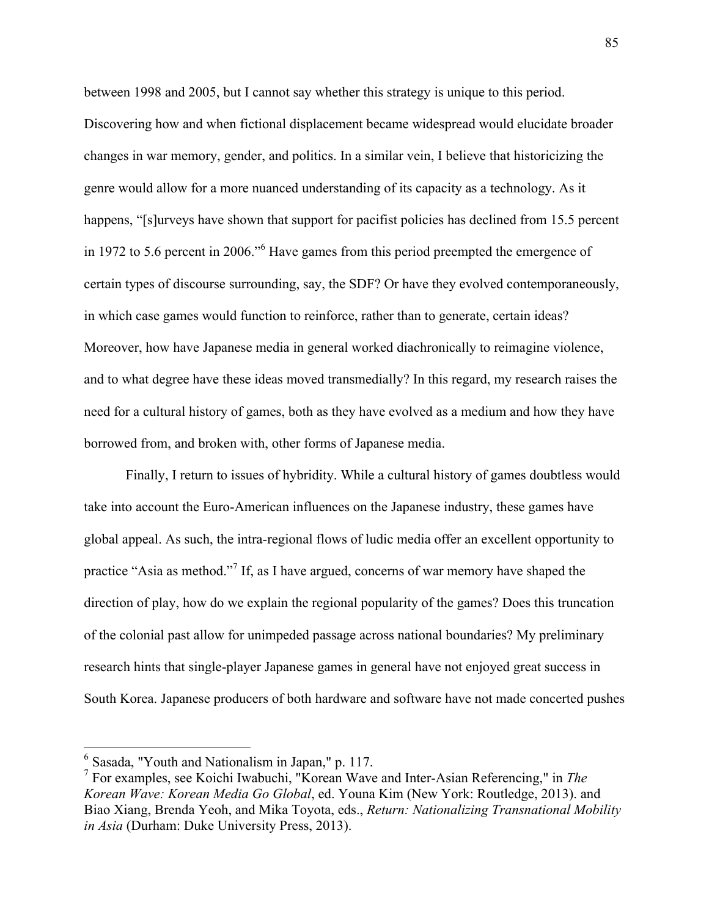between 1998 and 2005, but I cannot say whether this strategy is unique to this period. Discovering how and when fictional displacement became widespread would elucidate broader changes in war memory, gender, and politics. In a similar vein, I believe that historicizing the genre would allow for a more nuanced understanding of its capacity as a technology. As it happens, "[s]urveys have shown that support for pacifist policies has declined from 15.5 percent in 1972 to 5.6 percent in 2006."<sup>6</sup> Have games from this period preempted the emergence of certain types of discourse surrounding, say, the SDF? Or have they evolved contemporaneously, in which case games would function to reinforce, rather than to generate, certain ideas? Moreover, how have Japanese media in general worked diachronically to reimagine violence, and to what degree have these ideas moved transmedially? In this regard, my research raises the need for a cultural history of games, both as they have evolved as a medium and how they have borrowed from, and broken with, other forms of Japanese media.

Finally, I return to issues of hybridity. While a cultural history of games doubtless would take into account the Euro-American influences on the Japanese industry, these games have global appeal. As such, the intra-regional flows of ludic media offer an excellent opportunity to practice "Asia as method."<sup>7</sup> If, as I have argued, concerns of war memory have shaped the direction of play, how do we explain the regional popularity of the games? Does this truncation of the colonial past allow for unimpeded passage across national boundaries? My preliminary research hints that single-player Japanese games in general have not enjoyed great success in South Korea. Japanese producers of both hardware and software have not made concerted pushes

 <sup>6</sup> Sasada, "Youth and Nationalism in Japan," p. 117.

<sup>7</sup> For examples, see Koichi Iwabuchi, "Korean Wave and Inter-Asian Referencing," in *The Korean Wave: Korean Media Go Global*, ed. Youna Kim (New York: Routledge, 2013). and Biao Xiang, Brenda Yeoh, and Mika Toyota, eds., *Return: Nationalizing Transnational Mobility in Asia* (Durham: Duke University Press, 2013).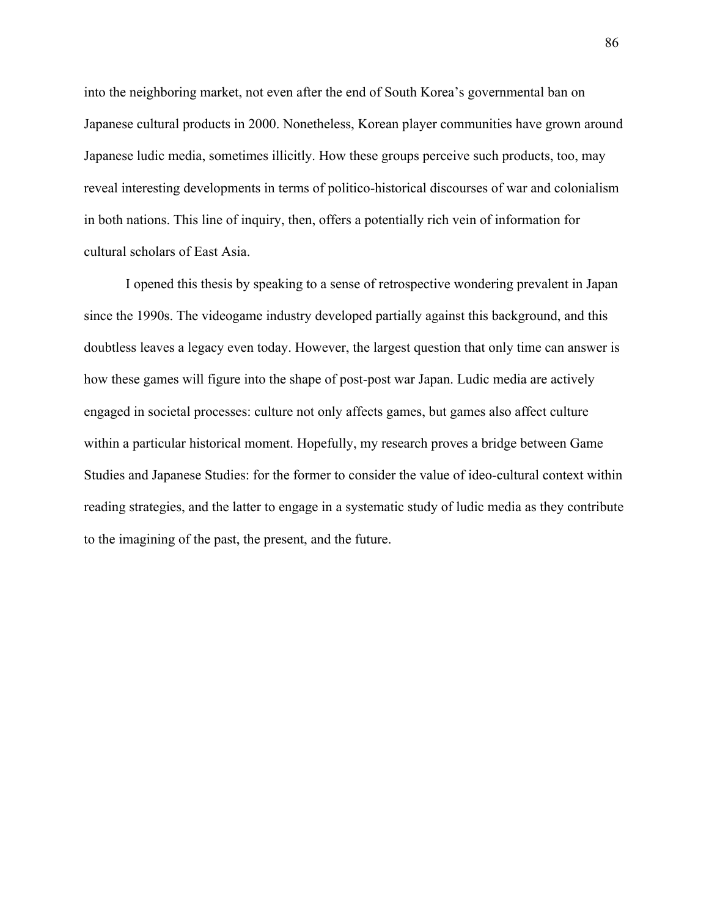into the neighboring market, not even after the end of South Korea's governmental ban on Japanese cultural products in 2000. Nonetheless, Korean player communities have grown around Japanese ludic media, sometimes illicitly. How these groups perceive such products, too, may reveal interesting developments in terms of politico-historical discourses of war and colonialism in both nations. This line of inquiry, then, offers a potentially rich vein of information for cultural scholars of East Asia.

I opened this thesis by speaking to a sense of retrospective wondering prevalent in Japan since the 1990s. The videogame industry developed partially against this background, and this doubtless leaves a legacy even today. However, the largest question that only time can answer is how these games will figure into the shape of post-post war Japan. Ludic media are actively engaged in societal processes: culture not only affects games, but games also affect culture within a particular historical moment. Hopefully, my research proves a bridge between Game Studies and Japanese Studies: for the former to consider the value of ideo-cultural context within reading strategies, and the latter to engage in a systematic study of ludic media as they contribute to the imagining of the past, the present, and the future.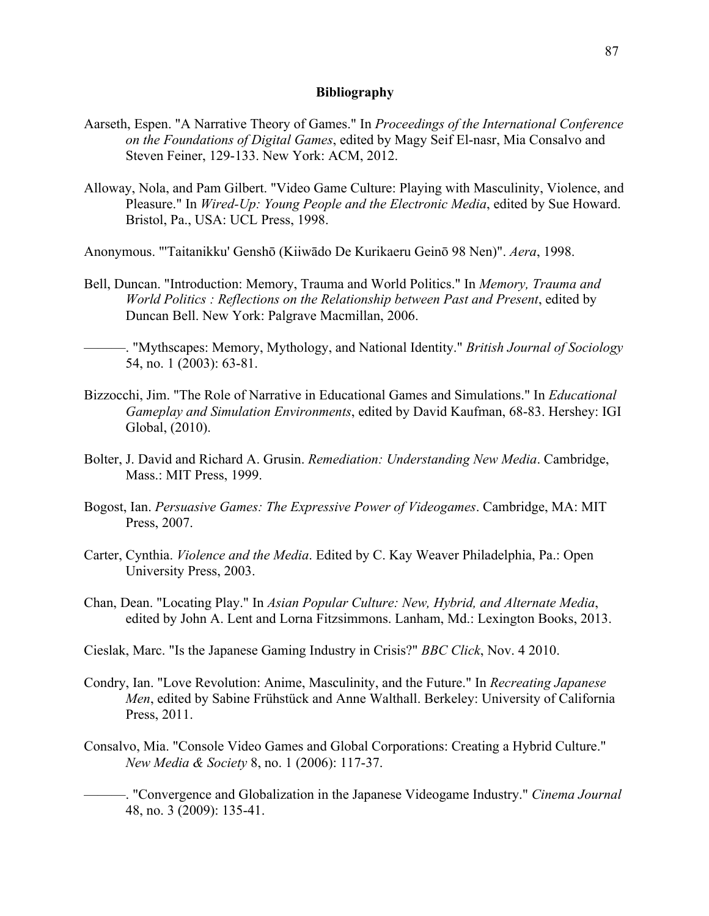# **Bibliography**

- Aarseth, Espen. "A Narrative Theory of Games." In *Proceedings of the International Conference on the Foundations of Digital Games*, edited by Magy Seif El-nasr, Mia Consalvo and Steven Feiner, 129-133. New York: ACM, 2012.
- Alloway, Nola, and Pam Gilbert. "Video Game Culture: Playing with Masculinity, Violence, and Pleasure." In *Wired-Up: Young People and the Electronic Media*, edited by Sue Howard. Bristol, Pa., USA: UCL Press, 1998.
- Anonymous. "'Taitanikku' Genshō (Kiiwādo De Kurikaeru Geinō 98 Nen)". *Aera*, 1998.
- Bell, Duncan. "Introduction: Memory, Trauma and World Politics." In *Memory, Trauma and World Politics : Reflections on the Relationship between Past and Present*, edited by Duncan Bell. New York: Palgrave Macmillan, 2006.

———. "Mythscapes: Memory, Mythology, and National Identity." *British Journal of Sociology*  54, no. 1 (2003): 63-81.

- Bizzocchi, Jim. "The Role of Narrative in Educational Games and Simulations." In *Educational Gameplay and Simulation Environments*, edited by David Kaufman, 68-83. Hershey: IGI Global, (2010).
- Bolter, J. David and Richard A. Grusin. *Remediation: Understanding New Media*. Cambridge, Mass.: MIT Press, 1999.
- Bogost, Ian. *Persuasive Games: The Expressive Power of Videogames*. Cambridge, MA: MIT Press, 2007.
- Carter, Cynthia. *Violence and the Media*. Edited by C. Kay Weaver Philadelphia, Pa.: Open University Press, 2003.
- Chan, Dean. "Locating Play." In *Asian Popular Culture: New, Hybrid, and Alternate Media*, edited by John A. Lent and Lorna Fitzsimmons. Lanham, Md.: Lexington Books, 2013.
- Cieslak, Marc. "Is the Japanese Gaming Industry in Crisis?" *BBC Click*, Nov. 4 2010.
- Condry, Ian. "Love Revolution: Anime, Masculinity, and the Future." In *Recreating Japanese Men*, edited by Sabine Frühstück and Anne Walthall. Berkeley: University of California Press, 2011.
- Consalvo, Mia. "Console Video Games and Global Corporations: Creating a Hybrid Culture." *New Media & Society* 8, no. 1 (2006): 117-37.

———. "Convergence and Globalization in the Japanese Videogame Industry." *Cinema Journal*  48, no. 3 (2009): 135-41.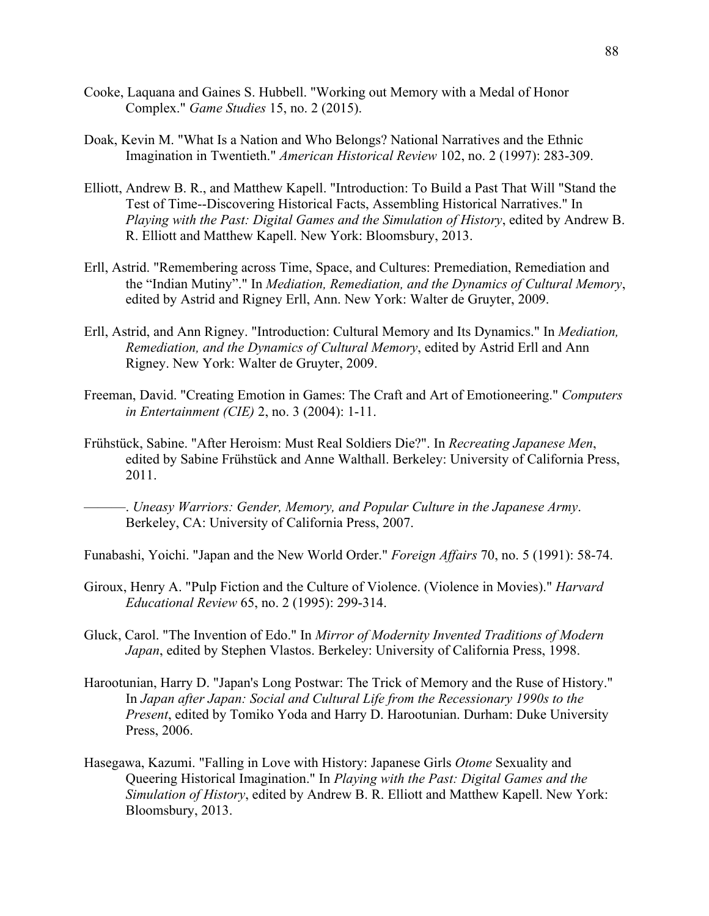- Cooke, Laquana and Gaines S. Hubbell. "Working out Memory with a Medal of Honor Complex." *Game Studies* 15, no. 2 (2015).
- Doak, Kevin M. "What Is a Nation and Who Belongs? National Narratives and the Ethnic Imagination in Twentieth." *American Historical Review* 102, no. 2 (1997): 283-309.
- Elliott, Andrew B. R., and Matthew Kapell. "Introduction: To Build a Past That Will "Stand the Test of Time--Discovering Historical Facts, Assembling Historical Narratives." In *Playing with the Past: Digital Games and the Simulation of History*, edited by Andrew B. R. Elliott and Matthew Kapell. New York: Bloomsbury, 2013.
- Erll, Astrid. "Remembering across Time, Space, and Cultures: Premediation, Remediation and the "Indian Mutiny"." In *Mediation, Remediation, and the Dynamics of Cultural Memory*, edited by Astrid and Rigney Erll, Ann. New York: Walter de Gruyter, 2009.
- Erll, Astrid, and Ann Rigney. "Introduction: Cultural Memory and Its Dynamics." In *Mediation, Remediation, and the Dynamics of Cultural Memory*, edited by Astrid Erll and Ann Rigney. New York: Walter de Gruyter, 2009.
- Freeman, David. "Creating Emotion in Games: The Craft and Art of Emotioneering." *Computers in Entertainment (CIE)* 2, no. 3 (2004): 1-11.
- Frühstück, Sabine. "After Heroism: Must Real Soldiers Die?". In *Recreating Japanese Men*, edited by Sabine Frühstück and Anne Walthall. Berkeley: University of California Press, 2011.
	- ———. *Uneasy Warriors: Gender, Memory, and Popular Culture in the Japanese Army*. Berkeley, CA: University of California Press, 2007.
- Funabashi, Yoichi. "Japan and the New World Order." *Foreign Affairs* 70, no. 5 (1991): 58-74.
- Giroux, Henry A. "Pulp Fiction and the Culture of Violence. (Violence in Movies)." *Harvard Educational Review* 65, no. 2 (1995): 299-314.
- Gluck, Carol. "The Invention of Edo." In *Mirror of Modernity Invented Traditions of Modern Japan*, edited by Stephen Vlastos. Berkeley: University of California Press, 1998.
- Harootunian, Harry D. "Japan's Long Postwar: The Trick of Memory and the Ruse of History." In *Japan after Japan: Social and Cultural Life from the Recessionary 1990s to the Present*, edited by Tomiko Yoda and Harry D. Harootunian. Durham: Duke University Press, 2006.
- Hasegawa, Kazumi. "Falling in Love with History: Japanese Girls *Otome* Sexuality and Queering Historical Imagination." In *Playing with the Past: Digital Games and the Simulation of History*, edited by Andrew B. R. Elliott and Matthew Kapell. New York: Bloomsbury, 2013.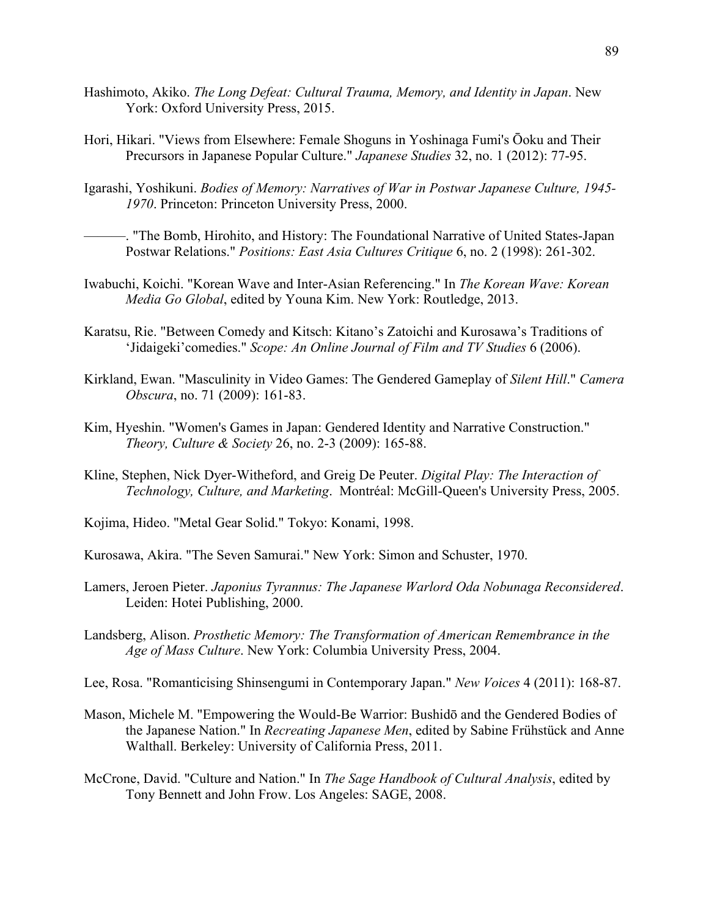- Hashimoto, Akiko. *The Long Defeat: Cultural Trauma, Memory, and Identity in Japan*. New York: Oxford University Press, 2015.
- Hori, Hikari. "Views from Elsewhere: Female Shoguns in Yoshinaga Fumi's Ōoku and Their Precursors in Japanese Popular Culture." *Japanese Studies* 32, no. 1 (2012): 77-95.
- Igarashi, Yoshikuni. *Bodies of Memory: Narratives of War in Postwar Japanese Culture, 1945- 1970*. Princeton: Princeton University Press, 2000.
	- ———. "The Bomb, Hirohito, and History: The Foundational Narrative of United States-Japan Postwar Relations." *Positions: East Asia Cultures Critique* 6, no. 2 (1998): 261-302.
- Iwabuchi, Koichi. "Korean Wave and Inter-Asian Referencing." In *The Korean Wave: Korean Media Go Global*, edited by Youna Kim. New York: Routledge, 2013.
- Karatsu, Rie. "Between Comedy and Kitsch: Kitano's Zatoichi and Kurosawa's Traditions of 'Jidaigeki'comedies." *Scope: An Online Journal of Film and TV Studies* 6 (2006).
- Kirkland, Ewan. "Masculinity in Video Games: The Gendered Gameplay of *Silent Hill*." *Camera Obscura*, no. 71 (2009): 161-83.
- Kim, Hyeshin. "Women's Games in Japan: Gendered Identity and Narrative Construction." *Theory, Culture & Society* 26, no. 2-3 (2009): 165-88.
- Kline, Stephen, Nick Dyer-Witheford, and Greig De Peuter. *Digital Play: The Interaction of Technology, Culture, and Marketing*. Montréal: McGill-Queen's University Press, 2005.
- Kojima, Hideo. "Metal Gear Solid." Tokyo: Konami, 1998.
- Kurosawa, Akira. "The Seven Samurai." New York: Simon and Schuster, 1970.
- Lamers, Jeroen Pieter. *Japonius Tyrannus: The Japanese Warlord Oda Nobunaga Reconsidered*. Leiden: Hotei Publishing, 2000.
- Landsberg, Alison. *Prosthetic Memory: The Transformation of American Remembrance in the Age of Mass Culture*. New York: Columbia University Press, 2004.
- Lee, Rosa. "Romanticising Shinsengumi in Contemporary Japan." *New Voices* 4 (2011): 168-87.
- Mason, Michele M. "Empowering the Would-Be Warrior: Bushidō and the Gendered Bodies of the Japanese Nation." In *Recreating Japanese Men*, edited by Sabine Frühstück and Anne Walthall. Berkeley: University of California Press, 2011.
- McCrone, David. "Culture and Nation." In *The Sage Handbook of Cultural Analysis*, edited by Tony Bennett and John Frow. Los Angeles: SAGE, 2008.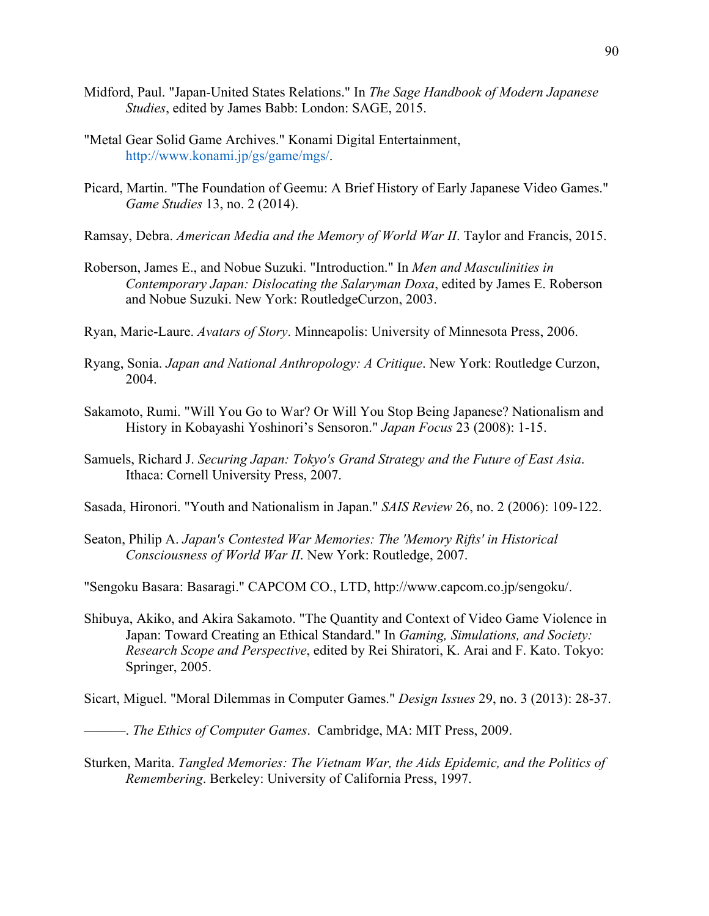- Midford, Paul. "Japan-United States Relations." In *The Sage Handbook of Modern Japanese Studies*, edited by James Babb: London: SAGE, 2015.
- "Metal Gear Solid Game Archives." Konami Digital Entertainment, http://www.konami.jp/gs/game/mgs/.
- Picard, Martin. "The Foundation of Geemu: A Brief History of Early Japanese Video Games." *Game Studies* 13, no. 2 (2014).
- Ramsay, Debra. *American Media and the Memory of World War II*. Taylor and Francis, 2015.
- Roberson, James E., and Nobue Suzuki. "Introduction." In *Men and Masculinities in Contemporary Japan: Dislocating the Salaryman Doxa*, edited by James E. Roberson and Nobue Suzuki. New York: RoutledgeCurzon, 2003.
- Ryan, Marie-Laure. *Avatars of Story*. Minneapolis: University of Minnesota Press, 2006.
- Ryang, Sonia. *Japan and National Anthropology: A Critique*. New York: Routledge Curzon, 2004.
- Sakamoto, Rumi. "Will You Go to War? Or Will You Stop Being Japanese? Nationalism and History in Kobayashi Yoshinori's Sensoron." *Japan Focus* 23 (2008): 1-15.
- Samuels, Richard J. *Securing Japan: Tokyo's Grand Strategy and the Future of East Asia*. Ithaca: Cornell University Press, 2007.
- Sasada, Hironori. "Youth and Nationalism in Japan." *SAIS Review* 26, no. 2 (2006): 109-122.
- Seaton, Philip A. *Japan's Contested War Memories: The 'Memory Rifts' in Historical Consciousness of World War II*. New York: Routledge, 2007.
- "Sengoku Basara: Basaragi." CAPCOM CO., LTD, http://www.capcom.co.jp/sengoku/.
- Shibuya, Akiko, and Akira Sakamoto. "The Quantity and Context of Video Game Violence in Japan: Toward Creating an Ethical Standard." In *Gaming, Simulations, and Society: Research Scope and Perspective*, edited by Rei Shiratori, K. Arai and F. Kato. Tokyo: Springer, 2005.
- Sicart, Miguel. "Moral Dilemmas in Computer Games." *Design Issues* 29, no. 3 (2013): 28-37.
- ———. *The Ethics of Computer Games*. Cambridge, MA: MIT Press, 2009.
- Sturken, Marita. *Tangled Memories: The Vietnam War, the Aids Epidemic, and the Politics of Remembering*. Berkeley: University of California Press, 1997.